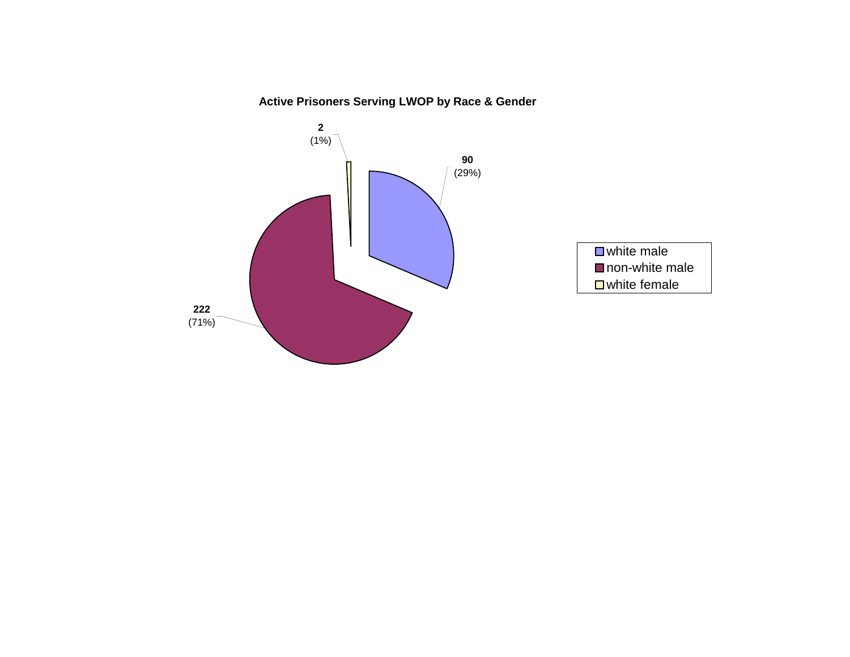# **Active Prisoners Serving LWOP by Race & Gender**

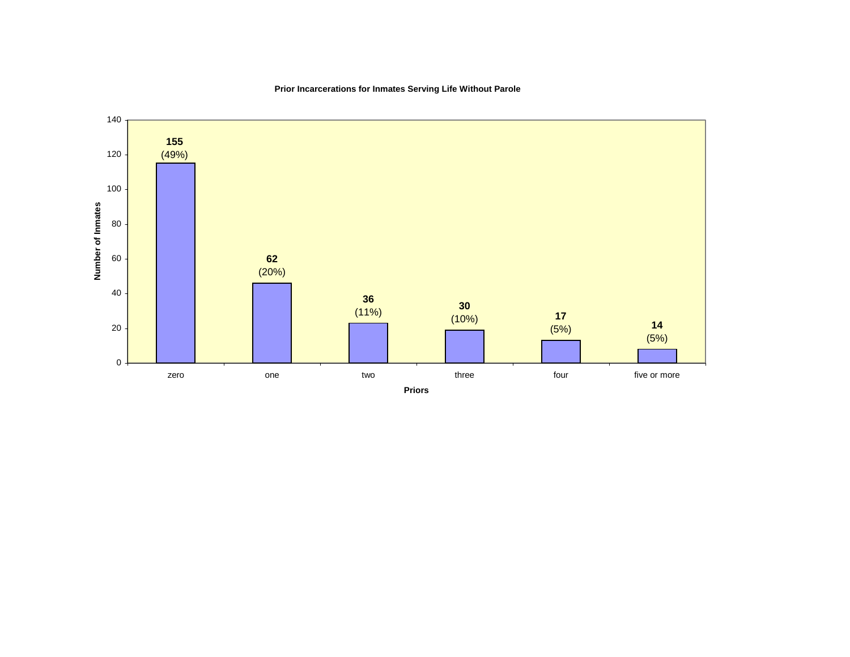

### **Prior Incarcerations for Inmates Serving Life Without Parole**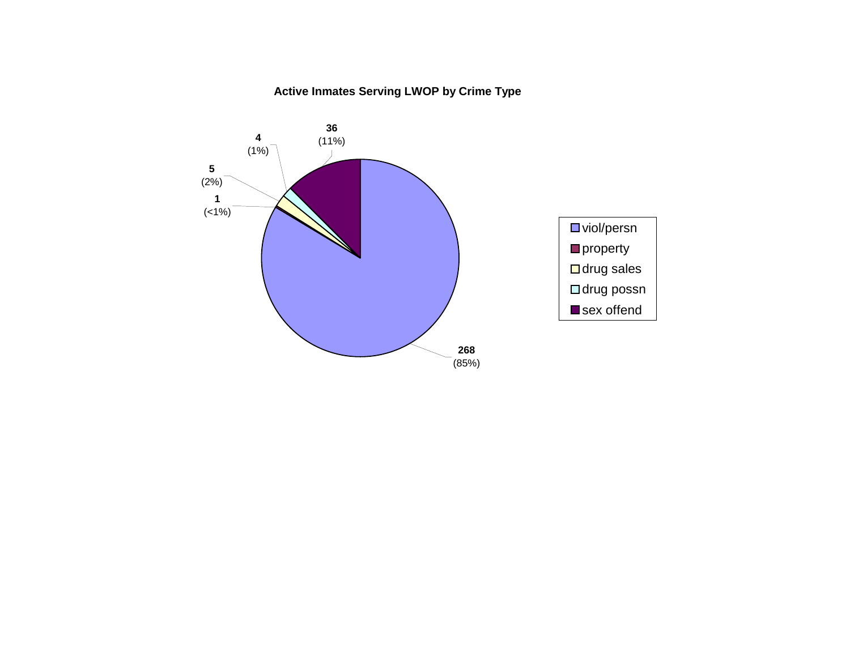### **Active Inmates Serving LWOP by Crime Type**

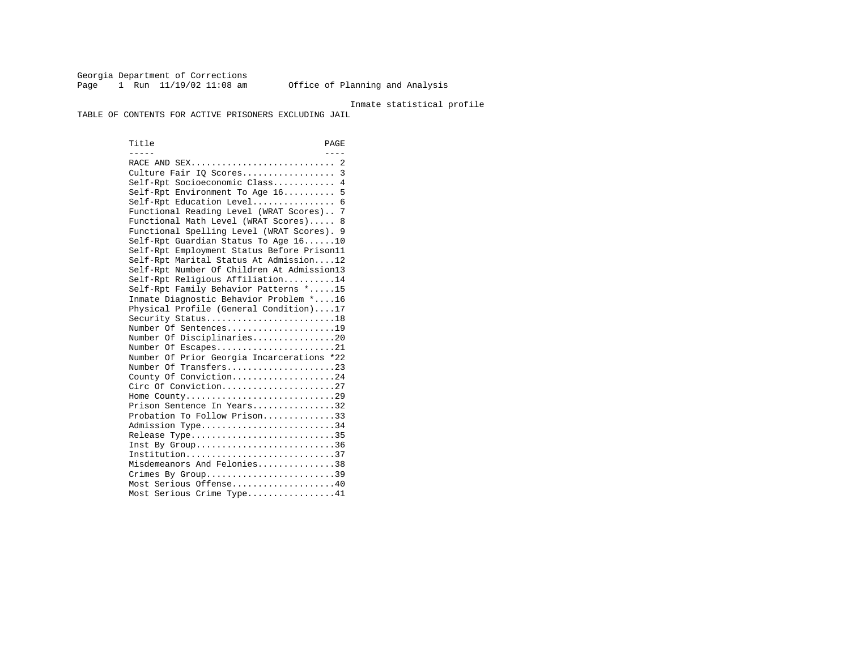Georgia Department of Corrections Page 1 Run 11/19/02 11:08 am Office of Planning and Analysis

### Inmate statistical profile

TABLE OF CONTENTS FOR ACTIVE PRISONERS EXCLUDING JAIL

Title PAGE ----- ---- RACE AND SEX............................ 2 Culture Fair IQ Scores.................. 3 Self-Rpt Socioeconomic Class............ 4 Self-Rpt Environment To Age 16.......... 5 Self-Rpt Education Level................ 6 Functional Reading Level (WRAT Scores).. 7 Functional Math Level (WRAT Scores)..... 8 Functional Spelling Level (WRAT Scores). 9 Self-Rpt Guardian Status To Age 16......10 Self-Rpt Employment Status Before Prison11 Self-Rpt Marital Status At Admission....12 Self-Rpt Number Of Children At Admission13 Self-Rpt Religious Affiliation..........14 Self-Rpt Family Behavior Patterns \*.....15 Inmate Diagnostic Behavior Problem \*....16 Physical Profile (General Condition)....17 Security Status...........................18 Number Of Sentences.....................19 Number Of Disciplinaries................20 Number Of Escapes........................21 Number Of Prior Georgia Incarcerations \*22 Number Of Transfers.....................23 County Of Conviction....................24 Circ Of Conviction......................27 Home County.............................29 Prison Sentence In Years................32 Probation To Follow Prison..............33Admission Type............................34 Release Type..............................35 Inst By Group..............................36 Institution.............................37 Misdemeanors And Felonies...............38 Crimes By Group.............................39 Most Serious Offense....................40 Most Serious Crime Type.................41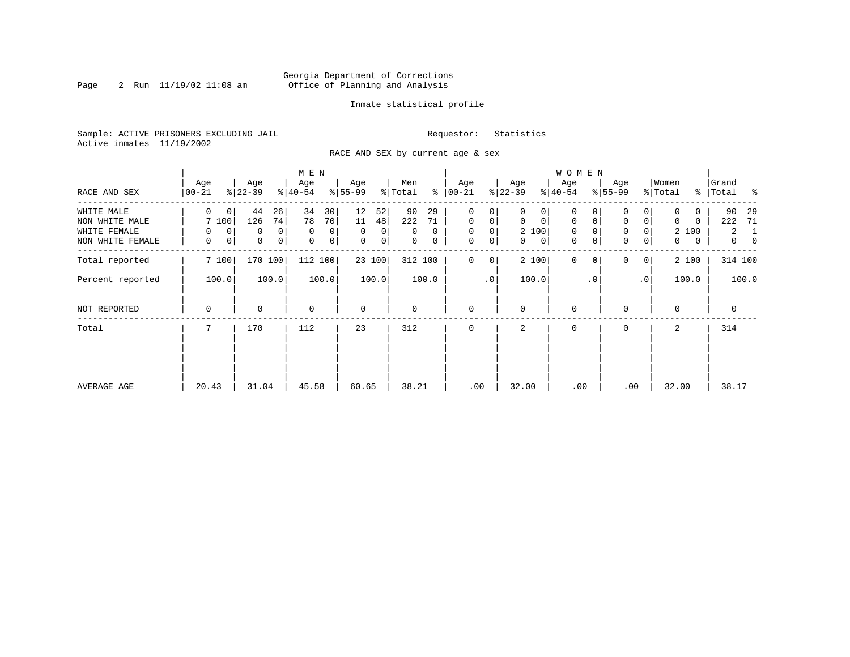### Georgia Department of Corrections<br>2 Run 11/19/02 11:08 am 6ffice of Planning and Analysis Page 2 Run 11/19/02 11:08 am Office of Planning and Analysis

### Inmate statistical profile

Sample: ACTIVE PRISONERS EXCLUDING JAIL **Requestor:** Statistics Active inmates 11/19/2002

RACE AND SEX by current age & sex

|                                                    |                           |                                                    | M E N                                            |                                                       |                                      |                                                                    |                                                                     | <b>WOMEN</b>                                        |                                                                                           |                                                    |                                                                       |
|----------------------------------------------------|---------------------------|----------------------------------------------------|--------------------------------------------------|-------------------------------------------------------|--------------------------------------|--------------------------------------------------------------------|---------------------------------------------------------------------|-----------------------------------------------------|-------------------------------------------------------------------------------------------|----------------------------------------------------|-----------------------------------------------------------------------|
| RACE AND SEX                                       | Age<br>00-21              | Age<br>$ 22-39 $                                   | Age<br>$ 40-54 $                                 | Age<br>$8 55-99$                                      | Men<br>% Total                       | Age<br>$8   00 - 21$                                               | Age<br>$ 22-39 $                                                    | Age<br>$ 40-54 $                                    | Age<br>$8 55-99$                                                                          | Women<br>% Total                                   | Grand<br>% Total %                                                    |
| WHITE MALE                                         | $\Omega$<br>$\mathbf 0$   | 44<br>26                                           | 34<br>30                                         | 12<br>52                                              | 90<br>29                             | 0<br>0                                                             | 0<br>0                                                              | 0                                                   |                                                                                           |                                                    | 90<br>29                                                              |
| NON WHITE MALE<br>WHITE FEMALE<br>NON WHITE FEMALE | 7 100<br>0<br>0<br>0<br>0 | 74<br>126<br>$\mathbf{0}$<br>0<br>0<br>$\mathbf 0$ | 78<br>70<br>$\mathbf 0$<br>0<br>$\mathbf 0$<br>0 | 11<br>48<br>$\Omega$<br>$\Omega$<br>$\mathbf 0$<br> 0 | 222<br>71<br>$\Omega$<br>0<br>0<br>0 | $\mathbf 0$<br>$\mathbf 0$<br>$\mathbf 0$<br>0<br>0<br>$\mathbf 0$ | $\mathbf 0$<br>$\mathbf 0$<br>2 100<br>$\mathbf{0}$<br>$\mathsf{O}$ | $\mathbf 0$<br>$\mathbf 0$<br>$\mathbf 0$<br>0<br>0 | $\mathbf 0$<br>$\overline{0}$<br>$\mathbf 0$<br>$\Omega$<br>$\mathbf 0$<br>$\overline{0}$ | $\Omega$<br>$\Omega$<br>2 100<br>0<br>$\mathbf{0}$ | 222<br>71<br>$\overline{a}$<br>-1<br>$\overline{0}$<br>$\overline{0}$ |
| Total reported                                     | 7 100                     | 170 100                                            | 112 100                                          | 23 100                                                | 312 100                              | 0<br>0                                                             | 2 100                                                               | $\mathbf{0}$<br>$\Omega$                            | $\Omega$<br>0 <sup>1</sup>                                                                | 2 100                                              | 314 100                                                               |
| Percent reported                                   | 100.0                     | 100.0                                              | 100.0                                            | 100.0                                                 | 100.0                                | $\cdot$ 0                                                          | 100.0                                                               | $\cdot$ 0                                           | .0 <sup>1</sup>                                                                           | 100.0                                              | 100.0                                                                 |
| NOT REPORTED                                       | 0                         | 0                                                  | $\mathbf 0$                                      | $\mathbf 0$                                           | 0                                    | $\mathbf 0$                                                        | $\Omega$                                                            | 0                                                   | $\Omega$                                                                                  | $\mathbf 0$                                        | $\mathbf 0$                                                           |
| Total                                              |                           | 170                                                | 112                                              | 23                                                    | 312                                  | $\Omega$                                                           | 2                                                                   | 0                                                   | $\Omega$                                                                                  | 2                                                  | 314                                                                   |
|                                                    |                           |                                                    |                                                  |                                                       |                                      |                                                                    |                                                                     |                                                     |                                                                                           |                                                    |                                                                       |
| AVERAGE AGE                                        | 20.43                     | 31.04                                              | 45.58                                            | 60.65                                                 | 38.21                                | .00                                                                | 32.00                                                               | .00                                                 | .00                                                                                       | 32.00                                              | 38.17                                                                 |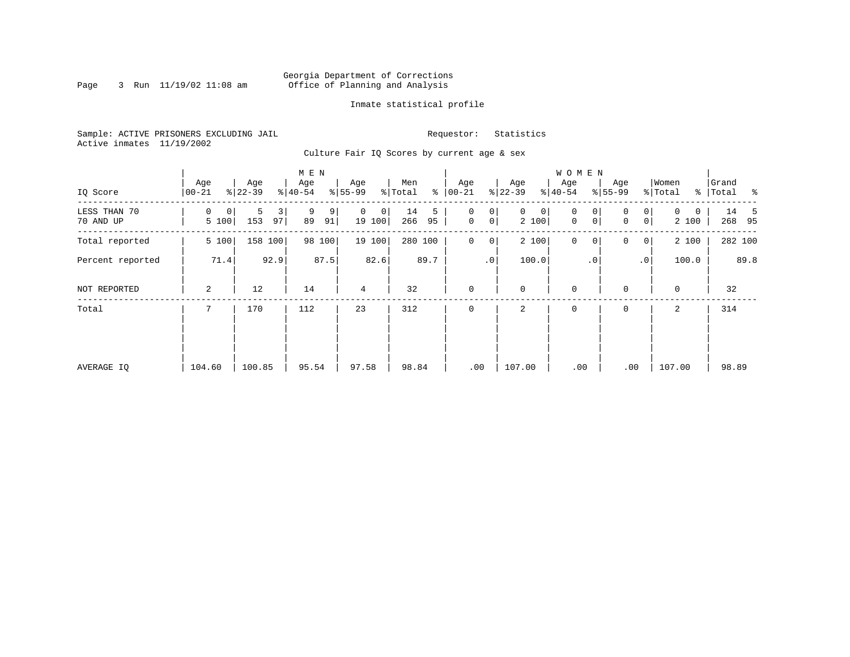### Georgia Department of Corrections<br>3 Run 11/19/02 11:08 am 6ffice of Planning and Analysis Page 3 Run 11/19/02 11:08 am Office of Planning and Analysis

### Inmate statistical profile

Sample: ACTIVE PRISONERS EXCLUDING JAIL **Requestor:** Statistics Active inmates 11/19/2002

Culture Fair IQ Scores by current age & sex

| IQ Score                  | Age<br>$00 - 21$ | Age<br>$ 22-39 $    | M E N<br>Age<br>$\frac{1}{6}$   40-54 | Age<br>$8 55-99$        | Men<br>နွ<br>% Total | Age<br>$ 00 - 21 $                              | Age<br>$ 22-39 $           | WOMEN<br>Age<br>$8 40-54$                       | Age<br>$8 55-99$                                 | Women<br>% Total       | Grand<br>% Total % |
|---------------------------|------------------|---------------------|---------------------------------------|-------------------------|----------------------|-------------------------------------------------|----------------------------|-------------------------------------------------|--------------------------------------------------|------------------------|--------------------|
| LESS THAN 70<br>70 AND UP | 0<br>0<br>5 100  | 5<br>3<br>153<br>97 | 9<br>9<br>89<br>91                    | $\Omega$<br>0<br>19 100 | 14<br>5<br>266<br>95 | 0<br>0<br>$\mathsf{O}\xspace$<br>0 <sup>1</sup> | $\mathbf{0}$<br>0<br>2 100 | $\mathbf 0$<br>0<br>$\mathsf{O}$<br>$\mathbf 0$ | $\overline{0}$<br>$\Omega$<br> 0 <br>$\mathbf 0$ | $\Omega$<br>0<br>2 100 | 14<br>-5<br>268 95 |
| Total reported            | 5 100            | 158 100             | 98 100                                | 19 100                  | 280 100              | 0<br>0                                          | 2 100                      | $\mathbf 0$<br>0                                | 0<br>$\overline{0}$                              | 2 100                  | 282 100            |
| Percent reported          | 71.4             | 92.9                | 87.5                                  | 82.6                    | 89.7                 | .0 <sup>1</sup>                                 | 100.0                      | $\cdot$ 0                                       | $\cdot$ 0                                        | 100.0                  | 89.8               |
| NOT REPORTED              | 2                | 12                  | 14                                    | 4                       | 32                   | $\mathbf 0$                                     | $\mathbf 0$                | $\mathbf 0$                                     | $\Omega$                                         | $\mathbf 0$            | 32                 |
| Total                     |                  | 170                 | 112                                   | 23                      | 312                  | $\mathbf 0$                                     | 2                          | $\mathbf 0$                                     | 0                                                | $\overline{a}$         | 314                |
| AVERAGE IQ                | 104.60           | 100.85              | 95.54                                 | 97.58                   | 98.84                | .00                                             | 107.00                     | .00                                             | .00                                              | 107.00                 | 98.89              |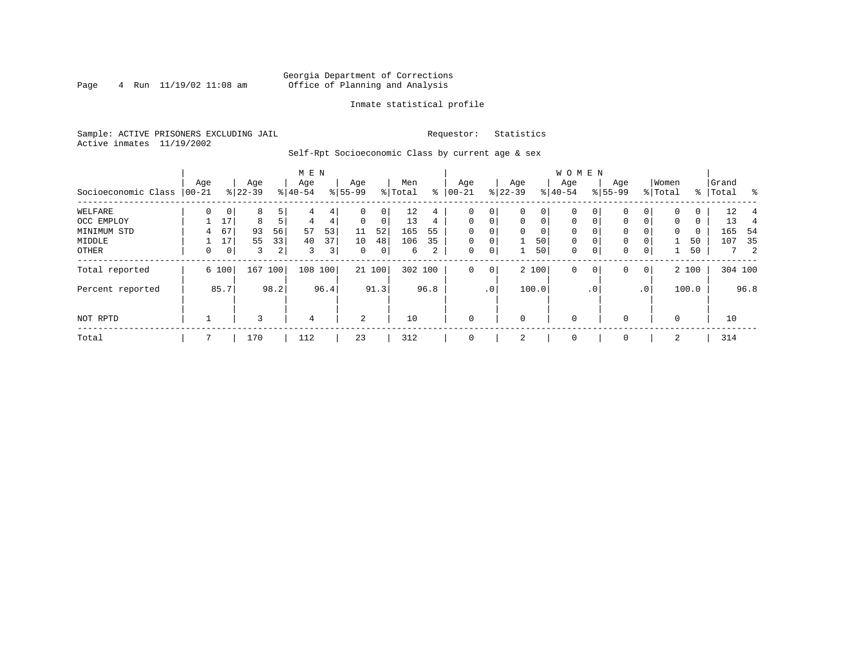### Georgia Department of Corrections<br>4 Run 11/19/02 11:08 am Office of Planning and Analysis Page 4 Run 11/19/02 11:08 am Office of Planning and Analysis

### Inmate statistical profile

Sample: ACTIVE PRISONERS EXCLUDING JAIL **Requestor:** Statistics Active inmates 11/19/2002

Self-Rpt Socioeconomic Class by current age & sex

|                     |          |             |           |                | M E N          |                |              |        |         |      |           |                 |             |             | <b>WOMEN</b> |             |           |                |          |       |           |               |
|---------------------|----------|-------------|-----------|----------------|----------------|----------------|--------------|--------|---------|------|-----------|-----------------|-------------|-------------|--------------|-------------|-----------|----------------|----------|-------|-----------|---------------|
|                     | Age      |             | Age       |                | Age            |                | Age          |        | Men     |      | Age       |                 | Age         |             | Aqe          |             | Age       |                | Women    |       | Grand     |               |
| Socioeconomic Class | $ 00-21$ |             | $ 22-39 $ |                | $ 40-54$       |                | $ 55-99$     |        | % Total | ႜ    | $00 - 21$ |                 | $ 22-39 $   |             | $ 40-54 $    |             | $8 55-99$ |                | % Total  |       | %   Total | $\frac{1}{6}$ |
| WELFARE             | $\Omega$ | $\mathbf 0$ | 8         | 5              |                | 4              | 0            | 0      | 12      | 4    | 0         | 0               | $\mathbf 0$ | 0           | 0            | $\Omega$    | $\Omega$  | $\Omega$       | $\Omega$ | 0     | 12        |               |
| OCC EMPLOY          |          | 17          | 8         | 5 <sup>1</sup> | 4              | 4              | $\Omega$     | 0      | 13      | 4    | $\Omega$  | 0               | $\Omega$    | $\mathbf 0$ | $\Omega$     | $\Omega$    | $\Omega$  | 0              | $\Omega$ | 0     | 13        | 4             |
| MINIMUM STD         | 4        | 67          | 93        | 56             | 57             | 53             | 11           | 52     | 165     | 55   | $\Omega$  | 0               | $\Omega$    | 0           | $\Omega$     | $\Omega$    | $\Omega$  |                | $\Omega$ | 0     | 165       | 54            |
| MIDDLE              |          | 17          | 55        | 33             | 40             | 37             | 10           | 48     | 106     | 35   | $\Omega$  | $\mathbf 0$     |             | 50          | $\mathbf 0$  | 0           | 0         |                |          | 50    | 107       | 35            |
| OTHER               | 0        | 0           | 3         | $\overline{2}$ | 3              | 3 <sub>1</sub> | $\mathbf{0}$ | 0      | 6       | 2    | 0         | 0               |             | 50          | $\mathbf 0$  | $\mathbf 0$ | 0         | $\mathbf 0$    |          | 50    |           | $7\quad 2$    |
| Total reported      |          | 6 100       | 167       | 100            | 108 100        |                |              | 21 100 | 302 100 |      | 0         | 0               |             | 2 100       | $\mathbf{0}$ | 0           | 0         | $\overline{0}$ |          | 2 100 |           | 304 100       |
| Percent reported    |          | 85.7        |           | 98.2           |                | 96.4           |              | 91.3   |         | 96.8 |           | .0 <sup>1</sup> |             | 100.0       |              | . 0         |           | $\cdot$ 0      |          | 100.0 |           | 96.8          |
| NOT RPTD            |          |             | 3         |                | $\overline{4}$ |                | 2            |        | 10      |      | $\Omega$  |                 | 0           |             | $\mathbf 0$  |             | $\Omega$  |                | $\Omega$ |       | 10        |               |
| Total               |          |             | 170       |                | 112            |                | 23           |        | 312     |      | $\Omega$  |                 | 2           |             | $\mathbf 0$  |             | 0         |                | 2        |       | 314       |               |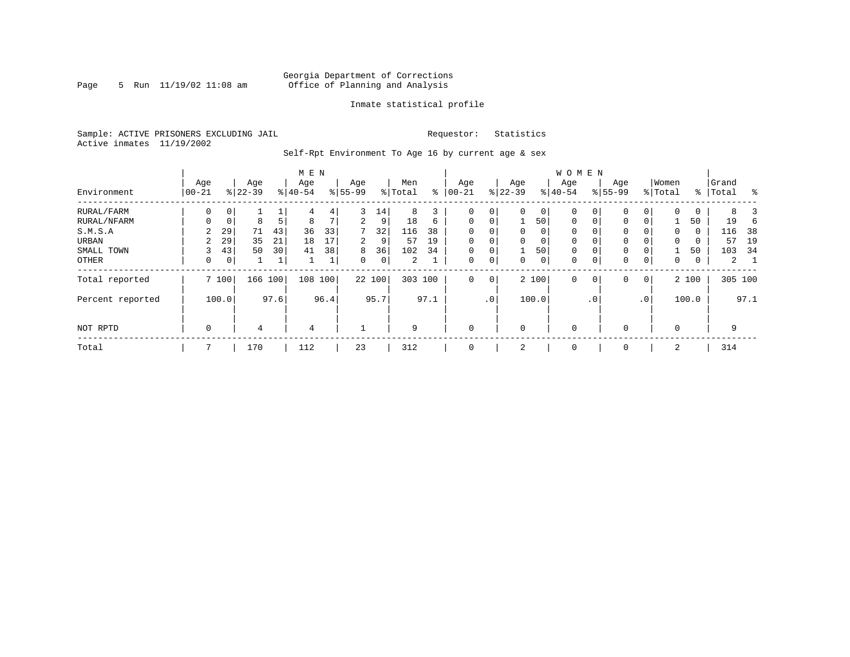### Georgia Department of Corrections<br>5 Run 11/19/02 11:08 am 6ffice of Planning and Analysis Page 5 Run 11/19/02 11:08 am Office of Planning and Analysis

### Inmate statistical profile

Sample: ACTIVE PRISONERS EXCLUDING JAIL **Requestor:** Statistics Active inmates 11/19/2002

Self-Rpt Environment To Age 16 by current age & sex

|                  |                   |             |                  |      | M E N            |      |                  |             |                |      |                 |             |                  |                | <b>WOMEN</b>     |           |                    |                 |                  |       |                |      |
|------------------|-------------------|-------------|------------------|------|------------------|------|------------------|-------------|----------------|------|-----------------|-------------|------------------|----------------|------------------|-----------|--------------------|-----------------|------------------|-------|----------------|------|
| Environment      | Age<br>$ 00 - 21$ |             | Age<br>$8 22-39$ |      | Age<br>$8 40-54$ |      | Age<br>$8 55-99$ |             | Men<br>% Total | နွ   | Age<br>$ 00-21$ |             | Age<br>$8 22-39$ |                | Age<br>$8 40-54$ |           | Age<br>$8155 - 99$ |                 | Women<br>% Total | ႜ     | Grand<br>Total | န္   |
| RURAL/FARM       | 0                 | 0           |                  |      | 4                | 4    | 3                | 14          | 8              | 3    | 0               | 0           | $\Omega$         | $\circ$        | 0                | 0         | $\mathbf 0$        | 0               | $\Omega$         | 0     | 8              |      |
| RURAL/NFARM      | 0                 | $\mathbf 0$ | 8                | 5    | 8                | 7    | 2                | 9           | 18             | 6    | $\mathbf 0$     | $\mathbf 0$ |                  | 501            | $\mathbf 0$      | 0         | $\mathbf{0}$       | 0               |                  | 50    | 19             |      |
| S.M.S.A          | 2                 | 29          | 71               | 43   | 36               | 33   | 7                | 32          | 116            | 38   | 0               | $\mathbf 0$ | 0                | $\overline{0}$ | $\mathbf 0$      |           | $\mathbf{0}$       |                 | 0                | 0     | 116            | 38   |
| URBAN            | 2                 | 29          | 35               | 21   | 18               | 17   | 2                | 9           | 57             | 19   | $\mathbf 0$     | $\mathbf 0$ | $\Omega$         | 0              | $\mathbf 0$      |           | 0                  |                 | 0                | 0     | 57             | 19   |
| SMALL TOWN       | 3                 | 43          | 50               | 30   | 41               | 38   | 8                | 36          | 102            | 34   | 0               | 0           |                  | 501            | 0                | 0         | $\mathbf 0$        | 0               |                  | 50    | 103            | - 34 |
| OTHER            | 0                 | 0           |                  | 1    |                  | T    | $\Omega$         | $\mathbf 0$ | 2              |      | $\mathbf 0$     | 0           | $\Omega$         | $\circ$        | 0                | 0         | $\mathbf{0}$       | 0               | $\Omega$         | 0     | $\overline{a}$ |      |
| Total reported   |                   | 7 100       | 166              | 100  | 108 100          |      |                  | 22 100      | 303 100        |      | $\Omega$        | $\mathbf 0$ |                  | 2 100          | $\Omega$         | 0         | $\mathbf{0}$       | $\mathbf 0$     |                  | 2 100 | 305 100        |      |
| Percent reported |                   | 100.0       |                  | 97.6 |                  | 96.4 |                  | 95.7        |                | 97.1 |                 | $\cdot$ 0   |                  | 100.0          |                  | $\cdot$ 0 |                    | .0 <sup>′</sup> |                  | 100.0 |                | 97.1 |
| NOT RPTD         | $\mathbf 0$       |             | 4                |      | 4                |      |                  |             | 9              |      | $\mathbf 0$     |             | $\Omega$         |                | $\mathbf 0$      |           | $\mathbf 0$        |                 | $\Omega$         |       | 9              |      |
| Total            |                   |             | 170              |      | 112              |      | 23               |             | 312            |      | $\mathbf 0$     |             | 2                |                | 0                |           | 0                  |                 | 2                |       | 314            |      |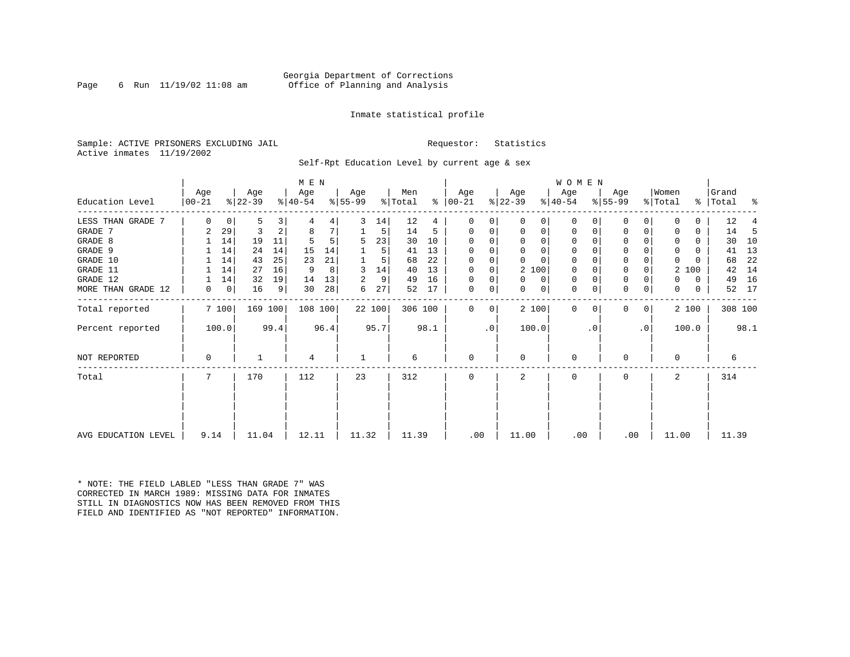### Inmate statistical profile

Sample: ACTIVE PRISONERS EXCLUDING JAIL **Requestor:** Statistics Active inmates 11/19/2002

Self-Rpt Education Level by current age & sex

|                       |                 |       |                  |      | M E N            |      |                  |        |                |      |                  |                |                  |                | WOMEN            |                |                  |           |                  |              |                    |      |
|-----------------------|-----------------|-------|------------------|------|------------------|------|------------------|--------|----------------|------|------------------|----------------|------------------|----------------|------------------|----------------|------------------|-----------|------------------|--------------|--------------------|------|
| Education Level       | Age<br>$ 00-21$ |       | Age<br>$ 22-39 $ |      | Age<br>$ 40-54 $ |      | Age<br>$ 55-99 $ |        | Men<br>% Total | ႜ    | Age<br>$ 00-21 $ |                | Age<br>$ 22-39 $ |                | Age<br>$ 40-54 $ |                | Age<br>$8 55-99$ |           | Women<br>% Total |              | Grand<br>%   Total | ႜ    |
| LESS THAN GRADE<br>-7 | $\Omega$        | 0     | 5                | 3    |                  | 4    | 3                | 14     | 12             | 4    | $\Omega$         |                | $\Omega$         | 0              | 0                | $\Omega$       | 0                | $\Omega$  | $\Omega$         | 0            | 12                 |      |
| GRADE 7               | 2               | 29    | 3                | 2    | 8                |      |                  | 5      | 14             | 5    | 0                |                | 0                | 0              | 0                | 0              | 0                | 0         | 0                | 0            | 14                 | 5    |
| GRADE 8               |                 | 14    | 19               | 11   |                  | 5    | 5                | 23     | 30             | 10   | $\Omega$         | $\Omega$       | $\Omega$         | $\Omega$       | $\Omega$         | $\Omega$       | 0                | 0         | 0                | 0            | 30                 | 10   |
| GRADE 9               |                 | 14    | 24               | 14   | 15               | 14   |                  | 5      | 41             | 13   |                  |                |                  | 0              |                  |                | 0                |           | 0                |              | 41                 | 13   |
| GRADE 10              |                 | 14    | 43               | 25   | 23               | 21   |                  | 5      | 68             | 22   | $\Omega$         |                |                  | $\Omega$       | $\mathbf 0$      | $\Omega$       | $\Omega$         | 0         | $\mathbf 0$      | 0            | 68                 | 22   |
| GRADE 11              |                 | 14    | 27               | 16   | 9                | 8    |                  | 14     | 40             | 13   | $\Omega$         | 0              | 2 100            |                | $\Omega$         |                | $\Omega$         |           | 2                | 100          | 42                 | 14   |
| GRADE 12              |                 | 14    | 32               | 19   | 14               | 13   |                  | 9      | 49             | 16   | $\Omega$         | 0              | 0                | 0              | 0                | $\Omega$       | 0                |           | 0                | 0            | 49                 | 16   |
| MORE THAN GRADE 12    | 0               | 0     | 16               | 9    | 30               | 28   | 6                | 27     | 52             | 17   | 0                | 0              | 0                | 0 <sup>1</sup> | $\mathbf 0$      | $\mathbf 0$    | $\Omega$         | 0         | $\mathbf{0}$     | $\mathbf{0}$ | 52                 | 17   |
| Total reported        |                 | 7100  | 169 100          |      | 108 100          |      |                  | 22 100 | 306 100        |      | $\Omega$         | $\overline{0}$ | 2 100            |                | $\Omega$         | 0 <sup>1</sup> | 0                | 0         |                  | 2 100        | 308 100            |      |
| Percent reported      |                 | 100.0 |                  | 99.4 |                  | 96.4 |                  | 95.7   |                | 98.1 |                  | .0             | 100.0            |                |                  | . 0            |                  | $\cdot$ 0 |                  | 100.0        |                    | 98.1 |
| NOT REPORTED          | 0               |       |                  |      | 4                |      |                  |        | 6              |      | 0                |                | $\Omega$         |                | $\mathbf 0$      |                | 0                |           | 0                |              | 6                  |      |
| Total                 |                 |       | 170              |      | 112              |      | 23               |        | 312            |      | $\Omega$         |                | $\mathfrak{D}$   |                | $\Omega$         |                | 0                |           | $\overline{2}$   |              | 314                |      |
|                       |                 |       |                  |      |                  |      |                  |        |                |      |                  |                |                  |                |                  |                |                  |           |                  |              |                    |      |
| AVG EDUCATION LEVEL   | 9.14            |       | 11.04            |      | 12.11            |      | 11.32            |        | 11.39          |      | .00              |                | 11.00            |                | .00              |                | .00              |           | 11.00            |              | 11.39              |      |

\* NOTE: THE FIELD LABLED "LESS THAN GRADE 7" WASCORRECTED IN MARCH 1989: MISSING DATA FOR INMATES STILL IN DIAGNOSTICS NOW HAS BEEN REMOVED FROM THISFIELD AND IDENTIFIED AS "NOT REPORTED" INFORMATION.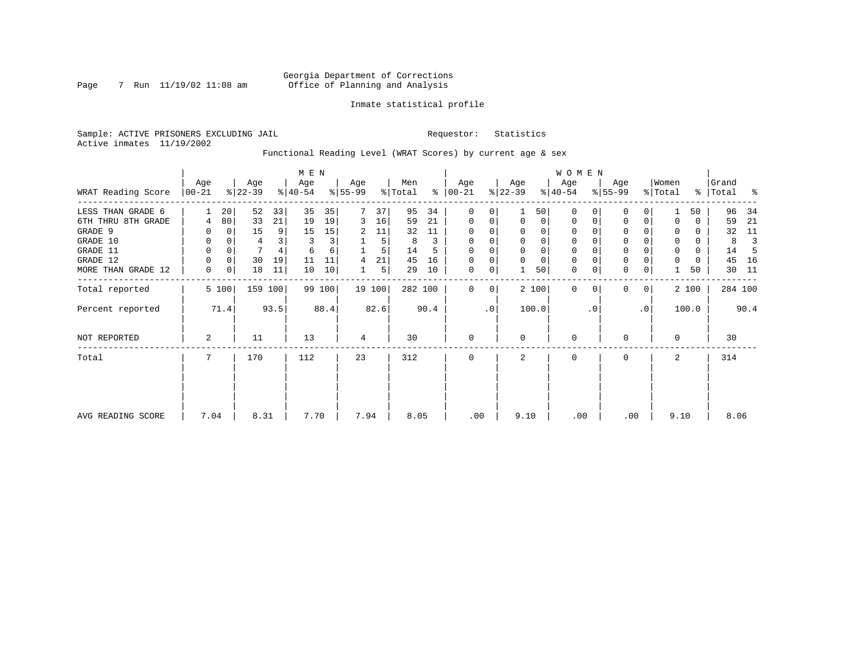### Georgia Department of Corrections<br>7 Run 11/19/02 11:08 am 6ffice of Planning and Analysis Page 7 Run 11/19/02 11:08 am Office of Planning and Analysis

### Inmate statistical profile

Sample: ACTIVE PRISONERS EXCLUDING JAIL **Requestor:** Statistics Active inmates 11/19/2002

Functional Reading Level (WRAT Scores) by current age & sex

|                    |                 |       |                  |         | M E N            |        |                  |        |                |      |                      |           |                  |                | <b>WOMEN</b>     |           |                  |             |                  |       |                |      |
|--------------------|-----------------|-------|------------------|---------|------------------|--------|------------------|--------|----------------|------|----------------------|-----------|------------------|----------------|------------------|-----------|------------------|-------------|------------------|-------|----------------|------|
| WRAT Reading Score | Age<br>$ 00-21$ |       | Age<br>$ 22-39 $ |         | Age<br>$ 40-54 $ |        | Age<br>$8 55-99$ |        | Men<br>% Total |      | Age<br>$8   00 - 21$ |           | Age<br>$ 22-39 $ |                | Age<br>$ 40-54 $ |           | Age<br>$ 55-99 $ |             | Women<br>% Total | ွေ    | Grand<br>Total | ႜ    |
| LESS THAN GRADE 6  |                 | 20    | 52               | 33      | 35               | 35     |                  | 37     | 95             | 34   | $\mathbf 0$          | 0         |                  | 50             | $\Omega$         |           | $\mathbf 0$      | 0           |                  | 50    | 96             | 34   |
| 6TH THRU 8TH GRADE | 4               | 80    | 33               | 21      | 19               | 19     | 3                | 16     | 59             | 21   | 0                    | 0         | $\mathbf 0$      | $\overline{0}$ | 0                | 0         | 0                | 0           |                  | 0     | 59             | 21   |
| GRADE 9            |                 | 0     | 15               | 9       | 15               | 15     | 2                | 11     | 32             | 11   | 0                    |           |                  |                |                  |           | 0                |             |                  | 0     | 32             | 11   |
| GRADE 10           | 0               | 0     | 4                |         | 3                | 3      |                  | 5      | 8              | 3    | $\mathbf 0$          | 0         | $\mathbf 0$      | 0              | 0                |           | 0                |             | 0                | 0     | 8              |      |
| GRADE 11           | 0               |       | 7                |         | 6                | 6      |                  | 5      | 14             |      | $\Omega$             |           |                  |                |                  |           | $\mathbf 0$      |             | 0                | 0     | 14             |      |
| GRADE 12           | 0               | 0     | 30               | 19      | 11               | 11     | 4                | 21     | 45             | 16   | 0                    | 0         |                  | $\Omega$       | 0                |           | $\mathbf 0$      |             | 0                | 0     | 45             | 16   |
| MORE THAN GRADE 12 | 0               | 0     | 18               | 11      | 10               | 10     |                  | 5      | 29             | 10   | 0                    | 0         |                  | 50             | 0                | 0         | $\mathbf 0$      | 0           |                  | 50    | 30             | - 11 |
| Total reported     |                 | 5 100 |                  | 159 100 |                  | 99 100 |                  | 19 100 | 282 100        |      | $\Omega$             | 0         |                  | 2 100          | $\mathbf 0$      | $\Omega$  | $\mathbf 0$      | $\mathbf 0$ |                  | 2 100 | 284 100        |      |
| Percent reported   |                 | 71.4  |                  | 93.5    |                  | 88.4   |                  | 82.6   |                | 90.4 |                      | $\cdot$ 0 |                  | 100.0          |                  | $\cdot$ 0 |                  | $\cdot$ 0   |                  | 100.0 |                | 90.4 |
| NOT REPORTED       | 2               |       | 11               |         | 13               |        | 4                |        | 30             |      | $\mathbf 0$          |           | $\Omega$         |                | $\mathbf 0$      |           | 0                |             | $\Omega$         |       | 30             |      |
| Total              | 7               |       | 170              |         | 112              |        | 23               |        | 312            |      | $\mathbf 0$          |           | 2                |                | 0                |           | 0                |             | 2                |       | 314            |      |
|                    |                 |       |                  |         |                  |        |                  |        |                |      |                      |           |                  |                |                  |           |                  |             |                  |       |                |      |
| AVG READING SCORE  | 7.04            |       | 8.31             |         | 7.70             |        | 7.94             |        | 8.05           |      | .00                  |           | 9.10             |                | .00              |           | .00              |             | 9.10             |       | 8.06           |      |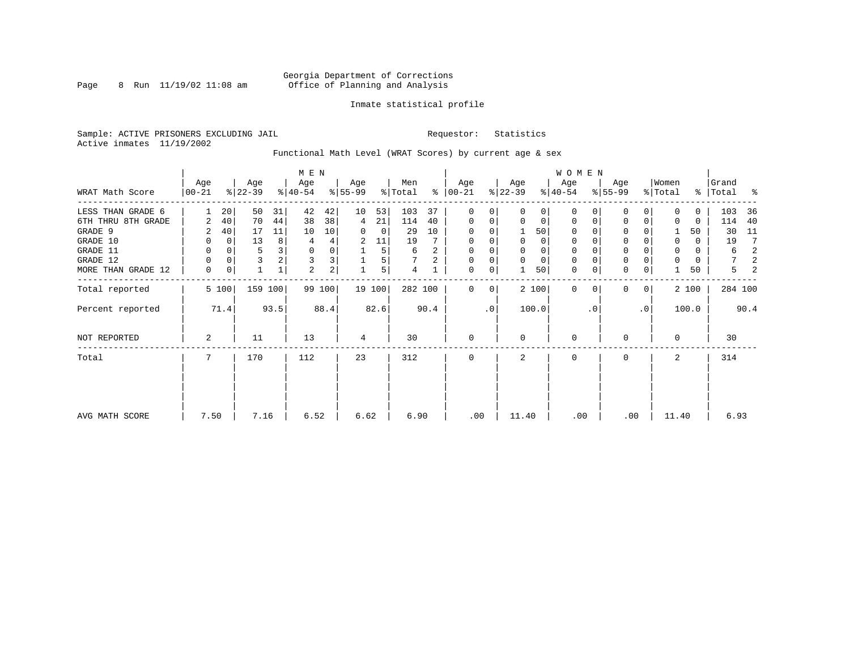### Georgia Department of Corrections<br>8 Run 11/19/02 11:08 am 6ffice of Planning and Analysis Page 8 Run 11/19/02 11:08 am Office of Planning and Analysis

### Inmate statistical profile

Sample: ACTIVE PRISONERS EXCLUDING JAIL **Requestor:** Statistics Active inmates 11/19/2002

Functional Math Level (WRAT Scores) by current age & sex

|                    |                 |             |                  |      | M E N            |        |                  |        |                |      |                      |    |                  |             | <b>WOMEN</b>     |           |                  |                |                  |          |                    |      |
|--------------------|-----------------|-------------|------------------|------|------------------|--------|------------------|--------|----------------|------|----------------------|----|------------------|-------------|------------------|-----------|------------------|----------------|------------------|----------|--------------------|------|
| WRAT Math Score    | Age<br>$ 00-21$ |             | Age<br>$ 22-39 $ |      | Age<br>$ 40-54 $ |        | Age<br>$8 55-99$ |        | Men<br>% Total |      | Age<br>$8   00 - 21$ |    | Age<br>$ 22-39 $ |             | Age<br>$ 40-54 $ |           | Age<br>$8 55-99$ |                | Women<br>% Total |          | Grand<br>% Total % |      |
| LESS THAN GRADE 6  |                 | 20          | 50               | 31   | 42               | 42     | 10               | 53     | 103            | 37   | 0                    | 0  | $\Omega$         | 0           | $\Omega$         | 0         | U                | 0              | $\Omega$         | 0        | 103                | 36   |
| 6TH THRU 8TH GRADE | 2               | 40          | 70               | 44   | 38               | 38     | 4                | 21     | 114            | 40   | $\mathbf 0$          | 0  | 0                | 0           | 0                | 0         | $\Omega$         | 0              | 0                | 0        | 114                | 40   |
| GRADE 9            | 2               | 40          | 17               | 11   | 10               | 10     | 0                | 0      | 29             | 10   | 0                    |    |                  | 50          | 0                |           | U                |                |                  | 50       | 30                 | 11   |
| GRADE 10           | 0               | $\mathbf 0$ | 13               | 8    | 4                | 4      | 2                | 11     | 19             |      | 0                    |    | 0                | 0           | 0                |           | $\mathbf 0$      |                | 0                | $\Omega$ | 19                 | 7    |
| GRADE 11           | 0               | 0           | 5                | 3    | 0                | 0      |                  | 5      | 6              | 2    | 0                    |    |                  | 0           | $\Omega$         |           | $\Omega$         |                | 0                | $\Omega$ | 6                  | 2    |
| GRADE 12           | 0               | 0           | 3                |      | 3                | 3      |                  | 5      |                | 2    | 0                    | 0  | $\Omega$         | $\mathbf 0$ | 0                |           | $\mathbf 0$      |                | $\Omega$         | 0        |                    | 2    |
| MORE THAN GRADE 12 | $\mathbf 0$     | 0           |                  |      | 2                | 2      |                  | 5      | 4              |      | 0                    | 0  |                  | 50          | $\mathbf 0$      | 0         | $\mathbf 0$      | 0              |                  | 50       | 5                  | 2    |
| Total reported     |                 | 5 100       | 159 100          |      |                  | 99 100 |                  | 19 100 | 282 100        |      | $\Omega$             | 0  |                  | 2 100       | $\Omega$         |           | <sup>0</sup>     | 0 <sup>1</sup> |                  | 2 100    | 284 100            |      |
| Percent reported   |                 | 71.4        |                  | 93.5 |                  | 88.4   |                  | 82.6   |                | 90.4 |                      | .0 |                  | 100.0       |                  | $\cdot$ 0 |                  | $\cdot$ 0      |                  | 100.0    |                    | 90.4 |
| NOT REPORTED       | 2               |             | 11               |      | 13               |        | 4                |        | 30             |      | $\mathbf{0}$         |    | $\Omega$         |             | 0                |           | U                |                | $\Omega$         |          | 30                 |      |
| Total              | 7               |             | 170              |      | 112              |        | 23               |        | 312            |      | $\mathbf 0$          |    | 2                |             | 0                |           | $\mathbf 0$      |                | 2                |          | 314                |      |
|                    |                 |             |                  |      |                  |        |                  |        |                |      |                      |    |                  |             |                  |           |                  |                |                  |          |                    |      |
| AVG MATH SCORE     | 7.50            |             | 7.16             |      | 6.52             |        | 6.62             |        | 6.90           |      | .00                  |    | 11.40            |             | .00              |           | .00              |                | 11.40            |          | 6.93               |      |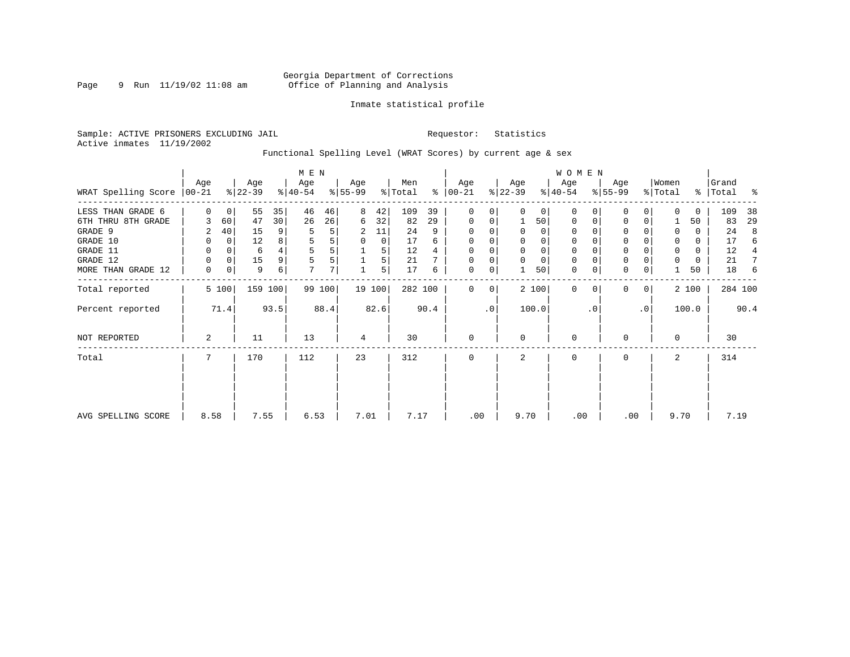### Georgia Department of Corrections<br>9 Run 11/19/02 11:08 am 6ffice of Planning and Analysis Page 9 Run 11/19/02 11:08 am Office of Planning and Analysis

### Inmate statistical profile

Sample: ACTIVE PRISONERS EXCLUDING JAIL **Requestor:** Statistics Active inmates 11/19/2002

Functional Spelling Level (WRAT Scores) by current age & sex

|                             |             |                |                  |         | M E N            |        |                  |        |                |      |                 |           |                  |          | WOMEN            |           |                  |             |                  |       |                |      |
|-----------------------------|-------------|----------------|------------------|---------|------------------|--------|------------------|--------|----------------|------|-----------------|-----------|------------------|----------|------------------|-----------|------------------|-------------|------------------|-------|----------------|------|
| WRAT Spelling Score   00-21 | Age         |                | Age<br>$ 22-39 $ |         | Age<br>$ 40-54 $ |        | Age<br>$8 55-99$ |        | Men<br>% Total | ွေ   | Age<br>$ 00-21$ |           | Age<br>$ 22-39 $ |          | Age<br>$ 40-54 $ |           | Age<br>$ 55-99 $ |             | Women<br>% Total | ွေ    | Grand<br>Total | ႜ    |
| LESS THAN GRADE 6           | $\Omega$    | $\overline{0}$ | 55               | 35      | 46               | 46     | 8                | 42     | 109            | 39   | $\mathbf 0$     | 0         | $\Omega$         | $\Omega$ | 0                | 0         | 0                | 0           | $\Omega$         | 0     | 109            | 38   |
| 6TH THRU 8TH GRADE          |             | 60             | 47               | 30      | 26               | 26     | 6                | 32     | 82             | 29   | $\mathbf 0$     | 0         |                  | 50       | $\mathbf 0$      | 0         | 0                | 0           |                  | 50    | 83             | 29   |
| GRADE 9                     | 2           | 40             | 15               | 9       | 5                | 5      | 2                | 11     | 24             | 9    | $\mathbf 0$     | 0         |                  | $\Omega$ | 0                |           | $\mathbf 0$      |             | 0                | 0     | 24             | 8    |
| GRADE 10                    | 0           | 0              | 12               | 8       | 5                | 5      | 0                | 0      | 17             | 6    | $\mathbf 0$     | 0         | $\Omega$         | $\Omega$ | 0                |           | 0                |             | 0                | 0     | 17             | 6    |
| GRADE 11                    | 0           | 0              | 6                |         | 5                |        |                  | 5      | 12             | 4    | $\Omega$        |           |                  |          |                  |           | $\mathbf 0$      |             | $\Omega$         | 0     | 12             |      |
| GRADE 12                    | 0           | $\Omega$       | 15               | 9       | 5                | 5      |                  | 5      | 21             |      | 0               | 0         | $\Omega$         | $\Omega$ | 0                |           | $\mathbf 0$      |             | $\Omega$         | 0     | 21             |      |
| MORE THAN GRADE 12          | $\mathbf 0$ | 0              | 9                | 6       | 7                | 7      |                  | 5      | 17             | 6    | 0               | 0         |                  | 50       | 0                | 0         | $\mathbf 0$      | 0           |                  | 50    | 18             | 6    |
| Total reported              |             | 5 100          |                  | 159 100 |                  | 99 100 |                  | 19 100 | 282 100        |      | $\Omega$        | 0         |                  | 2 100    | $\mathbf 0$      | $\Omega$  | $\mathbf 0$      | $\mathbf 0$ |                  | 2 100 | 284 100        |      |
| Percent reported            |             | 71.4           |                  | 93.5    |                  | 88.4   |                  | 82.6   |                | 90.4 |                 | $\cdot$ 0 |                  | 100.0    |                  | $\cdot$ 0 |                  | $\cdot$ 0   |                  | 100.0 |                | 90.4 |
| NOT REPORTED                | 2           |                | 11               |         | 13               |        | 4                |        | 30             |      | $\mathbf 0$     |           | $\Omega$         |          | $\mathbf 0$      |           | 0                |             | $\Omega$         |       | 30             |      |
| Total                       | 7           |                | 170              |         | 112              |        | 23               |        | 312            |      | $\mathbf 0$     |           | 2                |          | $\mathbf 0$      |           | 0                |             | 2                |       | 314            |      |
|                             |             |                |                  |         |                  |        |                  |        |                |      |                 |           |                  |          |                  |           |                  |             |                  |       |                |      |
| AVG SPELLING SCORE          | 8.58        |                | 7.55             |         | 6.53             |        | 7.01             |        | 7.17           |      | .00             |           | 9.70             |          | .00              |           | .00              |             | 9.70             |       | 7.19           |      |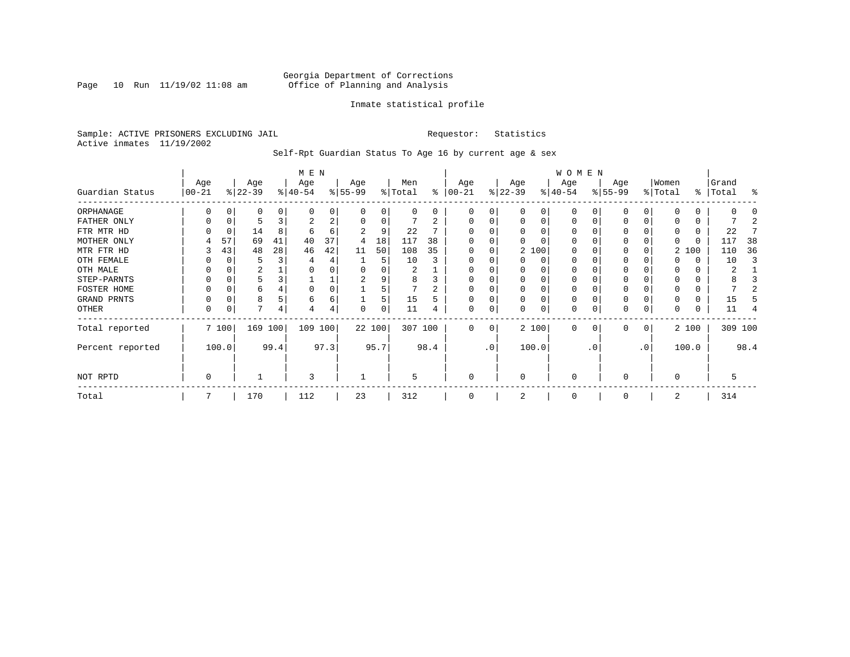Page  $10$  Run  $11/19/02$   $11:08$  am

### Inmate statistical profile

Sample: ACTIVE PRISONERS EXCLUDING JAIL **Requestor:** Statistics Active inmates 11/19/2002

Self-Rpt Guardian Status To Age 16 by current age & sex

|                  |                   |       |                  |      | M E N            |      |                 |          |                |      |                 |           |                 |          | W O M E N        |           |                  |              |                  |          |                |         |
|------------------|-------------------|-------|------------------|------|------------------|------|-----------------|----------|----------------|------|-----------------|-----------|-----------------|----------|------------------|-----------|------------------|--------------|------------------|----------|----------------|---------|
| Guardian Status  | Age<br>$ 00 - 21$ |       | Age<br>$ 22-39 $ |      | Age<br>$ 40-54 $ |      | Age<br>$ 55-99$ |          | Men<br>% Total | နွ   | Age<br>$ 00-21$ |           | Age<br>$ 22-39$ |          | Age<br>$8 40-54$ |           | Age<br>$ 55-99 $ |              | Women<br>% Total | ွေ       | Grand<br>Total | ႜ       |
| ORPHANAGE        |                   |       | 0                |      | n                | 0    |                 | 0        | 0              | 0    | 0               | 0         |                 | 0        | $\Omega$         |           |                  |              |                  | 0        |                |         |
| FATHER ONLY      |                   |       |                  |      |                  | 2    |                 | $\Omega$ |                |      | 0               | 0         |                 | $\Omega$ | $\Omega$         |           |                  |              |                  | 0        |                |         |
| FTR MTR HD       |                   |       | 14               | 8    | 6                | 6    |                 | 9        | 22             |      |                 |           |                 |          | O                |           |                  |              | 0                | 0        | 22             |         |
| MOTHER ONLY      | 4                 | 57    | 69               | 41   | 40               | 37   | 4               | 18       | 117            | 38   |                 |           |                 |          | O                |           |                  |              | 0                | $\Omega$ | 117            | 38      |
| MTR FTR HD       |                   | 43    | 48               | 28   | 46               | 42   | 11              | 50       | 108            | 35   | $\Omega$        | 0         |                 | 2 100    | $\Omega$         |           |                  |              |                  | 2 100    | 110            | 36      |
| OTH FEMALE       |                   |       | 5                |      |                  | 4    |                 | 5        | 10             |      |                 |           |                 | $\Omega$ | 0                |           |                  |              |                  | 0        | 10             |         |
| OTH MALE         |                   |       | 2                |      |                  |      |                 |          | 2              |      | $\Omega$        |           |                 |          | 0                |           |                  |              | 0                | 0        | 2              |         |
| STEP-PARNTS      |                   |       | 5                |      |                  | ᅩ    | 2               |          | 8              |      | $\Omega$        | 0         |                 | $\Omega$ | 0                |           | 0                |              | 0                | 0        |                |         |
| FOSTER HOME      |                   |       | 6                |      | 0                | 0    |                 |          |                |      | $\Omega$        |           |                 | $\Omega$ | 0                |           |                  |              | $\Omega$         | 0        |                |         |
| GRAND PRNTS      |                   |       | 8                |      | 6                | 6    |                 | 5        | 15             |      | $\Omega$        | 0         |                 | $\Omega$ | 0                |           |                  | 0            | 0                | 0        | 15             |         |
| OTHER            | 0                 |       | 7                | 4    |                  | 4    |                 | $\Omega$ | 11             |      | $\mathbf 0$     | 0         |                 | $\Omega$ | 0                |           |                  | 0            |                  | 0        | 11             |         |
| Total reported   |                   | 7 100 | 169 100          |      | 109 100          |      | 22 100          |          | 307 100        |      | $\Omega$        | 0         |                 | 2 100    | $\Omega$         | $\Omega$  | $\Omega$         | $\mathbf{0}$ |                  | 2 100    |                | 309 100 |
| Percent reported |                   | 100.0 |                  | 99.4 |                  | 97.3 |                 | 95.7     |                | 98.4 |                 | $\cdot$ 0 |                 | 100.0    |                  | $\cdot$ 0 |                  | .0'          |                  | 100.0    |                | 98.4    |
| NOT RPTD         | 0                 |       |                  |      | 3                |      |                 |          | 5              |      | $\mathbf 0$     |           | $\Omega$        |          | $\Omega$         |           | $\Omega$         |              | $\Omega$         |          | 5              |         |
| Total            |                   |       | 170              |      | 112              |      | 23              |          | 312            |      | 0               |           |                 |          | $\Omega$         |           |                  |              | 2                |          | 314            |         |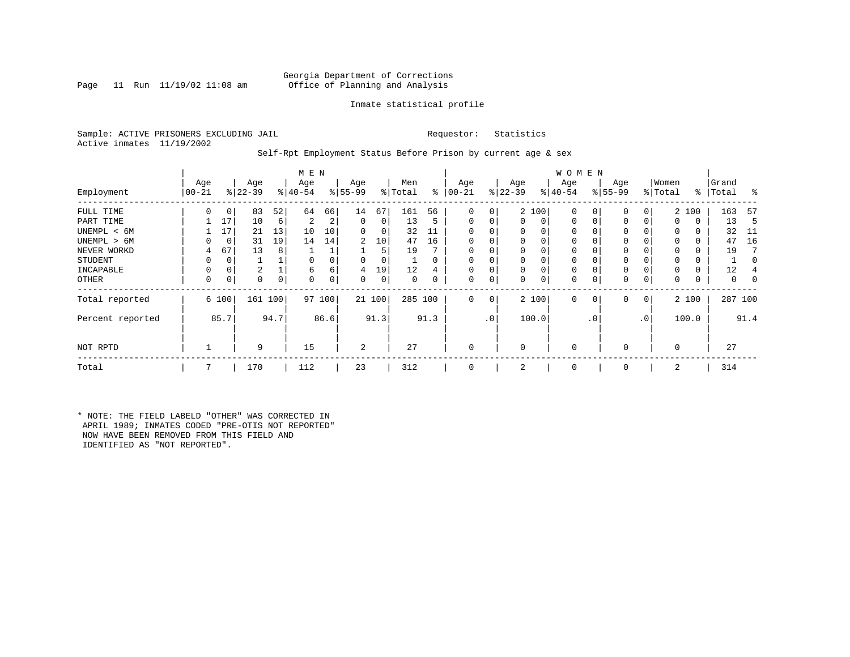### Georgia Department of Corrections<br>Page 11 Run 11/19/02 11:08 am Office of Planning and Analysis Office of Planning and Analysis

### Inmate statistical profile

Sample: ACTIVE PRISONERS EXCLUDING JAIL **Requestor:** Statistics Active inmates 11/19/2002

### Self-Rpt Employment Status Before Prison by current age & sex

|                  |                  |       |                  |         | M E N            |      |                 |       |                |      |                 |                 |                  |       | <b>WOMEN</b>     |             |                  |              |                  |       |                    |         |
|------------------|------------------|-------|------------------|---------|------------------|------|-----------------|-------|----------------|------|-----------------|-----------------|------------------|-------|------------------|-------------|------------------|--------------|------------------|-------|--------------------|---------|
| Employment       | Age<br>$00 - 21$ |       | Age<br>$ 22-39 $ |         | Age<br>$8 40-54$ |      | Age<br>$ 55-99$ |       | Men<br>% Total | ွေ   | Age<br>$ 00-21$ |                 | Age<br>$ 22-39 $ |       | Age<br>$ 40-54 $ |             | Age<br>$8 55-99$ |              | Women<br>% Total |       | Grand<br>%   Total | ႜ       |
| FULL TIME        | 0                | 0     | 83               | 52      | 64               | 66   | 14              | 67    | 161            | 56   | $\Omega$        | $\overline{0}$  |                  | 2 100 | $\mathbf 0$      | 0           | 0                | 0            |                  | 2 100 | 163                | 57      |
| PART TIME        |                  | 17    | 10               | 6       | 2                | 2    | $\mathbf 0$     | 0     | 13             | 5    | $\Omega$        | 0               | 0                | 0     | $\mathbf 0$      | $\mathbf 0$ | 0                |              | 0                | 0     | 13                 | -5      |
| UNEMPL < 6M      |                  | 17    | 21               | 13      | 10               | 10   | 0               | 0     | 32             | 11   | $\Omega$        |                 | 0                | 0     | 0                |             | 0                |              | 0                | 0     | 32                 | -11     |
| UNEMPL > 6M      | 0                | 0     | 31               | 19      | 14               | 14   | 2               | 10    | 47             | 16   | $\Omega$        |                 | $\Omega$         | 0     | 0                |             | $\Omega$         |              | $\Omega$         | 0     | 47                 | 16      |
| NEVER WORKD      | 4                | 67    | 13               | 8       |                  |      |                 | 5     | 19             |      | $\Omega$        |                 | 0                | 0     | 0                |             | 0                |              | $\Omega$         | 0     | 19                 |         |
| <b>STUDENT</b>   | 0                | 0     | ⊥                |         | $\Omega$         |      | $\Omega$        | 0     |                |      | 0               |                 | 0                | 0     | 0                |             | 0                |              | $\Omega$         | 0     |                    | 0       |
| INCAPABLE        | 0                | 0     | 2                |         | 6                | 6    | 4               | 19    | 12             |      | $\Omega$        |                 | 0                | 0     | 0                |             | 0                |              |                  | 0     | 12                 |         |
| OTHER            | 0                | 0     | 0                | 0       | $\Omega$         |      | $\Omega$        | 0     | 0              |      | $\Omega$        | 0               | $\Omega$         | 0     | 0                | 0           | 0                |              | $\Omega$         | 0     | 0                  | 0       |
| Total reported   |                  | 6 100 |                  | 161 100 | 97               | 100  |                 | 21100 | 285 100        |      | $\Omega$        | 0 <sup>1</sup>  |                  | 2 100 | $\mathbf 0$      | $\mathbf 0$ | 0                | $\mathbf{0}$ |                  | 2 100 |                    | 287 100 |
| Percent reported |                  | 85.7  |                  | 94.7    |                  | 86.6 |                 | 91.3  |                | 91.3 |                 | .0 <sup>1</sup> |                  | 100.0 |                  | . 0         |                  | $\cdot$ 0    |                  | 100.0 |                    | 91.4    |
| NOT RPTD         |                  |       | 9                |         | 15               |      | $\overline{a}$  |       | 27             |      | $\Omega$        |                 | $\Omega$         |       | $\mathbf 0$      |             | $\Omega$         |              | $\Omega$         |       | 27                 |         |
| Total            | 7                |       | 170              |         | 112              |      | 23              |       | 312            |      |                 |                 | 2                |       | 0                |             | $\mathbf 0$      |              | 2                |       | 314                |         |
|                  |                  |       |                  |         |                  |      |                 |       |                |      |                 |                 |                  |       |                  |             |                  |              |                  |       |                    |         |

\* NOTE: THE FIELD LABELD "OTHER" WAS CORRECTED IN APRIL 1989; INMATES CODED "PRE-OTIS NOT REPORTED" NOW HAVE BEEN REMOVED FROM THIS FIELD AND IDENTIFIED AS "NOT REPORTED".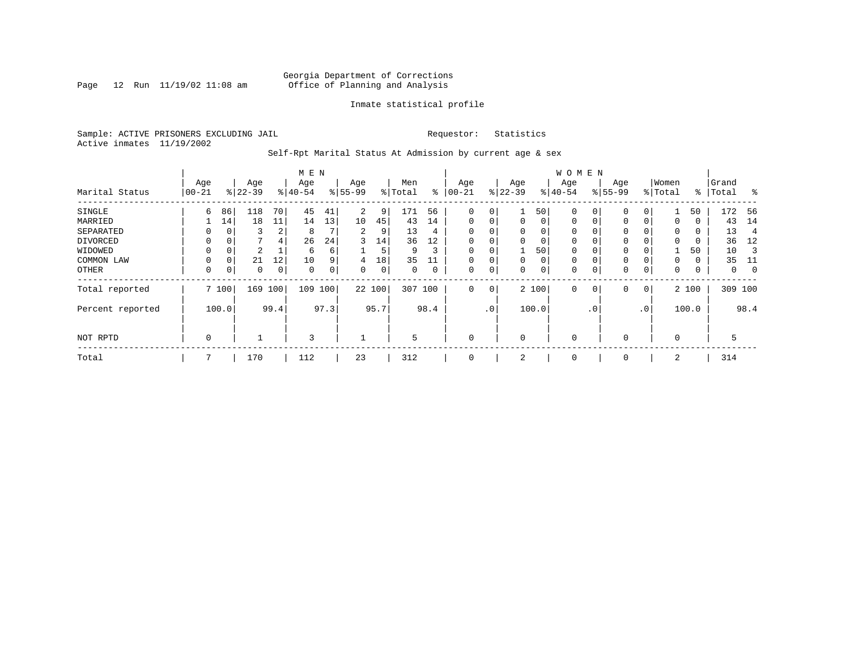Page 12 Run  $11/19/02$  11:08 am

### Inmate statistical profile

Sample: ACTIVE PRISONERS EXCLUDING JAIL **Requestor:** Statistics Active inmates 11/19/2002

Self-Rpt Marital Status At Admission by current age & sex

|                  |          |          |           |                | M E N     |             |           |      |         |      |             |     |             |          | <b>WOMEN</b> |                |             |          |          |       |         |             |
|------------------|----------|----------|-----------|----------------|-----------|-------------|-----------|------|---------|------|-------------|-----|-------------|----------|--------------|----------------|-------------|----------|----------|-------|---------|-------------|
|                  | Age      |          | Age       |                | Age       |             | Age       |      | Men     |      | Age         |     | Age         |          | Age          |                | Age         |          | Women    |       | Grand   |             |
| Marital Status   | $ 00-21$ |          | $ 22-39 $ |                | $8 40-54$ |             | $8 55-99$ |      | % Total | ွေ   | $00 - 21$   |     | $ 22-39$    |          | $ 40-54 $    |                | $8 55-99$   |          | % Total  | ႜ     | Total   | ွေ          |
| SINGLE           | 6        | 86       | 118       | 70             | 45        | 41          | 2         | 9    | 171     | 56   | 0           | 0   |             | 50       | 0            | 0              | 0           | 0        |          | 50    | 172     | - 56        |
| MARRIED          |          | 14       | 18        | 11             | 14        | 13          | 10        | 45   | 43      | 14   | $\mathbf 0$ | 0   | $\mathbf 0$ | $\Omega$ | 0            | 0              | 0           | $\Omega$ | 0        | 0     | 43      | 14          |
| SEPARATED        | 0        | $\Omega$ | 3         | 2              | 8         |             | 2         | 9    | 13      | 4    | $\Omega$    | 0   | $\Omega$    | $\Omega$ | 0            |                | 0           |          | $\Omega$ | 0     | 13      | 4           |
| DIVORCED         | 0        | 0        |           | $\overline{4}$ | 26        | 24          | 3         | 14   | 36      | 12   | 0           | 0   | $\Omega$    | 0        | 0            |                | 0           |          | $\Omega$ | 0     | 36      | 12          |
| WIDOWED          |          | 0        | 2         |                | 6         | б.          |           | 5    | 9       | 3    | 0           | 0   |             | 50       | 0            |                | 0           |          |          | 50    | 10      |             |
| COMMON LAW       | 0        | $\Omega$ | 21        | 12             | 10        | 9           | 4         | 18   | 35      |      |             | 0   | $\Omega$    | 0        | $\mathbf 0$  |                | 0           |          | $\Omega$ | 0     | 35      |             |
| OTHER            | 0        | 0        | 0         | 0              | 0         | $\mathbf 0$ | 0         | 0    | 0       | 0    | $\mathbf 0$ | 0   | $\Omega$    | 0        | 0            |                | $\mathbf 0$ | 0        | 0        | 0     | 0       | $\mathbf 0$ |
| Total reported   |          | 7 100    | 169       | 100            | 109       | 100         | 22 100    |      | 307     | 100  | $\mathbf 0$ | 0   |             | 2 100    | 0            | $\overline{0}$ | $\mathbf 0$ | 0        |          | 2 100 | 309 100 |             |
| Percent reported |          | 100.0    |           | 99.4           |           | 97.3        |           | 95.7 |         | 98.4 |             | .0' |             | 100.0    |              | $\cdot$ 0      |             | .0'      |          | 100.0 |         | 98.4        |
| NOT RPTD         | 0        |          |           |                | 3         |             |           |      | 5       |      | $\mathbf 0$ |     | $\Omega$    |          | 0            |                | 0           |          | $\Omega$ |       | 5       |             |
| Total            |          |          | 170       |                | 112       |             | 23        |      | 312     |      | 0           |     | 2           |          | 0            |                | 0           |          | 2        |       | 314     |             |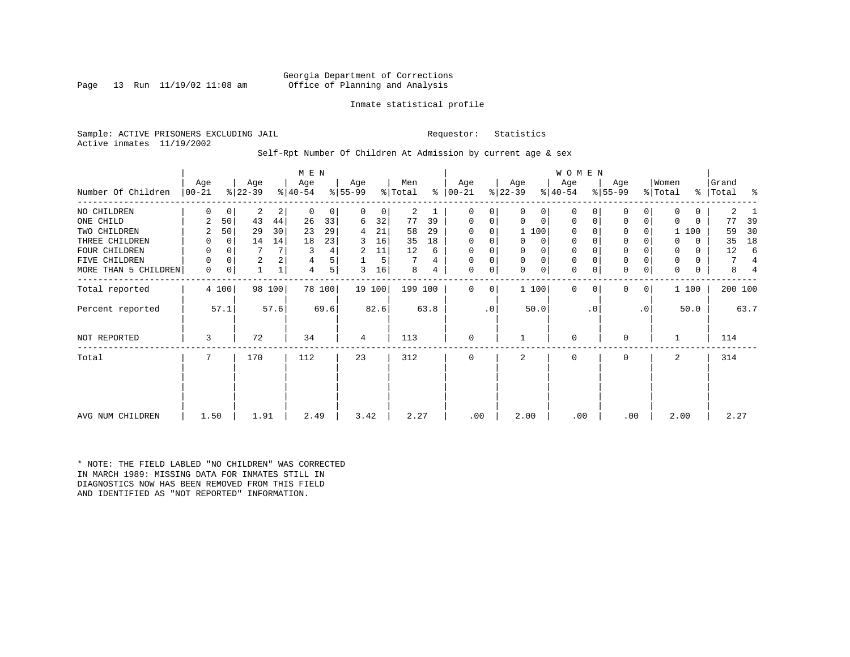### Georgia Department of Corrections<br>Page 13 Run 11/19/02 11:08 am Office of Planning and Analysis Office of Planning and Analysis

### Inmate statistical profile

Sample: ACTIVE PRISONERS EXCLUDING JAIL **Requestor:** Statistics Active inmates 11/19/2002

Self-Rpt Number Of Children At Admission by current age & sex

| Number Of Children   | Age<br>$ 00 - 21$ |             | Age<br>$ 22-39 $ |        | M E N<br>Age<br>$ 40-54 $ |        | Age<br>$8 55-99$ |                | Men<br>% Total |      | Age<br>$8   00 - 21$ |           | Age<br>$ 22-39 $ |              | W O M E N<br>Age<br>$ 40-54 $ |           | Age<br>$8 55-99$ |           | Women<br>% Total | ႜၟ       | Grand<br>Total | ႜ    |
|----------------------|-------------------|-------------|------------------|--------|---------------------------|--------|------------------|----------------|----------------|------|----------------------|-----------|------------------|--------------|-------------------------------|-----------|------------------|-----------|------------------|----------|----------------|------|
| NO CHILDREN          | 0                 | 0           | 2                | 2      | $\mathbf 0$               | 0      | $\Omega$         | 0 <sup>1</sup> | 2              |      | 0                    | 0         | $\Omega$         | 0            | 0                             |           | 0                | 0         | $\Omega$         | 0        | 2              |      |
| ONE CHILD            | 2                 | 50          | 43               | 44     | 26                        | 33     | 6                | 32             | 77             | 39   | 0                    | 0         | $\Omega$         | $\mathbf 0$  | 0                             | 0         | 0                | 0         | $\Omega$         | 0        | 77             | 39   |
| TWO CHILDREN         | 2                 | 50          | 29               | 30     | 23                        | 29     | 4                | 21             | 58             | 29   | $\Omega$             | 0         |                  | 1 100        | $\Omega$                      |           | 0                |           |                  | 1 100    | 59             | 30   |
| THREE CHILDREN       | 0                 | $\mathbf 0$ | 14               | 14     | 18                        | 23     | 3                | 16             | 35             | 18   | 0                    | 0         | $\Omega$         | $\circ$      | 0                             |           | $\mathbf 0$      | 0         |                  | $\Omega$ | 35             | 18   |
| FOUR CHILDREN        | 0                 | $\Omega$    |                  |        | 3                         | 4      | 2                | 11             | 12             | 6    | $\Omega$             |           |                  | $\mathbf 0$  | 0                             |           | $\mathbf 0$      |           | 0                | 0        | 12             |      |
| FIVE CHILDREN        | 0                 | $\Omega$    | 2                |        | 4                         | 5      |                  | 5              |                | 4    | $\mathbf 0$          | 0         | $\mathbf 0$      | $\mathsf{O}$ | $\mathbf 0$                   |           | $\mathbf 0$      |           |                  | 0        | 7              | 4    |
| MORE THAN 5 CHILDREN | $\mathbf 0$       | 0           | $\mathbf 1$      |        | 4                         | 5      | 3                | 16             | 8              | 4    | $\mathbf 0$          | 0         | $\Omega$         | $\mathbf 0$  | $\mathbf 0$                   | 0         | $\mathbf 0$      | 0         | 0                | 0        | 8              |      |
| Total reported       |                   | 4 100       |                  | 98 100 |                           | 78 100 |                  | 19 100         | 199 100        |      | $\Omega$             | 0         |                  | 1 100        | $\Omega$                      | $\Omega$  | $\Omega$         | 0         |                  | 1 100    | 200 100        |      |
| Percent reported     |                   | 57.1        |                  | 57.6   |                           | 69.6   |                  | 82.6           |                | 63.8 |                      | $\cdot$ 0 |                  | 50.0         |                               | $\cdot$ 0 |                  | $\cdot$ 0 |                  | 50.0     |                | 63.7 |
| NOT REPORTED         | 3                 |             | 72               |        | 34                        |        | 4                |                | 113            |      | $\mathbf 0$          |           |                  |              | 0                             |           | 0                |           |                  |          | 114            |      |
| Total                | 7                 |             | 170              |        | 112                       |        | 23               |                | 312            |      | $\mathbf 0$          |           | 2                |              | $\mathbf 0$                   |           | $\mathbf 0$      |           | 2                |          | 314            |      |
|                      |                   |             |                  |        |                           |        |                  |                |                |      |                      |           |                  |              |                               |           |                  |           |                  |          |                |      |
| AVG NUM CHILDREN     | 1.50              |             | 1.91             |        | 2.49                      |        | 3.42             |                | 2.27           |      | .00                  |           | 2.00             |              | .00                           |           | .00              |           | 2.00             |          | 2.27           |      |

\* NOTE: THE FIELD LABLED "NO CHILDREN" WAS CORRECTED IN MARCH 1989: MISSING DATA FOR INMATES STILL IN DIAGNOSTICS NOW HAS BEEN REMOVED FROM THIS FIELD AND IDENTIFIED AS "NOT REPORTED" INFORMATION.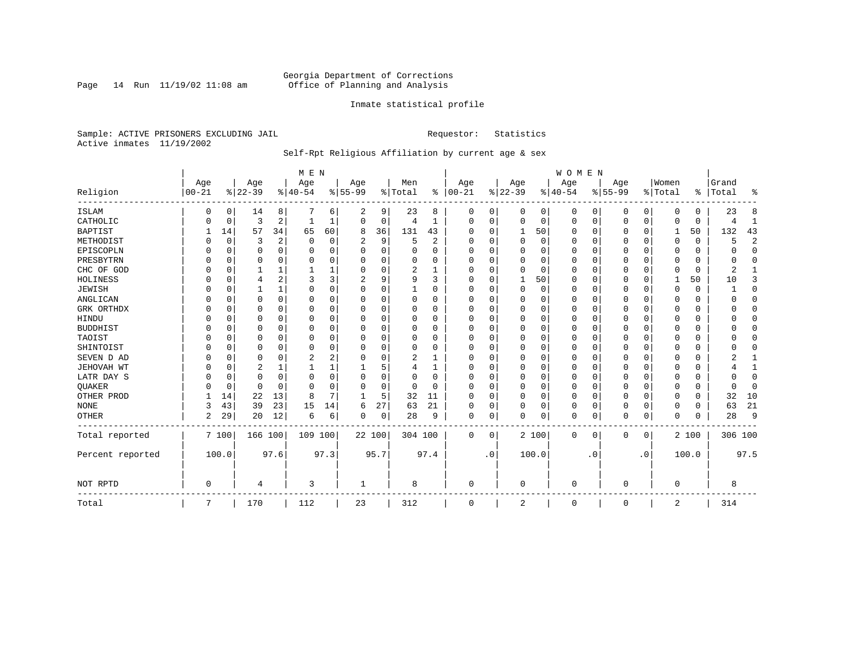Page 14 Run  $11/19/02$  11:08 am

### Inmate statistical profile

Sample: ACTIVE PRISONERS EXCLUDING JAIL **Requestor:** Statistics Active inmates 11/19/2002

### Self-Rpt Religious Affiliation by current age & sex

|                  |            |          |           |              | M E N    |          |              |          |          |                |          |           |             |          | WOMEN        |           |           |                |                |             |           |                |
|------------------|------------|----------|-----------|--------------|----------|----------|--------------|----------|----------|----------------|----------|-----------|-------------|----------|--------------|-----------|-----------|----------------|----------------|-------------|-----------|----------------|
|                  | Age        |          | Age       |              | Age      |          | Age          |          | Men      |                | Age      |           | Age         |          | Age          |           | Age       |                | Women          |             | Grand     |                |
| Religion         | $ 00 - 21$ |          | $8 22-39$ |              | $ 40-54$ |          | $8 55-99$    |          | % Total  | ွေ             | $ 00-21$ |           | $ 22-39$    |          | $ 40-54$     |           | $8 55-99$ |                | % Total        |             | %   Total | ႜ              |
| <b>ISLAM</b>     | 0          | 0        | 14        | 8            |          | 6        | 2            | 9        | 23       | 8              | 0        | 0         | 0           | 0        | 0            | 0         | 0         | 0              | $\Omega$       | 0           | 23        | 8              |
| CATHOLIC         |            | 0        | 3         | 2            |          |          | $\Omega$     | 0        | 4        | 1              | $\Omega$ | 0         | $\mathbf 0$ | 0        | 0            | 0         | 0         | 0              | $\Omega$       | $\mathbf 0$ |           | 1              |
| <b>BAPTIST</b>   |            | 14       | 57        | 34           | 65       | 60       | 8            | 36       | 131      | 43             | O        | $\Omega$  | 1           | 50       | <sup>0</sup> | 0         | 0         | $\Omega$       | 1              | 50          | 132       | 43             |
| METHODIST        |            | 0        | 3         | 2            | $\Omega$ | $\Omega$ | 2            | 9        | 5        | $\overline{2}$ | $\Omega$ | $\Omega$  | $\Omega$    | $\Omega$ | <sup>0</sup> | $\Omega$  | 0         | $\Omega$       | $\Omega$       | $\mathbf 0$ | 5         | $\overline{2}$ |
| EPISCOPLN        |            | $\Omega$ | 0         | 0            | 0        | 0        |              | $\Omega$ |          | O              |          | $\Omega$  | 0           | 0        |              | $\Omega$  | 0         | 0              |                | 0           |           | $\Omega$       |
| PRESBYTRN        |            | $\Omega$ | 0         | 0            | 0        | 0        | U            | O        | 0        | 0              | $\Omega$ | ∩         | $\Omega$    | $\Omega$ | 0            | $\Omega$  | 0         | U              | $\Omega$       | 0           |           | $\Omega$       |
| CHC OF GOD       |            | 0        |           | 1            |          |          |              | O        | 2        | -1             | O        | $\Omega$  | $\Omega$    | $\Omega$ | <sup>0</sup> | $\Omega$  | U         | 0              | $\Omega$       | $\Omega$    |           |                |
| HOLINESS         |            | $\Omega$ | 4         | 2            | 3        | 3        |              | 9        | 9        | 3              | $\Omega$ | $\Omega$  |             | 50       | <sup>0</sup> | $\Omega$  | 0         | 0              | -1             | 50          | 10        | 3              |
| <b>JEWISH</b>    |            | $\Omega$ |           | $\mathbf{1}$ | O        | $\Omega$ | O            | 0        |          | O              | O        |           | $\Omega$    | $\Omega$ |              | $\Omega$  | 0         | $\Omega$       | O              |             |           | $\Omega$       |
| ANGLICAN         |            | 0        | 0         | $\Omega$     | O        | U        | U            | O        | $\Omega$ | O              | $\Omega$ |           | C           | $\Omega$ | O            | $\Omega$  | 0         | $\Omega$       | $\Omega$       | 0           |           | $\mathbf 0$    |
| GRK ORTHDX       |            | $\Omega$ | 0         | 0            | O        | 0        | U            | U        | $\Omega$ | O              | $\Omega$ | $\Omega$  | O           | 0        | <sup>0</sup> | $\Omega$  | 0         | 0              | $\Omega$       | $\Omega$    |           | $\Omega$       |
| HINDU            |            | $\Omega$ | U         | 0            | O        | O        |              | 0        | $\Omega$ | 0              |          | $\Omega$  | O           | 0        | 0            | $\Omega$  | 0         | U              | O              | 0           |           | $\Omega$       |
| <b>BUDDHIST</b>  |            | $\Omega$ | U         | 0            | O        | $\Omega$ |              | O        | 0        | O              |          | $\Omega$  | O           | $\Omega$ |              | $\Omega$  | 0         | U              | O              | O           |           | $\Omega$       |
| TAOIST           |            | $\Omega$ | O         | $\Omega$     | O        | O        |              | O        | 0        | O              |          |           | $\Omega$    | $\Omega$ | O            | $\Omega$  | 0         | U              |                | U           |           | $\Omega$       |
| SHINTOIST        |            | $\Omega$ | U         | 0            | $\Omega$ | O        | U            | U        | $\Omega$ | O              | O        | $\Omega$  | $\Omega$    | 0        | 0            | $\Omega$  | 0         | 0              | ∩              | O           |           | ∩              |
| SEVEN D AD       |            | $\Omega$ | U         | O            |          | 2        | U            | 0        | 2        |                | O        |           | $\cap$      | $\Omega$ | <sup>0</sup> | $\Omega$  | U         | O              | $\Omega$       | O           |           |                |
| JEHOVAH WT       |            | $\Omega$ | 2         | 1            |          |          |              | 5        | 4        |                | $\Omega$ |           | O           | 0        | 0            | $\Omega$  | 0         | 0              | $\Omega$       | U           |           | 1              |
| LATR DAY S       |            | 0        | 0         | 0            | 0        | $\Omega$ | U            | 0        | 0        | 0              | $\Omega$ |           | O           | $\Omega$ | 0            | $\Omega$  | 0         | U              | $\Omega$       | 0           |           | $\mathbf{0}$   |
| QUAKER           |            | 0        | 0         | $\Omega$     | $\Omega$ | $\Omega$ | U            | 0        | 0        | $\Omega$       | $\Omega$ | $\Omega$  | $\mathbf 0$ | $\Omega$ | <sup>0</sup> | $\Omega$  | 0         | $\Omega$       | $\Omega$       | 0           |           | $\mathbf{0}$   |
| OTHER PROD       |            | 14       | 22        | 13           | 8        | 7        |              | 5        | 32       | 11             | $\Omega$ | $\Omega$  | $\mathbf 0$ | 0        | $\Omega$     | $\Omega$  | 0         | $\Omega$       | $\Omega$       | 0           | 32        | 10             |
| <b>NONE</b>      | 3          | 43       | 39        | 23           | 15       | 14       | 6            | 27       | 63       | 21             | $\Omega$ | 0         | $\Omega$    | 0        | 0            | $\Omega$  | 0         | 0              | $\Omega$       | 0           | 63        | 21             |
| <b>OTHER</b>     | 2          | 29       | 20        | 12           | 6        | 6        | 0            | 0        | 28       | 9              | 0        | 0         | $\Omega$    | 0        | 0            | $\Omega$  | 0         | 0              | $\Omega$       | $\Omega$    | 28        | 9              |
| Total reported   |            | 7 100    | 166 100   |              | 109 100  |          | 22 100       |          | 304 100  |                | 0        | 0         |             | 2 100    | 0            | 0         | 0         | $\overline{0}$ |                | 2 100       | 306 100   |                |
| Percent reported |            | 100.0    |           | 97.6         |          | 97.3     |              | 95.7     |          | 97.4           |          | $\cdot$ 0 |             | 100.0    |              | $\cdot$ 0 |           | $\cdot$ 0      |                | 100.0       |           | 97.5           |
| NOT RPTD         | $\Omega$   |          | 4         |              | 3        |          | $\mathbf{1}$ |          | 8        |                | $\Omega$ |           | $\Omega$    |          | $\Omega$     |           | U         |                | $\Omega$       |             | 8         |                |
| Total            | 7          |          | 170       |              | 112      |          | 23           |          | 312      |                | 0        |           | 2           |          | 0            |           | 0         |                | $\overline{2}$ |             | 314       |                |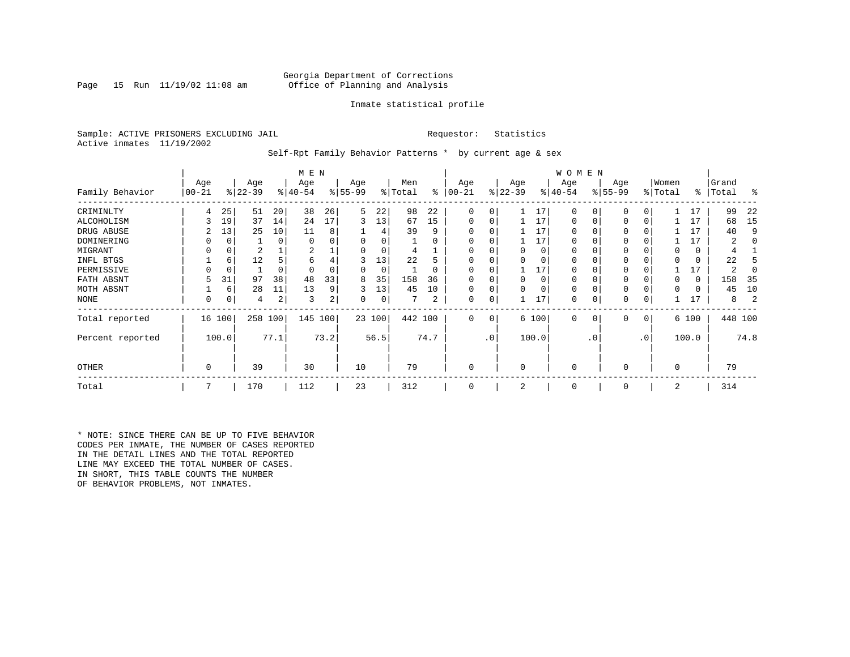### Georgia Department of Corrections<br>Page 15 Run 11/19/02 11:08 am Office of Planning and Analysis Office of Planning and Analysis

### Inmate statistical profile

Sample: ACTIVE PRISONERS EXCLUDING JAIL **Requestor:** Statistics Active inmates 11/19/2002

Self-Rpt Family Behavior Patterns \* by current age & sex

|                  |                 |             |                  |       | M E N            |      |                 |        |                |          |                  |                 |                  |          | W O M E N       |           |                 |           |                  |       |                |         |
|------------------|-----------------|-------------|------------------|-------|------------------|------|-----------------|--------|----------------|----------|------------------|-----------------|------------------|----------|-----------------|-----------|-----------------|-----------|------------------|-------|----------------|---------|
| Family Behavior  | Age<br>$ 00-21$ |             | Age<br>$ 22-39 $ |       | Age<br>$ 40-54 $ |      | Age<br>$ 55-99$ |        | Men<br>% Total | ႜ        | Age<br>$00 - 21$ |                 | Age<br>$ 22-39 $ |          | Age<br>$ 40-54$ |           | Age<br>$ 55-99$ |           | Women<br>% Total | ∻     | Grand<br>Total | ႜ       |
| CRIMINLTY        | 4               | 25          | 51               | 20    | 38               | 26   | 5               | 22     | 98             | 22       | $\Omega$         | 0               |                  | 17       | $\Omega$        | 0         | $\Omega$        |           |                  | 17    | 99             | 22      |
| ALCOHOLISM       |                 | 19          | 37               | 14    | 24               | 17   | 3               | 13     | 67             | 15       | 0                | 0               |                  | 17       | 0               |           | $\Omega$        | 0         |                  | 17    | 68             | 15      |
| DRUG ABUSE       |                 | 13          | 25               | 10    | 11               | 8    |                 |        | 39             | 9        |                  |                 |                  | 17       | U               |           |                 |           |                  | 17    | 40             | 9       |
| DOMINERING       |                 | $\Omega$    |                  | 0     | $\Omega$         |      |                 |        |                | O        |                  |                 |                  | 17       | <sup>0</sup>    |           |                 |           |                  | 17    |                |         |
| MIGRANT          |                 | 0           | 2                |       | 2                |      |                 | 0      |                |          |                  |                 |                  | 0        | 0               |           | $\Omega$        |           |                  | 0     |                |         |
| INFL BTGS        |                 | 6           | 12               |       | 6                | 4    | 3               | 13     | 22             | h        |                  |                 |                  | $\Omega$ | 0               |           | $\Omega$        |           |                  | 0     | 22             |         |
| PERMISSIVE       |                 | $\mathbf 0$ |                  | 0     | $\Omega$         |      | O               | 0      |                | $\Omega$ | $\Omega$         | O               |                  | 17       | 0               |           | $\Omega$        |           |                  | 17    |                |         |
| FATH ABSNT       |                 | 31          | 97               | 38    | 48               | 33   | 8               | 35     | 158            | 36       |                  |                 |                  | $\Omega$ | 0               |           |                 |           |                  | 0     | 158            | -35     |
| MOTH ABSNT       |                 | 6           | 28               | 11    | 13               | 9    | 3               | 13     | 45             | 10       | 0                | 0               |                  | $\Omega$ | 0               |           | $\Omega$        |           |                  | 0     | 45             | 10      |
| NONE             | 0               | 0           | 4                | 2     | 3                | 2    | 0               | 0      |                | 2        | 0                | 0               |                  | 17       | 0               |           | 0               |           |                  | 17    | 8              |         |
| Total reported   |                 | 16 100      | 258              | 100   | 145              | 100  |                 | 23 100 | 442 100        |          | 0                | 0               |                  | 6 100    | $\mathbf 0$     | 0         | 0               | 0         |                  | 6 100 |                | 448 100 |
| Percent reported |                 | 100.0       |                  | 77.1' |                  | 73.2 |                 | 56.5   |                | 74.7     |                  | .0 <sup>1</sup> |                  | 100.0    |                 | $\cdot$ 0 |                 | $\cdot$ 0 |                  | 100.0 |                | 74.8    |
| <b>OTHER</b>     | 0               |             | 39               |       | 30               |      | 10              |        | 79             |          | 0                |                 | $\Omega$         |          | $\Omega$        |           | $\Omega$        |           | $\Omega$         |       | 79             |         |
| Total            | 7               |             | 170              |       | 112              |      | 23              |        | 312            |          | 0                |                 | 2                |          | $\mathbf 0$     |           | 0               |           | 2                |       | 314            |         |

\* NOTE: SINCE THERE CAN BE UP TO FIVE BEHAVIOR CODES PER INMATE, THE NUMBER OF CASES REPORTED IN THE DETAIL LINES AND THE TOTAL REPORTED LINE MAY EXCEED THE TOTAL NUMBER OF CASES. IN SHORT, THIS TABLE COUNTS THE NUMBER OF BEHAVIOR PROBLEMS, NOT INMATES.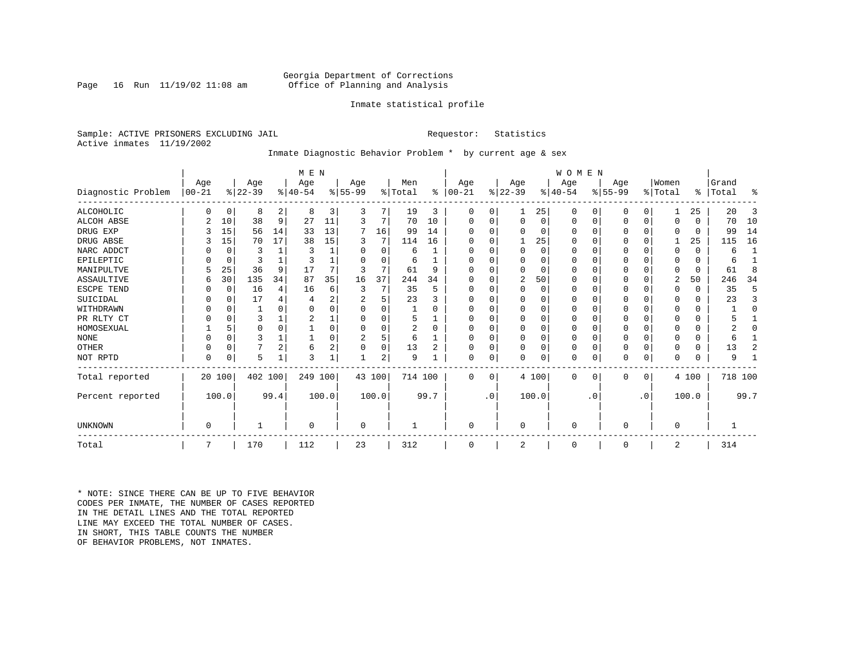### Georgia Department of Corrections<br>Page 16 Run 11/19/02 11:08 am Office of Planning and Analysis Office of Planning and Analysis

### Inmate statistical profile

Sample: ACTIVE PRISONERS EXCLUDING JAIL **Requestor:** Statistics Active inmates 11/19/2002

### Inmate Diagnostic Behavior Problem \* by current age & sex

|                    |              |          |           |                | M E N     |                |                |          |                |          |           |           |             |          | <b>WOMEN</b> |           |           |             |          |          |           |              |
|--------------------|--------------|----------|-----------|----------------|-----------|----------------|----------------|----------|----------------|----------|-----------|-----------|-------------|----------|--------------|-----------|-----------|-------------|----------|----------|-----------|--------------|
|                    | Age          |          | Age       |                | Age       |                | Age            |          | Men            |          | Age       |           | Age         |          | Age          |           | Age       |             | Women    |          | Grand     |              |
| Diagnostic Problem | $ 00 - 21$   |          | $ 22-39 $ |                | $8 40-54$ |                | $ 55-99$       |          | % Total        | ွေ       | $ 00-21 $ |           | $ 22-39 $   |          | $ 40-54 $    |           | $ 55-99 $ |             | % Total  |          | %   Total | ႜ            |
| ALCOHOLIC          | <sup>0</sup> | 0        | 8         | 2              | 8         | 3              | 3              |          | 19             | 3        | 0         | 0         |             | 25       | 0            | 0         | 0         | $\Omega$    |          | 25       | 20        | 3            |
| <b>ALCOH ABSE</b>  |              | 10       | 38        | 9              | 27        | 11             | 3              | 7        | 70             | 10       | 0         | 0         | $\mathbf 0$ | 0        | 0            | 0         | 0         | $\mathbf 0$ | $\Omega$ | $\Omega$ | 70        | 10           |
| DRUG EXP           |              | 15       | 56        | 14             | 33        | 13             | 7              | 16       | 99             | 14       |           |           | $\Omega$    | 0        | $\Omega$     | 0         | 0         | $\Omega$    | $\Omega$ | $\Omega$ | 99        | 14           |
| DRUG ABSE          |              | 15       | 70        | 17             | 38        | 15             | 3              | 7        | 114            | 16       | U         |           |             | 25       | 0            | 0         | 0         | $\Omega$    |          | 25       | 115       | 16           |
| NARC ADDCT         |              | 0        | 3         |                | 3         |                | O              | $\Omega$ | 6              |          |           |           | $\Omega$    | $\Omega$ | $\Omega$     | $\Omega$  | U         | $\Omega$    | $\Omega$ | $\Omega$ | 6         | $\mathbf{1}$ |
| EPILEPTIC          |              | 0        | 3         |                |           |                | U              | $\Omega$ | 6              |          | U         |           | $\Omega$    | O        | $\Omega$     | $\Omega$  | U         | $\Omega$    | $\Omega$ | $\Omega$ | 6         |              |
| MANIPULTVE         |              | 25       | 36        | 9              | 17        |                |                | 7        | 61             | 9        |           |           | $\Omega$    | 0        | $\Omega$     | $\Omega$  | 0         | $\Omega$    | $\Omega$ | $\Omega$ | 61        | 8            |
| ASSAULTIVE         | 6            | 30       | 135       | 34             | 87        | 35             | 16             | 37       | 244            | 34       | U         |           | 2           | 50       | $\Omega$     | 0         | 0         | 0           | 2        | 50       | 246       | 34           |
| ESCPE TEND         |              | 0        | 16        | 4              | 16        | 6              | 3              | 7        | 35             | 5        | U         |           | $\Omega$    | 0        | $\Omega$     | $\Omega$  |           | O           | $\Omega$ | $\Omega$ | 35        | 5            |
| SUICIDAL           |              | 0        | 17        | 4              |           | 2              |                | 5        | 23             |          | ∩         |           | $\Omega$    | O        | $\Omega$     | $\Omega$  |           | O           | ∩        | $\Omega$ | 23        | 3            |
| WITHDRAWN          |              | $\Omega$ |           |                |           |                |                | U        |                |          |           |           | $\Omega$    | O        | 0            | $\Omega$  |           | O           |          | U        |           | $\Omega$     |
| PR RLTY CT         |              | $\Omega$ | 3         |                |           |                |                | U        | 5              |          | $\Omega$  |           | $\Omega$    | O        | $\Omega$     | $\Omega$  |           | $\Omega$    | $\Omega$ | $\Omega$ |           |              |
| HOMOSEXUAL         |              | 5        | $\Omega$  | $\Omega$       |           |                |                | U        | $\overline{a}$ | $\Omega$ | ∩         |           | $\Omega$    | $\Omega$ | $\Omega$     | $\Omega$  | 0         | $\Omega$    |          | U        |           | O            |
| <b>NONE</b>        |              | $\Omega$ | ς         |                |           |                | $\overline{c}$ | 5        | 6              |          | ∩         |           | $\Omega$    | O        | $\Omega$     | $\Omega$  | U         | $\Omega$    | ∩        | 0        | 6         |              |
| OTHER              |              | $\Omega$ |           | $\overline{2}$ | 6         | $\overline{2}$ |                | 0        | 13             | 2        | $\Omega$  |           | $\Omega$    | O        | 0            | $\Omega$  | 0         | $\Omega$    | $\Omega$ | $\Omega$ | 13        | 2            |
| NOT RPTD           | $\Omega$     | 0        | 5         |                | २         |                |                | 2        | 9              |          | $\Omega$  | 0         | $\mathbf 0$ | 0        | 0            | 0         | U         | 0           | $\Omega$ | $\Omega$ | 9         |              |
| Total reported     |              | 20 100   | 402 100   |                | 249 100   |                |                | 43 100   | 714 100        |          | $\Omega$  | $\Omega$  |             | 4 100    | $\Omega$     | 0         | 0         | 0           |          | 4 100    | 718 100   |              |
| Percent reported   |              | 100.0    |           | 99.4           |           | 100.0          |                | 100.0    |                | 99.7     |           | $\cdot$ 0 |             | 100.0    |              | $\cdot$ 0 |           | $\cdot$ 0   |          | 100.0    |           | 99.7         |
|                    |              |          |           |                |           |                |                |          |                |          |           |           |             |          |              |           |           |             |          |          |           |              |
| <b>UNKNOWN</b>     | $\Omega$     |          |           |                | $\Omega$  |                | 0              |          |                |          | $\Omega$  |           | $\mathbf 0$ |          | $\Omega$     |           | 0         |             | $\Omega$ |          |           |              |
| Total              |              |          | 170       |                | 112       |                | 23             |          | 312            |          | $\Omega$  |           | 2           |          | 0            |           | 0         |             | 2        |          | 314       |              |

\* NOTE: SINCE THERE CAN BE UP TO FIVE BEHAVIOR CODES PER INMATE, THE NUMBER OF CASES REPORTED IN THE DETAIL LINES AND THE TOTAL REPORTED LINE MAY EXCEED THE TOTAL NUMBER OF CASES.IN SHORT, THIS TABLE COUNTS THE NUMBER OF BEHAVIOR PROBLEMS, NOT INMATES.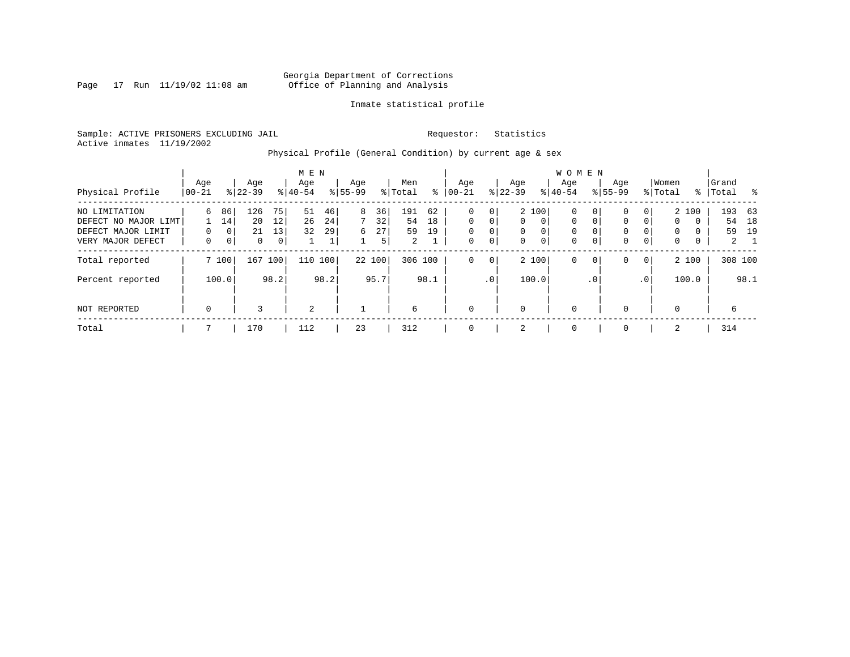Page 17 Run  $11/19/02$  11:08 am

### Inmate statistical profile

Sample: ACTIVE PRISONERS EXCLUDING JAIL **Requestor:** Statistics Active inmates 11/19/2002

Physical Profile (General Condition) by current age & sex

|                      |             |                |              |      | M E N     |      |           |        |                |      |             |              |           |                | W O M E N   |                |              |             |             |          |       |             |
|----------------------|-------------|----------------|--------------|------|-----------|------|-----------|--------|----------------|------|-------------|--------------|-----------|----------------|-------------|----------------|--------------|-------------|-------------|----------|-------|-------------|
|                      | Age         |                | Age          |      | Age       |      | Age       |        | Men            |      | Age         |              | Age       |                | Aqe         |                | Age          |             | Women       |          | Grand |             |
| Physical Profile     | 00-21       |                | $8 22-39$    |      | $8 40-54$ |      | $8 55-99$ |        | % Total        | ႜ    | $ 00-21$    |              | $ 22-39 $ |                | $8 40-54$   |                | $8155 - 99$  |             | % Total     | ႜ        | Total | ႜႂ          |
| NO LIMITATION        | 6           | 86             | 126          | 75   | 51        | 46   | 8         | 36     | 191            | 62   | $\mathbf 0$ | $\mathbf{0}$ |           | 2 100          | 0           | 0 <sup>1</sup> | $\mathbf{0}$ | 0           |             | 2 100    |       | 193 63      |
| DEFECT NO MAJOR LIMT |             | 14             | 20           | 12   | 26        | 24   | 7         | 32     | 54             | 18   | $\Omega$    | 0            | $\Omega$  | $\Omega$       | 0           | $\mathbf{0}$   | $\mathbf 0$  | $\Omega$    | $\mathbf 0$ | $\Omega$ | 54    | 18          |
| DEFECT MAJOR LIMIT   | $\Omega$    | 0 <sup>1</sup> | 21           | 13   | 32        | 29   | б.        | 27     | 59             | 19   | $\mathbf 0$ | $\mathbf 0$  | $\Omega$  | $\Omega$       | 0           |                | $\mathbf{0}$ |             | $\Omega$    | $\Omega$ | 59    | 19          |
| VERY MAJOR DEFECT    | 0           | 0 <sup>1</sup> | $\mathbf{0}$ | 0    |           | Τ.   |           | 5      | $\overline{2}$ |      | $\mathbf 0$ | 0            | 0         | $\overline{0}$ | $\mathbf 0$ | 0              | $\mathbf 0$  | $\mathbf 0$ | 0           | 0        |       | $2 \quad 1$ |
| Total reported       |             | 7 100          | 167          | 100  | 110       | 100  |           | 22 100 | 306 100        |      | $\mathbf 0$ | 0            |           | 2 100          | 0           | $\mathbf{0}$   | $\mathbf{0}$ | $\mathbf 0$ |             | 2 100    |       | 308 100     |
| Percent reported     |             | 100.0          |              | 98.2 |           | 98.2 |           | 95.7   |                | 98.1 |             | $\cdot$ 0    |           | 100.0          |             | $\cdot$ 0      |              | .0'         |             | 100.0    |       | 98.1        |
| NOT REPORTED         | $\mathbf 0$ |                | 3            |      | 2         |      |           |        | 6              |      | $\mathbf 0$ |              | $\Omega$  |                | $\mathbf 0$ |                | $\mathbf{0}$ |             | $\Omega$    |          | 6     |             |
| Total                |             |                | 170          |      | 112       |      | 23        |        | 312            |      | $\mathbf 0$ |              | 2         |                | 0           |                | $\mathbf 0$  |             | 2           |          | 314   |             |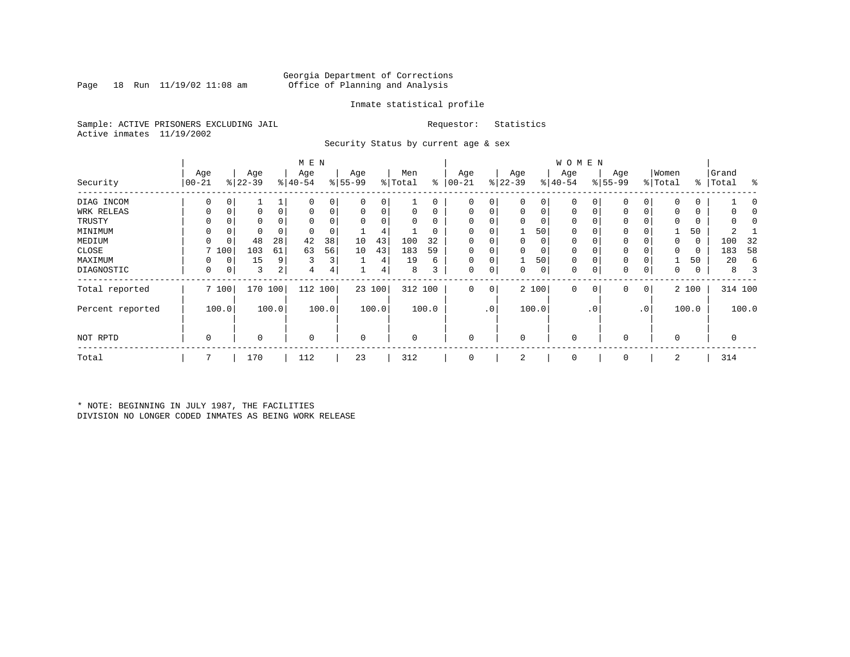### Georgia Department of Corrections<br>Page 18 Run 11/19/02 11:08 am 6ffice of Planning and Analysis Page 18 Run 11/19/02 11:08 am Office of Planning and Analysis

### Inmate statistical profile

Sample: ACTIVE PRISONERS EXCLUDING JAIL **Requestor:** Statistics Active inmates 11/19/2002

Security Status by current age & sex

|                  |             |       |           |       | M E N       |       |           |        |         |         |             |             |           |                | <b>WOMEN</b> |           |              |     |          |          |         |       |
|------------------|-------------|-------|-----------|-------|-------------|-------|-----------|--------|---------|---------|-------------|-------------|-----------|----------------|--------------|-----------|--------------|-----|----------|----------|---------|-------|
|                  | Age         |       | Age       |       | Age         |       | Age       |        | Men     |         | Age         |             | Age       |                | Age          |           | Age          |     | Women    |          | Grand   |       |
| Security         | $00 - 21$   |       | $ 22-39 $ |       | $ 40-54 $   |       | $8 55-99$ |        | % Total | နွ      | $ 00-21$    |             | $ 22-39 $ |                | $ 40-54$     |           | $8 55-99$    |     | % Total  | ႜ        | Total   | ႜ     |
| DIAG INCOM       | 0           |       |           |       | 0           | 0     |           | 0      |         |         | 0           | 0           |           | 0              | 0            |           | 0            |     |          | 0        |         |       |
| WRK RELEAS       |             |       | 0         |       | $\Omega$    | 0     |           | 0      |         |         | $\Omega$    | 0           |           | $\Omega$       | $\Omega$     |           | 0            |     |          | 0        |         |       |
| TRUSTY           |             |       | 0         |       |             | 0     |           |        |         |         | $\Omega$    | 0           |           |                | 0            |           | 0            |     |          | 0        |         |       |
| MINIMUM          | $\Omega$    |       | 0         |       | $\Omega$    | 0     |           | 4      |         |         | $\Omega$    | 0           |           | 50             | $\Omega$     |           | 0            |     |          | 50       |         |       |
| MEDIUM           |             | 0     | 48        | 28    | 42          | 38    | 10        | 43     | 100     | 32      | 0           | 0           |           | 0              | 0            |           | 0            |     |          | 0        | 100     | 32    |
| CLOSE            |             | 7 100 | 103       | 61    | 63          | 56    | 10        | 43     | 183     | 59      | $\Omega$    | $\Omega$    |           |                |              |           | 0            |     |          | $\Omega$ | 183     | 58    |
| MAXIMUM          | 0           | 0     | 15        | 9     | 3           | 3     |           | 4      | 19      | 6       | $\mathbf 0$ | 0           |           | 50             | 0            |           | $\mathbf 0$  |     |          | 50       | 20      | 6     |
| DIAGNOSTIC       | 0           | 0     | 3         | 2     | 4           | 4     |           | 4      | 8       | 3       | $\mathbf 0$ | $\mathbf 0$ | $\Omega$  | 0 <sup>1</sup> | 0            |           | $\mathbf{0}$ | 0   | 0        | 0        | 8       |       |
| Total reported   |             | 7 100 | 170 100   |       | 112 100     |       |           | 23 100 |         | 312 100 | $\Omega$    | 0           |           | 2 100          | $\mathbf 0$  |           | 0            | 0   |          | 2 100    | 314 100 |       |
| Percent reported |             | 100.0 |           | 100.0 |             | 100.0 |           | 100.0  |         | 100.0   |             | $\cdot$ 0   |           | 100.0          |              | $\cdot$ 0 |              | .0' |          | 100.0    |         | 100.0 |
| NOT RPTD         | $\mathbf 0$ |       | $\Omega$  |       | $\mathbf 0$ |       | $\Omega$  |        | 0       |         | $\mathbf 0$ |             |           |                | $\mathbf 0$  |           | 0            |     | $\Omega$ |          | 0       |       |
| Total            | 7           |       | 170       |       | 112         |       | 23        |        | 312     |         | $\mathbf 0$ |             | 2         |                | 0            |           | 0            |     | 2        |          | 314     |       |

\* NOTE: BEGINNING IN JULY 1987, THE FACILITIES DIVISION NO LONGER CODED INMATES AS BEING WORK RELEASE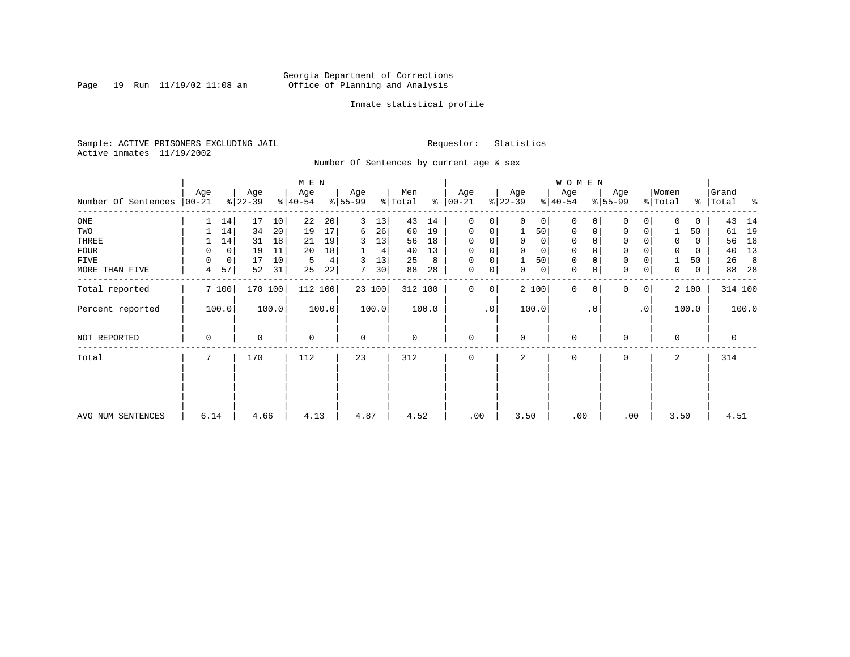Page 19 Run  $11/19/02$  11:08 am

### Inmate statistical profile

Sample: ACTIVE PRISONERS EXCLUDING JAIL Requestor: Statistics Active inmates 11/19/2002

### Number Of Sentences by current age & sex

|                             |             |                            | M E N            |                  |                      |                               |                     | W O M E N                  |                  |                  |                         |
|-----------------------------|-------------|----------------------------|------------------|------------------|----------------------|-------------------------------|---------------------|----------------------------|------------------|------------------|-------------------------|
| Number Of Sentences   00-21 | Age         | Age<br>$ 22-39 $           | Age<br>$ 40-54 $ | Age<br>$ 55-99 $ | Men<br>% Total<br>ႜၟ | Age<br>$ 00-21 $              | Age<br>$ 22-39 $    | Age<br>$ 40-54 $           | Age<br>$8 55-99$ | Women<br>% Total | Grand<br>%   Total<br>ಿ |
|                             |             |                            |                  |                  |                      |                               |                     |                            |                  |                  |                         |
| ONE                         | 14          | 17<br>10                   | 22<br>20         | 3<br>13          | 43<br>14             | 0<br>$\overline{0}$           | $\Omega$<br>0       | $\Omega$<br>$\Omega$       | 0<br>0           | $\Omega$<br>0    | 43<br>14                |
| TWO                         | 14          | 34<br>20                   | 17<br>19         | 26<br>6          | 60<br>19             | 0<br>0                        | 50                  | 0<br>0                     | 0<br>0           | 50               | 19<br>61                |
| THREE                       | 14          | 18<br>31                   | 19<br>21         | 13<br>3          | 18<br>56             | $\mathbf 0$                   | 0<br>0              | $\mathbf 0$                | 0                | 0<br>0           | 18<br>56                |
| FOUR                        | 0           | 11<br>$\mathbf{0}$<br>19   | 18<br>20         | 4                | 13<br>40             | $\mathbf 0$                   | 0                   | $\mathbf 0$                | $\Omega$         | $\mathbf 0$<br>0 | 13<br>40                |
| FIVE                        | 0           | $\overline{0}$<br>17<br>10 | 5<br>4           | 13<br>3          | 25<br>8              | $\mathbf 0$                   | 50 <sup>1</sup>     | 0                          | 0                | 50               | 26<br>- 8               |
| MORE THAN FIVE              | 57<br>4     | 31<br>52                   | 22<br>25         | 30<br>7          | 28<br>88             | $\mathbf 0$<br>$\overline{0}$ | 0<br>$\overline{0}$ | $\mathbf 0$<br>0           | 0<br>0           | 0<br>0           | 28<br>88                |
| Total reported              | 7100        | 170 100                    | 112 100          | 23 100           | 312 100              | $\overline{0}$<br>$\Omega$    | 2 100               | $\Omega$<br>$\overline{0}$ | $\Omega$<br>0    | 2 100            | 314 100                 |
| Percent reported            | 100.0       | 100.0                      | 100.0            | 100.0            | 100.0                | $.0$ '                        | 100.0               | $\cdot$ 0                  | .0               | 100.0            | 100.0                   |
| NOT REPORTED                | $\mathbf 0$ | 0                          | $\mathbf 0$      | $\mathbf 0$      | $\mathbf 0$          | $\Omega$                      | $\mathbf 0$         | $\mathbf 0$                | $\Omega$         | $\mathbf 0$      | $\mathbf 0$             |
| Total                       |             | 170                        | 112              | 23               | 312                  |                               | 2                   | $\Omega$                   | $\Omega$         | 2                | 314                     |
|                             |             |                            |                  |                  |                      |                               |                     |                            |                  |                  |                         |
| AVG NUM SENTENCES           | 6.14        | 4.66                       | 4.13             | 4.87             | 4.52                 | .00                           | 3.50                | .00                        | .00              | 3.50             | 4.51                    |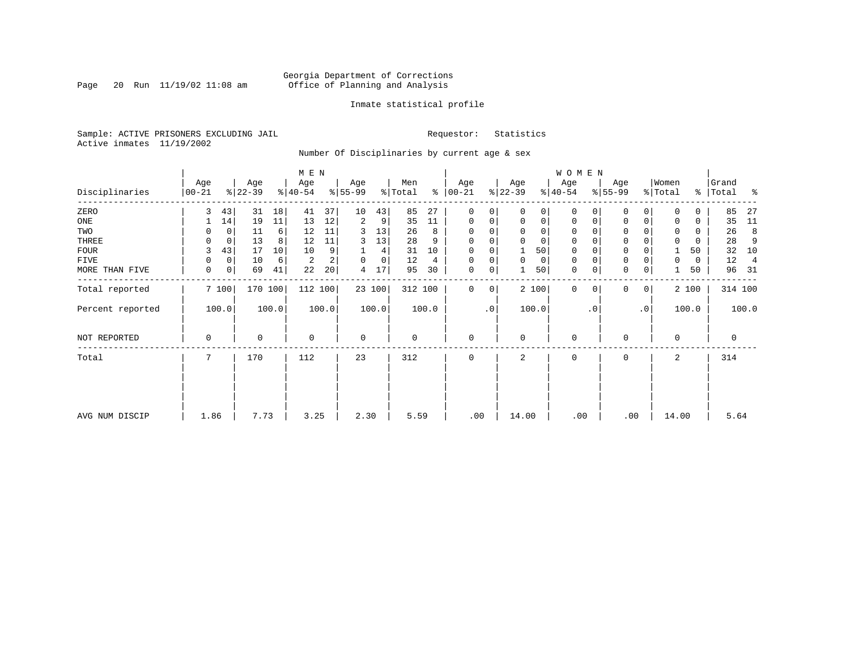### Georgia Department of Corrections<br>Page 20 Run 11/19/02 11:08 am 6ffice of Planning and Analysis Page 20 Run 11/19/02 11:08 am Office of Planning and Analysis

### Inmate statistical profile

Sample: ACTIVE PRISONERS EXCLUDING JAIL **Requestor:** Statistics Active inmates 11/19/2002

Number Of Disciplinaries by current age & sex

|                  |                   |         |                  |         | M E N            |       |                          |             |                |       |                  |             |                  |             | W O M E N        |          |                  |             |                  |       |                    |                |
|------------------|-------------------|---------|------------------|---------|------------------|-------|--------------------------|-------------|----------------|-------|------------------|-------------|------------------|-------------|------------------|----------|------------------|-------------|------------------|-------|--------------------|----------------|
| Disciplinaries   | Age<br>$ 00 - 21$ |         | Age<br>$ 22-39 $ |         | Age<br>$ 40-54 $ |       | Age<br>$\frac{8}{55-99}$ |             | Men<br>% Total | ႜ     | Age<br>$00 - 21$ |             | Age<br>$ 22-39 $ |             | Age<br>$ 40-54 $ |          | Age<br>$8 55-99$ |             | Women<br>% Total |       | Grand<br>%   Total | ႜ              |
| ZERO             | 3                 | 43      | 31               | 18      | 41               | 37    | 10                       | 43          | 85             | 27    | $\mathbf{0}$     | $\Omega$    | $\Omega$         | 0           | $\mathbf 0$      | $\Omega$ | $\Omega$         | $\Omega$    | $\Omega$         | 0     | 85                 | 27             |
| ONE              |                   | 14      | 19               | 11      | 13               | 12    | 2                        | 9           | 35             | 11    | $\mathbf 0$      | 0           | $\mathbf 0$      | $\mathbf 0$ | $\mathbf 0$      | 0        | 0                | $\mathbf 0$ | $\Omega$         | 0     | 35                 | 11             |
| TWO              |                   |         | 11               | 6       | 12               | 11    | 3                        | 13          | 26             | 8     | 0                |             | $\mathbf 0$      | 0           | $\mathbf 0$      | $\Omega$ | $\Omega$         |             | $\mathbf 0$      | 0     | 26                 | 8              |
| THREE            | 0                 | 0       | 13               | 8       | 12               | 11    | 3                        | 13          | 28             | 9     | $\mathbf 0$      |             | $\mathbf 0$      | 0           | $\mathbf 0$      |          | $\mathbf 0$      |             | $\mathbf 0$      | 0     | 28                 | 9              |
| <b>FOUR</b>      | 3                 | 43      | 17               | 10      | 10               | 9     |                          | 4           | 31             | 10    | $\Omega$         |             |                  | 50          | $\mathbf 0$      |          | $\mathbf 0$      |             |                  | 50    | 32                 | 10             |
| FIVE             | 0                 | 0       | 10               | 6       | 2                | 2     | 0                        | $\mathbf 0$ | 12             | 4     | 0                | 0           | $\mathbf 0$      | 0           | 0                | $\Omega$ | 0                |             | 0                | 0     | 12                 | $\overline{4}$ |
| MORE THAN FIVE   | 0                 | $\circ$ | 69               | 41      | 22               | 20    | 4                        | 17          | 95             | 30    | $\mathbf 0$      | 0           |                  | 50          | $\mathbf 0$      | 0        | $\mathbf 0$      | 0           |                  | 50    | 96                 | - 31           |
| Total reported   |                   | 7 100   |                  | 170 100 | 112 100          |       |                          | 23 100      | 312 100        |       | $\mathbf 0$      | $\mathbf 0$ |                  | 2 100       | $\mathbf 0$      | $\Omega$ | $\Omega$         | 0           |                  | 2 100 |                    | 314 100        |
| Percent reported |                   | 100.0   |                  | 100.0   |                  | 100.0 |                          | 100.0       |                | 100.0 |                  | $\cdot$ 0   |                  | 100.0       |                  | . 0      |                  | $\cdot$ 0   |                  | 100.0 |                    | 100.0          |
| NOT REPORTED     | 0                 |         | 0                |         | $\mathbf 0$      |       | $\mathbf 0$              |             | 0              |       | $\mathbf{0}$     |             | $\mathbf 0$      |             | 0                |          | 0                |             | $\Omega$         |       | $\mathbf 0$        |                |
| Total            | 7                 |         | 170              |         | 112              |       | 23                       |             | 312            |       | $\mathbf{0}$     |             | 2                |             | 0                |          | 0                |             | 2                |       | 314                |                |
|                  |                   |         |                  |         |                  |       |                          |             |                |       |                  |             |                  |             |                  |          |                  |             |                  |       |                    |                |
|                  |                   |         |                  |         |                  |       |                          |             |                |       |                  |             |                  |             |                  |          |                  |             |                  |       |                    |                |
| AVG NUM DISCIP   | 1.86              |         | 7.73             |         | 3.25             |       | 2.30                     |             | 5.59           |       | .00              |             | 14.00            |             | .00              |          | .00              |             | 14.00            |       | 5.64               |                |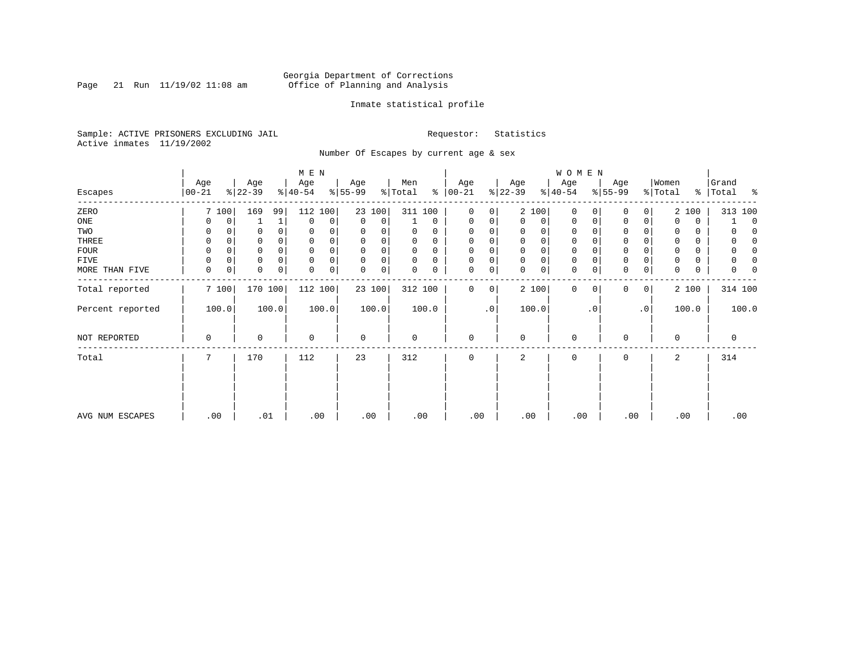Page 21 Run  $11/19/02$  11:08 am

### Inmate statistical profile

Sample: ACTIVE PRISONERS EXCLUDING JAIL **Requestor:** Statistics Active inmates 11/19/2002

Number Of Escapes by current age & sex

|                  |          |                  | M E N                |                  |                      |               |                      | W O M E N               |                            |               |             |
|------------------|----------|------------------|----------------------|------------------|----------------------|---------------|----------------------|-------------------------|----------------------------|---------------|-------------|
|                  | Age      | Age              | Age                  | Age              | Men                  | Age           | Age                  | Age                     | Age                        | Women         | Grand       |
| Escapes          | $ 00-21$ | $ 22-39 $        | $8 40-54$            | $ 55-99 $        | % Total<br>៖         | $ 00-21$      | $ 22-39 $            | $ 40-54 $               | $8 55-99$                  | % Total<br>နွ | Total<br>း  |
| ZERO             | 7 100    | 169<br>99        | 112<br>100           | 23 100           | 311 100              | 0<br>0        | 2 100                | $\mathbf 0$<br>$\Omega$ | 0 <sup>1</sup><br>$\Omega$ | 2 100         | 313 100     |
| ONE              | 0        | 0                | $\mathbf 0$<br>0     | $\mathbf 0$<br>0 | 0                    | 0<br>0        | 0<br>0               | 0<br>0                  | 0<br>$\mathbf 0$           | 0<br>0        | $\Omega$    |
| TWO              | 0        | 0                | $\Omega$<br>$\Omega$ | 0<br>0           | 0<br>0               | $\Omega$      | 0                    | 0                       | $\Omega$                   | 0<br>0        |             |
| THREE            | 0        | 0                |                      | 0<br>0           | 0<br>$\Omega$        | $\Omega$      | $\mathbf 0$<br>0     | 0                       | $\mathbf 0$                | $\Omega$<br>0 |             |
| FOUR             | 0        | $\Omega$         | $\Omega$             | $\Omega$<br>0    | $\Omega$<br>$\Omega$ | $\Omega$      | $\Omega$<br>$\Omega$ | $\Omega$                | $\Omega$                   | 0             |             |
| FIVE             | 0        | $\Omega$<br>0    | 0<br>$\Omega$        | $\Omega$<br>0    | $\Omega$<br>$\Omega$ | $\Omega$<br>0 | $\mathbf 0$<br>0     | 0                       | $\mathbf 0$                | 0             |             |
| MORE THAN FIVE   | 0        | $\mathbf 0$<br>0 | 0<br>0<br>$\Omega$   | 0<br>0           | 0<br>0               | 0<br>0        | 0<br>$\Omega$        | $\mathbf 0$<br>0        | $\mathbf 0$<br>$\mathbf 0$ | 0<br>0        | O           |
| Total reported   | 7 100    | 170 100          | 112 100              | 23 100           | 312 100              | 0<br>0        | 2 100                | $\mathbf 0$<br>0        | $\Omega$<br>$\circ$        | 2 100         | 314 100     |
| Percent reported | 100.0    | 100.0            | 100.0                | 100.0            | 100.0                | $\cdot$ 0     | 100.0                | $\cdot$ 0               | $\cdot$ 0                  | 100.0         | 100.0       |
| NOT REPORTED     | 0        | 0                | $\mathbf 0$          | $\mathbf 0$      | 0                    | $\mathbf 0$   | $\mathbf 0$          | $\mathbf 0$             | O                          | $\mathbf 0$   | $\mathbf 0$ |
| Total            | 7        | 170              | 112                  | 23               | 312                  | $\mathbf 0$   | 2                    | $\mathbf 0$             | $\mathbf 0$                | 2             | 314         |
|                  |          |                  |                      |                  |                      |               |                      |                         |                            |               |             |
| AVG NUM ESCAPES  | .00      | .01              | .00                  | .00              | .00                  | .00           | .00                  | .00                     | .00                        | .00           | .00         |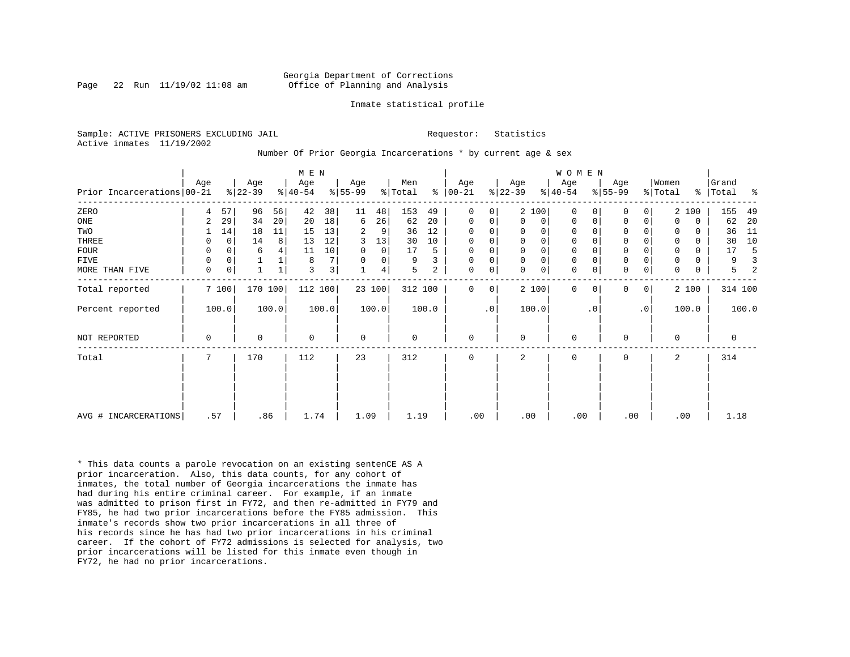Page 22 Run  $11/19/02$  11:08 am

### Inmate statistical profile

Sample: ACTIVE PRISONERS EXCLUDING JAIL **Requestor:** Statistics Active inmates 11/19/2002

Number Of Prior Georgia Incarcerations \* by current age & sex

|                              |     |             |                  |       | M E N            |                |                  |        |                |       |                      |           |                  |             | <b>WOMEN</b>     |           |                  |           |                  |          |                    |       |
|------------------------------|-----|-------------|------------------|-------|------------------|----------------|------------------|--------|----------------|-------|----------------------|-----------|------------------|-------------|------------------|-----------|------------------|-----------|------------------|----------|--------------------|-------|
| Prior Incarcerations   00-21 | Age |             | Age<br>$ 22-39 $ |       | Age<br>$8 40-54$ |                | Age<br>$ 55-99 $ |        | Men<br>% Total |       | Age<br>$8   00 - 21$ |           | Age<br>$ 22-39 $ |             | Age<br>$8 40-54$ |           | Age<br>$ 55-99 $ |           | Women<br>% Total |          | Grand<br>%   Total | ႜ     |
| ZERO                         | 4   | 57          | 96               | 56    | 42               | 38             | 11               | 48     | 153            | 49    | $\Omega$             | 0         |                  | 2 100       | $\Omega$         |           | $\Omega$         | 0         |                  | 2 100    | 155                | 49    |
| ONE                          | 2   | 29          | 34               | 20    | 20               | 18             | 6                | 26     | 62             | 20    | $\mathbf 0$          | 0         | $\mathbf{0}$     | 0           | $\mathbf 0$      | 0         | $\mathbf 0$      | 0         | $\Omega$         | 0        | 62                 | 20    |
| TWO                          |     | 14          | 18               | 11    | 15               | 13             | 2                | 9      | 36             | 12    | 0                    | 0         | 0                | $\mathbf 0$ | $\mathbf 0$      |           | 0                |           |                  | 0        | 36                 | 11    |
| THREE                        | 0   | $\mathbf 0$ | 14               | 8     | 13               | 12             | 3                | 13     | 30             | 10    | $\mathbf 0$          | 0         | $\mathbf 0$      | $\mathsf 0$ | $\mathbf 0$      |           | $\mathbf 0$      | 0         |                  | $\Omega$ | 30                 | 10    |
| FOUR                         | 0   | $\Omega$    | 6                |       | 11               | 10             | 0                | 0      | 17             | 5     | $\mathbf 0$          | 0         | 0                | $\mathbf 0$ | $\mathbf 0$      |           | $\mathbf 0$      |           |                  | 0        | 17                 |       |
| FIVE                         | 0   | 0           |                  |       | 8                | 7 <sup>1</sup> | $\Omega$         | 0      | 9              |       | $\mathbf 0$          | 0         | $\mathbf 0$      | $\mathsf 0$ | $\mathbf 0$      |           | $\mathbf 0$      |           |                  | 0        | 9                  |       |
| MORE THAN FIVE               | 0   | 0           |                  |       | 3                | 3              |                  | 4      | 5              | 2     | 0                    | 0         | $\Omega$         | $\mathbf 0$ | $\mathbf 0$      |           | $\mathbf 0$      | 0         | $\Omega$         | 0        | 5                  |       |
| Total reported               |     | 7 100       | 170 100          |       | 112 100          |                |                  | 23 100 | 312 100        |       | $\Omega$             | 0         |                  | 2 100       | $\Omega$         | 0         | 0                | 0         |                  | 2 100    | 314 100            |       |
| Percent reported             |     | 100.0       |                  | 100.0 |                  | 100.0          |                  | 100.0  |                | 100.0 |                      | $\cdot$ 0 |                  | 100.0       |                  | $\cdot$ 0 |                  | $\cdot$ 0 |                  | 100.0    |                    | 100.0 |
| NOT REPORTED                 | 0   |             | 0                |       | $\mathbf 0$      |                | $\mathbf 0$      |        | 0              |       | $\mathbf 0$          |           | 0                |             | $\mathbf 0$      |           | $\mathbf 0$      |           | $\Omega$         |          | 0                  |       |
| Total                        | 7   |             | 170              |       | 112              |                | 23               |        | 312            |       | 0                    |           | 2                |             | 0                |           | $\mathbf 0$      |           | 2                |          | 314                |       |
|                              |     |             |                  |       |                  |                |                  |        |                |       |                      |           |                  |             |                  |           |                  |           |                  |          |                    |       |
| AVG # INCARCERATIONS         | .57 |             | .86              |       | 1.74             |                | 1.09             |        | 1.19           |       | .00                  |           | .00              |             | .00              |           | .00              |           |                  | .00      | 1.18               |       |

\* This data counts a parole revocation on an existing sentenCE AS A prior incarceration. Also, this data counts, for any cohort of inmates, the total number of Georgia incarcerations the inmate has had during his entire criminal career. For example, if an inmate was admitted to prison first in FY72, and then re-admitted in FY79 and FY85, he had two prior incarcerations before the FY85 admission. This inmate's records show two prior incarcerations in all three of his records since he has had two prior incarcerations in his criminal career. If the cohort of FY72 admissions is selected for analysis, two prior incarcerations will be listed for this inmate even though in FY72, he had no prior incarcerations.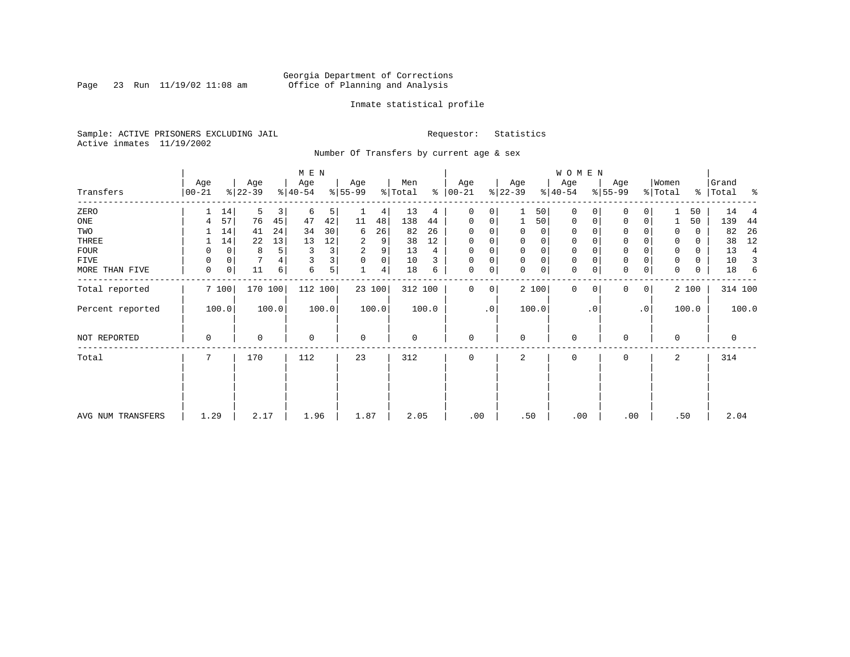Page 23 Run  $11/19/02$  11:08 am

### Inmate statistical profile

Sample: ACTIVE PRISONERS EXCLUDING JAIL **Requestor:** Statistics Active inmates 11/19/2002

Number Of Transfers by current age & sex

|                   |                  |              |                  |       | M E N            |       |                 |        |                |       |                  |             |                  |             | <b>WOMEN</b>     |           |                  |                |                  |       |                   |       |
|-------------------|------------------|--------------|------------------|-------|------------------|-------|-----------------|--------|----------------|-------|------------------|-------------|------------------|-------------|------------------|-----------|------------------|----------------|------------------|-------|-------------------|-------|
| Transfers         | Age<br>$00 - 21$ |              | Age<br>$ 22-39 $ |       | Age<br>$ 40-54 $ |       | Age<br>$ 55-99$ |        | Men<br>% Total | ៖     | Age<br>$ 00-21 $ |             | Age<br>$ 22-39 $ |             | Age<br>$ 40-54 $ |           | Age<br>$ 55-99 $ |                | Women<br>% Total | ိ     | Grand<br> Total % |       |
| ZERO              |                  | 14           | 5                | 3     | 6                | 5     |                 | 4      | 13             | 4     | 0                | 0           |                  | 50          | 0                |           | 0                |                |                  | 50    | 14                |       |
| ONE               | 4                | 57           | 76               | 45    | 47               | 42    | 11              | 48     | 138            | 44    | 0                | 0           |                  | 50          | 0                | 0         | $\mathbf 0$      | 0              |                  | 50    | 139               | 44    |
| TWO               |                  | 14           | 41               | 24    | 34               | 30    | 6               | 26     | 82             | 26    | 0                |             | 0                | 0           | 0                |           |                  |                | 0                | 0     | 82                | 26    |
| THREE             |                  | 14           | 22               | 13    | 13               | 12    | 2               | 9      | 38             | 12    | 0                |             | 0                | 0           | 0                |           | 0                |                | 0                | 0     | 38                | 12    |
| FOUR              | 0                | $\mathbf 0$  | 8                | 5     | 3                | 3     | 2               | 9      | 13             | 4     | 0                | $\Omega$    | $\Omega$         | $\mathbf 0$ | $\Omega$         |           | $\Omega$         |                | $\Omega$         | 0     | 13                | 4     |
| FIVE              |                  | 0            |                  |       |                  | 3     | 0               | 0      | 10             | 3     | 0                | 0           | $\Omega$         | $\mathbf 0$ | 0                |           | 0                |                | $\Omega$         | 0     | 10                | 3     |
| MORE THAN FIVE    | $\mathbf 0$      | $\mathsf{O}$ | 11               | 6     | 6                | 5     |                 | 4      | 18             | 6     | $\mathbf 0$      | 0           | $\Omega$         | $\mathbf 0$ | $\mathbf 0$      |           | $\Omega$         | 0              | $\Omega$         | 0     | 18                | 6     |
| Total reported    |                  | 7 100        | 170 100          |       | 112 100          |       |                 | 23 100 | 312 100        |       | 0                | $\mathbf 0$ |                  | 2 100       | $\mathbf{0}$     | $\Omega$  | $\Omega$         | 0 <sup>1</sup> |                  | 2 100 | 314 100           |       |
| Percent reported  |                  | 100.0        |                  | 100.0 |                  | 100.0 |                 | 100.0  |                | 100.0 |                  | .0          |                  | 100.0       |                  | $\cdot$ 0 |                  | $\cdot$ 0      |                  | 100.0 |                   | 100.0 |
| NOT REPORTED      | 0                |              | 0                |       | 0                |       | $\mathbf 0$     |        | $\mathbf 0$    |       | 0                |             | 0                |             | 0                |           | $\Omega$         |                | $\mathbf 0$      |       | 0                 |       |
| Total             | 7                |              | 170              |       | 112              |       | 23              |        | 312            |       | 0                |             | 2                |             | 0                |           | 0                |                | 2                |       | 314               |       |
|                   |                  |              |                  |       |                  |       |                 |        |                |       |                  |             |                  |             |                  |           |                  |                |                  |       |                   |       |
|                   |                  |              |                  |       |                  |       |                 |        |                |       |                  |             |                  |             |                  |           |                  |                |                  |       |                   |       |
| AVG NUM TRANSFERS | 1.29             |              | 2.17             |       | 1.96             |       | 1.87            |        | 2.05           |       | .00              |             | .50              |             | .00              |           | .00              |                |                  | .50   | 2.04              |       |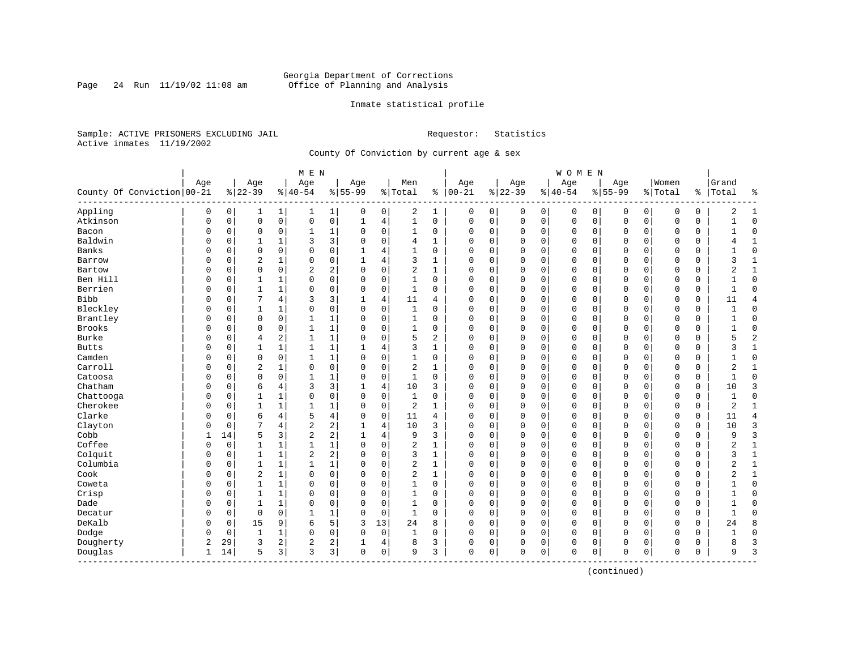Page 24 Run  $11/19/02$  11:08 am

### Inmate statistical profile

Sample: ACTIVE PRISONERS EXCLUDING JAIL **Requestor:** Statistics Active inmates 11/19/2002

County Of Conviction by current age & sex

|                            |              |          |                |                | M E N          |              |             |             |                |              |               |   |              |             | <b>WOMEN</b> |             |             |             |             |               |                |                |
|----------------------------|--------------|----------|----------------|----------------|----------------|--------------|-------------|-------------|----------------|--------------|---------------|---|--------------|-------------|--------------|-------------|-------------|-------------|-------------|---------------|----------------|----------------|
|                            | Age          |          | Age            |                | Age            |              | Age         |             | Men            |              | Age           |   | Age          |             | Age          |             | Age         |             | Women       |               | Grand          |                |
| County Of Conviction 00-21 |              |          | $8 22-39$      |                | $ 40-54$       |              | $8 55-99$   |             | % Total        |              | $8   00 - 21$ |   | $ 22-39$     |             | $ 40-54$     |             | $8 55-99$   |             | % Total     | $\frac{1}{6}$ | Total          | ႜ              |
| Appling                    | 0            | 0        | 1              | 1              | 1              | $\mathbf{1}$ | 0           | 0           | 2              | 1            | 0             | 0 | 0            | 0           | 0            | 0           | 0           | 0           | 0           | 0             | 2              | 1              |
| Atkinson                   | 0            | 0        | $\mathbf 0$    | $\mathsf{O}$   | 0              | 0            | 1           | 4           | $\mathbf{1}$   | 0            | $\mathbf 0$   | 0 | $\mathbf 0$  | $\mathbf 0$ | 0            | $\mathbf 0$ | $\mathbf 0$ | $\mathbf 0$ | $\mathbf 0$ | 0             |                | $\Omega$       |
| Bacon                      | 0            | 0        | $\mathbf 0$    | 0              | 1              | 1            | $\Omega$    | 0           | 1              | 0            | 0             | 0 | $\mathbf 0$  | 0           | 0            | 0           | 0           | $\mathbf 0$ | 0           | 0             |                | $\Omega$       |
| Baldwin                    | O            | 0        |                | 1              | 3              | 3            | $\Omega$    | $\Omega$    | 4              | 1            | $\Omega$      | 0 | $\mathbf 0$  | $\mathbf 0$ | $\Omega$     | $\mathbf 0$ | $\Omega$    | $\Omega$    | $\Omega$    | 0             |                | $\mathbf{1}$   |
| Banks                      | U            | 0        | $\Omega$       | $\Omega$       | $\Omega$       | 0            |             | 4           | 1              | $\Omega$     | $\Omega$      | O | $\mathbf 0$  | $\Omega$    | $\Omega$     | $\mathbf 0$ | $\Omega$    | $\Omega$    | $\mathbf 0$ | $\Omega$      |                | $\Omega$       |
| Barrow                     | U            | 0        | $\overline{2}$ | 1              | $\Omega$       | 0            |             | 4           | 3              | 1            | $\Omega$      | O | $\mathbf 0$  | $\Omega$    | $\Omega$     | $\mathbf 0$ | $\Omega$    | $\Omega$    | $\mathbf 0$ | 0             | ζ              | 1              |
| Bartow                     | U            | 0        | $\mathbf 0$    | $\mathbf 0$    | 2              | 2            | O           | $\mathbf 0$ | 2              | 1            | 0             | 0 | $\mathbf 0$  | 0           | 0            | 0           | $\Omega$    | 0           | 0           | 0             | 2              | 1              |
| Ben Hill                   |              | 0        | 1              | 1              | 0              | 0            |             | $\mathbf 0$ | 1              | 0            | 0             | 0 | 0            | 0           | 0            | 0           | 0           | 0           | 0           | 0             |                | $\Omega$       |
| Berrien                    | O            | 0        | $\mathbf{1}$   | $\mathbf{1}$   | $\Omega$       | 0            | $\Omega$    | $\mathbf 0$ | $\mathbf{1}$   | $\Omega$     | $\Omega$      | 0 | $\mathbf{0}$ | $\mathbf 0$ | $\Omega$     | $\mathbf 0$ | $\Omega$    | $\Omega$    | $\Omega$    | 0             | $\mathbf{1}$   | $\Omega$       |
| <b>Bibb</b>                | O            | 0        |                | 4              | 3              | 3            |             | 4           | 11             | 4            | $\Omega$      | 0 | $\mathbf 0$  | $\mathbf 0$ | 0            | $\mathbf 0$ | $\Omega$    | $\Omega$    | 0           | 0             | 11             | $\overline{4}$ |
| Bleckley                   | U            | 0        | $\mathbf{1}$   | 1              | $\Omega$       | 0            | $\Omega$    | $\mathbf 0$ | 1              | 0            | $\Omega$      | 0 | $\mathbf 0$  | $\Omega$    | 0            | $\mathbf 0$ | $\Omega$    | $\Omega$    | $\mathbf 0$ | 0             |                | $\Omega$       |
| Brantley                   | U            | 0        | $\mathbf 0$    | 0              | $\mathbf{1}$   | 1            | O           | $\Omega$    | 1              | 0            | $\Omega$      | 0 | $\mathbf 0$  | 0           | $\Omega$     | $\mathbf 0$ | $\Omega$    | $\Omega$    | $\mathbf 0$ | 0             |                | $\Omega$       |
| Brooks                     |              | 0        | $\mathbf 0$    | $\mathbf 0$    | 1              | 1            | O           | 0           | 1              | 0            | 0             | 0 | $\mathbf 0$  | 0           | 0            | 0           | 0           | $\Omega$    | 0           | 0             |                | $\Omega$       |
| Burke                      |              | 0        | $\overline{4}$ | 2              | 1              | 1            | 0           | $\mathbf 0$ | 5              | 2            | 0             | 0 | 0            | $\Omega$    | 0            | $\mathbf 0$ | $\Omega$    | 0           | 0           | 0             | 5              | $\overline{c}$ |
| <b>Butts</b>               | O            | 0        | $\mathbf{1}$   | 1              | $\mathbf{1}$   | 1            |             | 4           | 3              | 1            | $\Omega$      | 0 | $\mathbf 0$  | 0           | 0            | $\mathbf 0$ | $\mathbf 0$ | 0           | 0           | 0             | 3              | 1              |
| Camden                     | U            | 0        | $\mathbf 0$    | $\mathbf 0$    |                | 1            | $\Omega$    | 0           | 1              | 0            | $\Omega$      | 0 | $\mathbf 0$  | 0           | 0            | $\mathbf 0$ | $\Omega$    | $\Omega$    | 0           | 0             |                | $\Omega$       |
| Carroll                    | U            | $\Omega$ | $\overline{2}$ | 1              | $\Omega$       | 0            | $\Omega$    | $\mathbf 0$ | $\overline{a}$ | $\mathbf{1}$ | $\Omega$      | 0 | $\mathbf 0$  | $\Omega$    | 0            | $\mathbf 0$ | $\Omega$    | $\Omega$    | $\Omega$    | 0             | 2              | $\mathbf{1}$   |
| Catoosa                    | U            | 0        | $\mathbf 0$    | 0              | -1             | 1            | O           | $\Omega$    | 1              | $\Omega$     | $\Omega$      | 0 | $\mathbf 0$  | $\Omega$    | $\Omega$     | $\mathbf 0$ | $\Omega$    | $\Omega$    | $\mathbf 0$ | 0             | -1             | $\Omega$       |
| Chatham                    | U            | 0        | 6              | 4              | 3              | 3            | 1           | 4           | 10             | 3            | 0             | 0 | $\mathbf 0$  | 0           | 0            | $\mathbf 0$ | 0           | 0           | 0           | 0             | 10             | 3              |
| Chattooga                  | O            | 0        | 1              | 1              | 0              | 0            | 0           | 0           | 1              | 0            | 0             | 0 | 0            | 0           | 0            | $\mathbf 0$ | $\Omega$    | 0           | 0           | 0             | $\mathbf{1}$   | $\Omega$       |
| Cherokee                   | O            | 0        | $\mathbf{1}$   | $\mathbf{1}$   | $\mathbf{1}$   | 1            | $\Omega$    | $\mathbf 0$ | $\overline{2}$ | 1            | $\Omega$      | 0 | $\mathbf 0$  | 0           | $\Omega$     | $\mathbf 0$ | $\mathbf 0$ | 0           | $\Omega$    | $\mathbf 0$   | $\overline{c}$ | $\mathbf{1}$   |
| Clarke                     | U            | 0        | 6              | 4              | 5              | 4            | 0           | 0           | 11             | 4            | $\Omega$      | 0 | $\mathbf 0$  | 0           | 0            | 0           | $\Omega$    | $\mathbf 0$ | 0           | 0             | 11             | $\overline{4}$ |
| Clayton                    | U            | 0        | 7              | 4              | $\overline{a}$ | 2            |             | 4           | 10             | 3            | $\Omega$      | 0 | $\mathbf 0$  | $\Omega$    | 0            | 0           | $\Omega$    | 0           | 0           | 0             | 10             | 3              |
| Cobb                       | 1            | 14       | 5              | 3              | $\overline{c}$ | 2            | 1           | 4           | 9              | 3            | $\Omega$      | 0 | $\mathbf 0$  | 0           | $\Omega$     | $\mathbf 0$ | $\Omega$    | 0           | $\mathbf 0$ | $\mathbf 0$   | 9              | $\overline{3}$ |
| Coffee                     | 0            | 0        | 1              | 1              | 1              | $\mathbf 1$  | $\Omega$    | 0           | 2              | 1            | 0             | 0 | $\mathbf 0$  | 0           | 0            | $\mathbf 0$ | 0           | 0           | $\mathbf 0$ | 0             | 2              | 1              |
| Colquit                    | 0            | 0        | $\mathbf{1}$   | $\mathbf{1}$   | 2              | 2            |             | $\mathbf 0$ | 3              | $\mathbf{1}$ | $\Omega$      | 0 | $\Omega$     | $\Omega$    | 0            | $\mathbf 0$ | $\Omega$    | $\Omega$    | $\Omega$    | 0             | 3              | $\mathbf{1}$   |
| Columbia                   | 0            | 0        | $\mathbf{1}$   | 1              | 1              | $\mathbf 1$  | $\Omega$    | $\mathbf 0$ | $\overline{2}$ | 1            | $\Omega$      | 0 | $\mathbf 0$  | $\Omega$    | $\Omega$     | $\mathbf 0$ | $\Omega$    | 0           | $\Omega$    | 0             | 2              | $\mathbf{1}$   |
| Cook                       | U            | 0        | $\overline{2}$ | 1              | $\Omega$       | 0            | O           | 0           | 2              | 1            | $\Omega$      | 0 | $\mathbf 0$  | 0           | 0            | 0           | 0           | 0           | 0           | 0             |                | 1              |
| Coweta                     | U            | 0        | $\mathbf{1}$   | 1              | $\Omega$       | 0            | O           | 0           | 1              | 0            | $\Omega$      | 0 | 0            | $\Omega$    | 0            | 0           | $\Omega$    | 0           | $\Omega$    | 0             |                | $\Omega$       |
| Crisp                      | U            | 0        | $\mathbf{1}$   | 1              | $\Omega$       | 0            | O           | $\Omega$    | 1              | $\Omega$     | $\Omega$      | 0 | $\mathbf 0$  | $\Omega$    | 0            | $\mathbf 0$ | $\Omega$    | $\Omega$    | $\mathbf 0$ | 0             |                | $\Omega$       |
| Dade                       | U            | $\Omega$ | $\mathbf{1}$   | 1              | $\Omega$       | 0            | O           | $\mathbf 0$ | 1              | $\Omega$     | $\Omega$      | 0 | $\Omega$     | 0           | $\Omega$     | $\mathbf 0$ | $\Omega$    | $\Omega$    | $\Omega$    | 0             |                | $\Omega$       |
| Decatur                    | 0            | 0        | $\mathbf 0$    | $\Omega$       | $\mathbf{1}$   | 1            | 0           | $\mathbf 0$ | $\mathbf{1}$   | 0            | $\Omega$      | 0 | $\Omega$     | 0           | 0            | $\mathbf 0$ | $\Omega$    | 0           | $\Omega$    | 0             | $\mathbf{1}$   | $\Omega$       |
| DeKalb                     | U            | 0        | 15             | 9              | 6              | 5            | 3           | 13          | 24             | 8            | 0             | 0 | $\mathbf 0$  | 0           | $\Omega$     | 0           | $\Omega$    | 0           | 0           | 0             | 24             | 8              |
| Dodge                      | 0            | 0        | 1              | 1              | $\Omega$       | 0            | 0           | 0           | 1              | 0            | $\Omega$      | 0 | 0            | 0           | 0            | 0           | 0           | $\mathbf 0$ | 0           | 0             |                | $\mathbf 0$    |
| Dougherty                  | 2            | 29       | 3              | $\overline{a}$ | 2              | 2            |             | 4           | 8              | 3            | 0             | 0 | 0            | 0           | 0            | 0           | 0           | 0           | 0           | 0             |                | 3              |
| Douglas<br>--------------  | $\mathbf{1}$ | 14       | 5              | 3              | 3              | 3            | $\mathbf 0$ | 0           | 9              | 3            | $\mathbf 0$   | 0 | $\Omega$     | 0           | 0            | 0           | $\mathbf 0$ | 0           | $\mathbf 0$ | 0             | 9              | 3              |

(continued)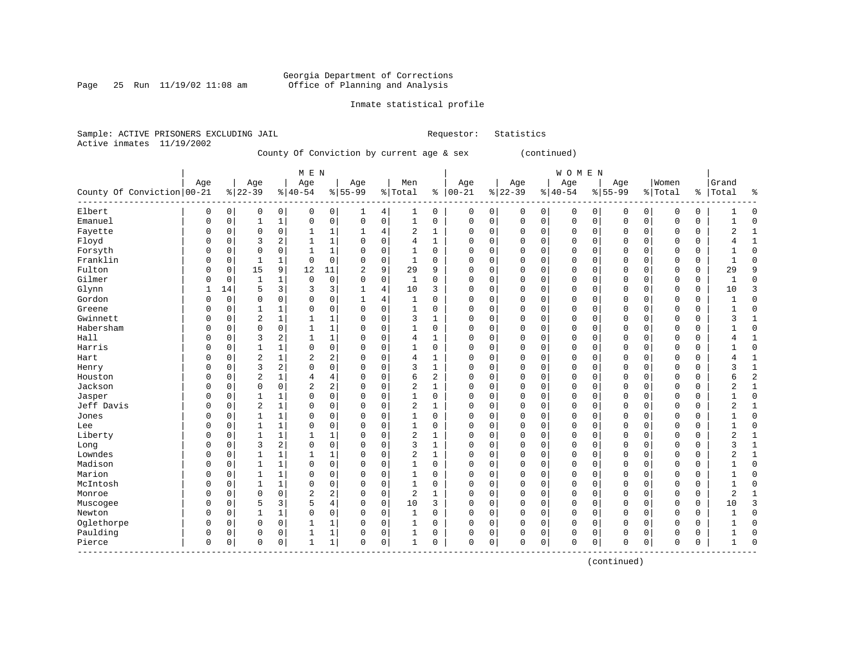### Georgia Department of Corrections Page 25 Run 11/19/02 11:08 am Office of Planning and Analysis

------------------------------------------------------------------------------------------------------------------------------------

### Inmate statistical profile

|  | Sample: ACTIVE PRISONERS EXCLUDING JAIL |  |                                           |  |  | Requestor: Statistics |  |
|--|-----------------------------------------|--|-------------------------------------------|--|--|-----------------------|--|
|  | Active inmates 11/19/2002               |  |                                           |  |  |                       |  |
|  |                                         |  | County Of Conviction by current age & sex |  |  | (continued)           |  |

| M E N | W O M E N | Age | Age | Age | Age | Men | Age | Age | Age | Age |Women |Grand County Of Conviction|00-21 %|22-39 %|40-54 %|55-99 %|Total % |00-21 %|22-39 %|40-54 %|55-99 %|Total % |Total % ------------------------------------------------------------------------------------------------------------------------------------Elbert | 0 0| 0 0| 0 0| 1 4| 1 0 | 0 0| 0 0| 0 0| 0 0| 0 0 | 1 0 Emanuel | 0 0| 1 1| 0 0| 0 0| 1 0 | 0 0| 0 0| 0 0| 0 0| 0 0 | 1 0 Fayette | 0 0| 0 0| 1 1| 1 4| 2 1 | 0 0| 0 0| 0 0| 0 0| 0 0 | 2 1 Floyd | 0 0| 3 2| 1 1| 0 0| 4 1 | 0 0| 0 0| 0 0| 0 0| 0 0 | 4 1 Forsyth | 0 0| 0 0| 1 1| 0 0| 1 0 | 0 0| 0 0| 0 0| 0 0| 0 0 | 1 0 Franklin | 0 0| 1 1| 0 0| 0 0| 1 0 | 0 0| 0 0| 0 0| 0 0| 0 0 | 1 0 Fulton | 0 0| 15 9| 12 11| 2 9| 29 9 | 0 0| 0 0| 0 0| 0 0| 0 0 | 29 9 Gilmer | 0 0| 1 1| 0 0| 0 0| 1 0 | 0 0| 0 0| 0 0| 0 0| 0 0 | 1 0 Glynn | 1 14| 5 3| 3 3| 1 4| 10 3 | 0 0| 0 0| 0 0| 0 0| 0 0 | 10 3 Gordon | 0 0| 0 0| 0 0| 1 4| 1 0 | 0 0| 0 0| 0 0| 0 0| 0 0 | 1 0 Greene | 0 0| 1 1| 0 0| 0 0| 1 0 | 0 0| 0 0| 0 0| 0 0| 0 0 | 1 0 Gwinnett | 0 0| 2 1| 1 1| 0 0| 3 1 | 0 0| 0 0| 0 0| 0 0| 0 0 | 3 1 Habersham | 0 0| 0 0| 1 1| 0 0| 1 0 | 0 0| 0 0| 0 0| 0 0| 0 0 | 1 0 Hall | 0 0| 3 2| 1 1| 0 0| 4 1 | 0 0| 0 0| 0 0| 0 0| 0 0 | 4 1 Harris | 0 0| 1 1| 0 0| 0 0| 1 0 | 0 0| 0 0| 0 0| 0 0| 0 0 | 1 0 Hart | 0 0| 2 1| 2 2| 0 0| 4 1 | 0 0| 0 0| 0 0| 0 0| 0 0 | 4 1 Henry | 0 0| 3 2| 0 0| 0 0| 3 1 | 0 0| 0 0| 0 0| 0 0| 0 0 | 3 1 Houston | 0 0| 2 1| 4 4| 0 0| 6 2 | 0 0| 0 0| 0 0| 0 0| 0 0 | 6 2 Jackson | 0 0| 0 0| 2 2| 0 0| 2 1 | 0 0| 0 0| 0 0| 0 0| 0 0 | 2 1 Jasper | 0 0| 1 1| 0 0| 0 0| 1 0 | 0 0| 0 0| 0 0| 0 0| 0 0 | 1 0 Jeff Davis | 0 0| 2 1| 0 0| 0 0| 2 1 | 0 0| 0 0| 0 0| 0 0| 0 0 | 2 1 Jones | 0 0| 1 1| 0 0| 0 0| 1 0 | 0 0| 0 0| 0 0| 0 0| 0 0 | 1 0 Lee | 0 0| 1 1| 0 0| 0 0| 1 0 | 0 0| 0 0| 0 0| 0 0| 0 0 | 1 0 Liberty | 0 0| 1 1| 1 1| 0 0| 2 1 | 0 0| 0 0| 0 0| 0 0| 0 0 | 2 1 Long | 0 0| 3 2| 0 0| 0 0| 3 1 | 0 0| 0 0| 0 0| 0 0| 0 0 | 3 1 Lowndes | 0 0| 1 1| 1 1| 0 0| 2 1 | 0 0| 0 0| 0 0| 0 0| 0 0 | 2 1 Madison | 0 0| 1 1| 0 0| 0 0| 1 0 | 0 0| 0 0| 0 0| 0 0| 0 0 | 1 0 Marion | 0 0| 1 1| 0 0| 0 0| 1 0 | 0 0| 0 0| 0 0| 0 0| 0 0 | 1 0 McIntosh | 0 0| 1 1| 0 0| 0 0| 1 0 | 0 0| 0 0| 0 0| 0 0| 0 0 | 1 0 Monroe | 0 0| 0 0| 2 2| 0 0| 2 1 | 0 0| 0 0| 0 0| 0 0| 0 0 | 2 1 Muscogee | 0 0| 5 3| 5 4| 0 0| 10 3 | 0 0| 0 0| 0 0| 0 0| 0 0 | 10 3 Newton | 0 0| 1 1| 0 0| 0 0| 1 0 | 0 0| 0 0| 0 0| 0 0| 0 0 | 1 0 Oglethorpe | 0 0| 0 0| 1 1| 0 0| 1 0 | 0 0| 0 0| 0 0| 0 0| 0 0 | 1 0 Paulding | 0 0| 0 0| 1 1| 0 0| 1 0 | 0 0| 0 0| 0 0| 0 0| 0 0 | 1 0 Pierce | 0 0| 0 0| 1 1| 0 0| 1 0 | 0 0| 0 0| 0 0| 0 0| 0 0 | 1 0

(continued)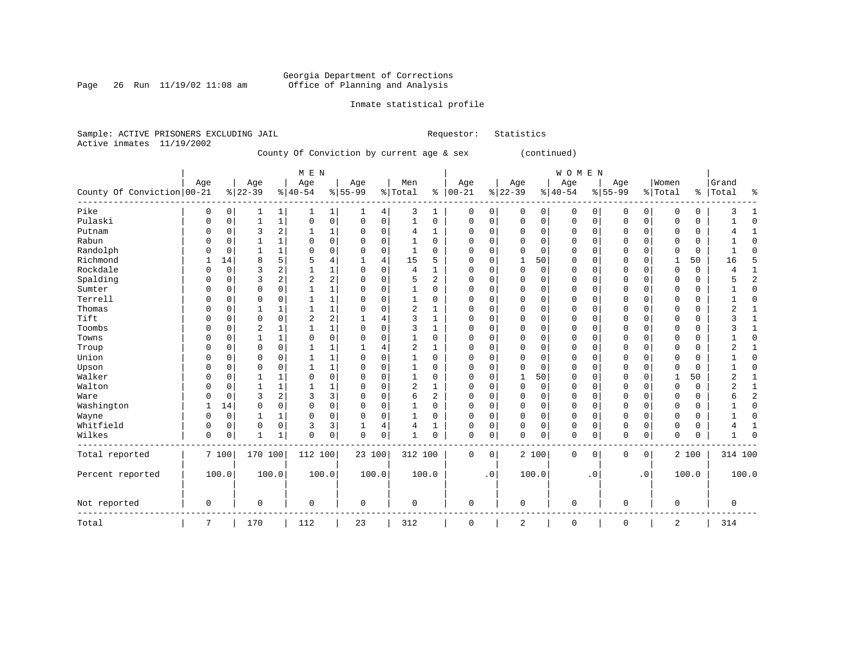Page 26 Run  $11/19/02$  11:08 am

### Inmate statistical profile

|  | Sample: ACTIVE PRISONERS EXCLUDING JAIL |  |                                           |  | Requestor: Statistics |
|--|-----------------------------------------|--|-------------------------------------------|--|-----------------------|
|  | Active inmates 11/19/2002               |  |                                           |  |                       |
|  |                                         |  | County Of Conviction by current age & sex |  | (continued)           |

|                            |             |             |              |              | M E N          |                |           |          |                |          |               |             |             |             | <b>WOMEN</b> |          |             |             |              |             |                |              |
|----------------------------|-------------|-------------|--------------|--------------|----------------|----------------|-----------|----------|----------------|----------|---------------|-------------|-------------|-------------|--------------|----------|-------------|-------------|--------------|-------------|----------------|--------------|
|                            | Age         |             | Age          |              | Age            |                | Age       |          | Men            |          | Age           |             | Age         |             | Age          |          | Age         |             | Women        |             | Grand          |              |
| County Of Conviction 00-21 |             |             | $ 22-39$     |              | $8 40-54$      |                | $8 55-99$ |          | % Total        |          | $8   00 - 21$ |             | $ 22-39$    |             | $ 40-54$     |          | $8 55-99$   |             | % Total      | န္          | Total          | 8            |
| Pike                       | 0           | 0           | 1            | 1            |                | 1              | 1         | 4        | 3              | 1        | 0             | 0           | 0           | 0           | 0            | 0        | 0           | 0           | 0            | 0           | 3              |              |
| Pulaski                    | $\mathbf 0$ | $\mathbf 0$ | 1            | $\mathbf 1$  | $\mathbf 0$    | $\mathbf 0$    | 0         | 0        | 1              | 0        | 0             | $\mathbf 0$ | $\mathbf 0$ | $\mathbf 0$ | 0            | 0        | $\mathbf 0$ | $\mathbf 0$ | 0            | $\mathbf 0$ |                | $\Omega$     |
| Putnam                     | $\Omega$    | $\Omega$    | 3            | 2            |                | 1              | 0         | $\Omega$ | 4              | 1        | 0             | $\mathbf 0$ | $\Omega$    | $\mathbf 0$ | 0            | $\Omega$ | 0           | $\mathbf 0$ | $\Omega$     | 0           |                |              |
| Rabun                      | O           | $\Omega$    |              | 1            | $\Omega$       | $\Omega$       | 0         | 0        |                | $\Omega$ | 0             | $\Omega$    | 0           | $\Omega$    | 0            | $\Omega$ | $\Omega$    | $\Omega$    | $\Omega$     | $\Omega$    |                | ſ            |
| Randolph                   | O           | $\Omega$    |              | 1            | 0              | $\Omega$       | 0         | 0        | 1              | $\Omega$ | 0             | $\Omega$    | $\Omega$    | $\Omega$    | 0            | $\Omega$ | 0           | $\Omega$    | $\Omega$     | 0           |                | r            |
| Richmond                   |             | 14          | 8            | 5            | 5              | 4              | 1         | 4        | 15             | 5        | $\Omega$      | $\Omega$    | 1           | 50          | 0            | $\Omega$ | $\mathbf 0$ | $\Omega$    | -1           | 50          | 16             | F            |
| Rockdale                   | $\Omega$    | $\Omega$    | 3            | 2            | 1              | 1              | $\Omega$  | $\Omega$ | 4              | 1        | $\Omega$      | $\Omega$    | 0           | $\mathbf 0$ | 0            | $\Omega$ | $\mathbf 0$ | $\Omega$    | $\Omega$     | 0           | 4              |              |
| Spalding                   | $\Omega$    | $\Omega$    | 3            | 2            | $\overline{2}$ | $\overline{2}$ | $\Omega$  | $\Omega$ | 5              | 2        | $\Omega$      | $\Omega$    | 0           | 0           | 0            | $\Omega$ | 0           | $\Omega$    | $\Omega$     | 0           | 5              | 2            |
| Sumter                     | $\Omega$    | $\Omega$    | $\Omega$     | $\Omega$     |                | 1              | $\Omega$  | $\Omega$ | 1              | $\Omega$ | $\Omega$      | $\Omega$    | 0           | 0           | 0            | $\Omega$ | $\mathbf 0$ | $\Omega$    | $\Omega$     | 0           |                | <sup>0</sup> |
| Terrell                    | $\Omega$    | $\Omega$    | $\Omega$     | $\Omega$     | 1              | 1              | $\Omega$  | $\Omega$ | 1              | $\Omega$ | $\Omega$      | $\Omega$    | $\Omega$    | 0           | 0            | $\Omega$ | $\mathbf 0$ | $\Omega$    | $\Omega$     | 0           |                | <sup>0</sup> |
| Thomas                     | $\Omega$    | $\Omega$    | 1            | 1            | 1              | 1              | O         | $\Omega$ | $\overline{2}$ | 1        | $\Omega$      | $\Omega$    | $\Omega$    | 0           | 0            | $\Omega$ | $\mathbf 0$ | $\Omega$    | $\Omega$     | 0           | 2              |              |
| Tift                       | $\Omega$    | $\Omega$    | $\Omega$     | $\Omega$     | $\overline{2}$ | $\overline{a}$ | 1         | 4        | 3              | 1        | $\Omega$      | $\Omega$    | $\Omega$    | $\Omega$    | 0            | $\Omega$ | $\mathbf 0$ | $\Omega$    | $\Omega$     | 0           | 3              |              |
| Toombs                     | $\Omega$    | $\Omega$    | 2            | 1            | 1              | 1              | $\Omega$  | $\Omega$ | 3              | 1        | $\Omega$      | $\Omega$    | $\Omega$    | 0           | 0            | $\Omega$ | $\mathbf 0$ | $\Omega$    | $\Omega$     | 0           | 3              |              |
| Towns                      | $\Omega$    | $\Omega$    | 1            | 1            | $\Omega$       | $\Omega$       | $\Omega$  | $\Omega$ | 1              | $\Omega$ | $\Omega$      | $\Omega$    | $\Omega$    | 0           | 0            | $\Omega$ | $\mathbf 0$ | 0           | $\Omega$     | 0           |                | ſ            |
| Troup                      | $\Omega$    | $\Omega$    | $\Omega$     | 0            |                | 1              |           | 4        | $\overline{2}$ | 1        | $\Omega$      | 0           | $\Omega$    | 0           | 0            | $\Omega$ | $\mathbf 0$ | 0           | $\Omega$     | 0           | 2              |              |
| Union                      | $\Omega$    | O           | 0            | 0            |                | $\mathbf{1}$   | 0         | $\Omega$ | 1              | 0        | $\Omega$      | $\mathbf 0$ | $\Omega$    | $\mathbf 0$ | 0            | 0        | $\mathbf 0$ | 0           | $\Omega$     | 0           |                | ſ            |
| Upson                      | $\Omega$    | $\Omega$    | $\Omega$     | 0            |                | $\mathbf 1$    | 0         | $\Omega$ | 1              | 0        | $\Omega$      | $\mathbf 0$ | $\Omega$    | 0           | 0            | 0        | $\mathbf 0$ | 0           | $\Omega$     | 0           |                | ſ            |
| Walker                     | $\Omega$    | $\Omega$    | $\mathbf{1}$ | 1            | $\Omega$       | $\mathbf 0$    | 0         | $\Omega$ | 1              | 0        | 0             | $\mathbf 0$ | 1           | 50          | 0            | 0        | $\mathbf 0$ | 0           | $\mathbf{1}$ | 50          | $\overline{2}$ |              |
| Walton                     | $\cap$      | $\Omega$    | $\mathbf{1}$ | $\mathbf{1}$ |                | 1              | 0         | $\Omega$ | $\overline{c}$ |          | $\Omega$      | $\mathbf 0$ | 0           | 0           | 0            | 0        | $\mathbf 0$ | 0           | 0            | $\mathbf 0$ | 2              | $\mathbf{1}$ |
| Ware                       | $\Omega$    | $\Omega$    | 3            | 2            | 3              | 3              | 0         | $\Omega$ | 6              | 2        | 0             | $\mathbf 0$ | 0           | 0           | 0            | 0        | $\mathbf 0$ | 0           | 0            | 0           | 6              | 2            |
| Washington                 |             | 14          | 0            | 0            | $\mathbf 0$    | $\mathbf 0$    | 0         | 0        | 1              | 0        | 0             | $\mathbf 0$ | 0           | 0           | 0            | 0        | $\mathbf 0$ | 0           | 0            | 0           |                | $\Omega$     |
| Wayne                      | $\Omega$    | 0           | $\mathbf{1}$ | 1            | $\Omega$       | $\mathbf 0$    | $\Omega$  | $\Omega$ | 1              | $\Omega$ | $\Omega$      | $\mathbf 0$ | $\Omega$    | 0           | 0            | 0        | $\mathbf 0$ | 0           | $\Omega$     | 0           |                | 0            |
| Whitfield                  | $\mathbf 0$ | $\Omega$    | 0            | 0            | 3              | 3              | 1         | 4        | $\overline{4}$ |          | $\Omega$      | 0           | $\Omega$    | 0           | $\mathbf 0$  | 0        | $\mathbf 0$ | 0           | 0            | $\mathbf 0$ | 4              | 1            |
| Wilkes                     | $\mathbf 0$ | 0           | $\mathbf{1}$ | 1            | $\Omega$       | 0              | 0         | 0        | 1              | $\Omega$ | 0             | 0           | $\Omega$    | 0           | $\mathsf 0$  | 0        | $\mathbf 0$ | 0           | 0            | $\mathsf 0$ |                | $\Omega$     |
| Total reported             |             | 7100        | 170 100      |              | 112 100        |                | 23 100    |          | 312 100        |          | 0             | 0           |             | 2 100       | 0            | 0        | 0           | 0           |              | 2 100       | 314 100        |              |
| Percent reported           |             | 100.0       | 100.0        |              | 100.0          |                | 100.0     |          |                | 100.0    |               | $\cdot$ 0   |             | 100.0       |              | . 0      |             | $\cdot$ 0   |              | 100.0       |                | 100.0        |
| Not reported               | 0           |             | 0            |              | $\Omega$       |                | 0         |          | 0              |          | 0             |             | 0           |             | 0            |          | 0           |             | 0            |             | 0              |              |
| Total                      | 7           |             | 170          |              | 112            |                | 23        |          | 312            |          | 0             |             | 2           |             | $\mathsf 0$  |          | $\mathbf 0$ |             | 2            |             | 314            |              |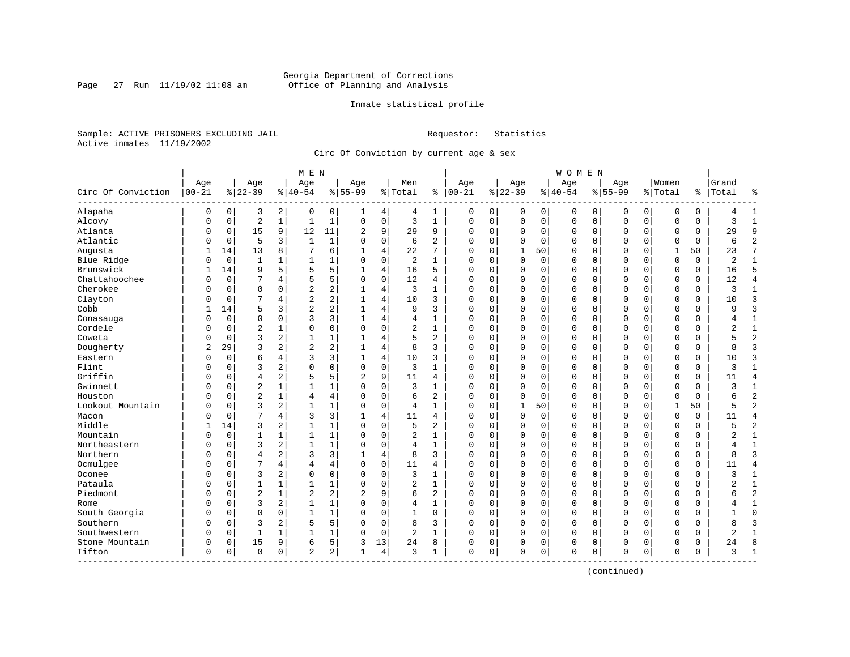### Georgia Department of Corrections<br>Page 27 Run 11/19/02 11:08 am 6ffice of Planning and Analysis Page 27 Run 11/19/02 11:08 am Office of Planning and Analysis

### Inmate statistical profile

Sample: ACTIVE PRISONERS EXCLUDING JAIL **Requestor:** Statistics Active inmates 11/19/2002

Circ Of Conviction by current age & sex

|                    |            |             |                |              | M E N          |                |              |             |                |                |             |              |                |             | <b>WOMEN</b> |             |             |             |              |             |                |                |
|--------------------|------------|-------------|----------------|--------------|----------------|----------------|--------------|-------------|----------------|----------------|-------------|--------------|----------------|-------------|--------------|-------------|-------------|-------------|--------------|-------------|----------------|----------------|
|                    | Age        |             | Age            |              | Age            |                | Age          |             | Men            |                | Age         |              | Age            |             | Age          |             | Aqe         |             | Women        |             | Grand          |                |
| Circ Of Conviction | $ 00 - 21$ |             | $ 22-39$       |              | $8 40-54$      |                | $8 55-99$    |             | % Total        | ႜ              | $ 00 - 21$  |              | $ 22-39$       |             | $8 40-54$    |             | $8155 - 99$ |             | % Total      |             | %   Total      | နွ             |
| Alapaha            | 0          | $\mathbf 0$ | 3              | 2            | 0              | 0              | 1            | 4           | 4              | 1              | 0           | $\mathsf{O}$ | 0              | 0           | 0            | 0           | 0           | 0           | $\mathbf 0$  | 0           |                | $\mathbf{1}$   |
| Alcovy             | $\Omega$   | $\mathbf 0$ | $\overline{2}$ | $\mathbf{1}$ | $\mathbf{1}$   | $\mathbf{1}$   | $\Omega$     | $\mathsf 0$ | 3              | $\mathbf{1}$   | $\mathbf 0$ | $\mathbf 0$  | 0              | $\mathbf 0$ | $\mathbf 0$  | $\mathbf 0$ | $\mathbf 0$ | $\mathbf 0$ | $\mathbf 0$  | $\mathbf 0$ | 3              | $\mathbf{1}$   |
| Atlanta            | 0          | $\mathbf 0$ | 15             | 9            | 12             | 11             | 2            | 9           | 29             | 9              | $\mathbf 0$ | 0            | 0              | 0           | 0            | 0           | 0           | 0           | 0            | 0           | 29             | 9              |
| Atlantic           | U          | $\mathbf 0$ | 5              | 3            | $\mathbf{1}$   | $\mathbf{1}$   | $\Omega$     | $\mathbf 0$ | 6              | $\overline{a}$ | $\Omega$    | $\mathbf 0$  | $\Omega$       | $\mathbf 0$ | 0            | 0           | $\mathbf 0$ | $\Omega$    | $\mathbf 0$  | $\Omega$    | 6              | $\overline{2}$ |
| Augusta            |            | 14          | 13             | 8            | 7              | б.             | 1            | 4           | 22             | 7              | $\Omega$    | $\Omega$     | $\overline{1}$ | 50          | 0            | $\mathbf 0$ | 0           | $\Omega$    | 1            | 50          | 23             | 7              |
| Blue Ridge         | 0          | $\mathbf 0$ | 1              | $\mathbf{1}$ | 1              | 1              | 0            | $\mathbf 0$ | 2              | 1              | $\mathbf 0$ | 0            | 0              | $\mathbf 0$ | 0            | 0           | 0           | $\Omega$    | $\mathbf 0$  | 0           | 2              | $\mathbf{1}$   |
| Brunswick          | 1          | 14          | 9              | 5            | 5              | 5              |              | 4           | 16             | 5              | $\Omega$    | $\mathbf 0$  | $\Omega$       | $\mathbf 0$ | $\Omega$     | $\mathbf 0$ | $\mathbf 0$ | $\mathbf 0$ | $\mathbf 0$  | $\Omega$    | 16             | 5              |
| Chattahoochee      | $\Omega$   | $\mathbf 0$ | 7              | 4            | 5              | 5              | $\Omega$     | $\mathbf 0$ | 12             | 4              | $\Omega$    | $\mathbf 0$  | 0              | $\mathbf 0$ | $\Omega$     | $\mathbf 0$ | $\mathbf 0$ | $\Omega$    | $\mathbf 0$  | $\Omega$    | 12             | $\overline{4}$ |
| Cherokee           | O          | $\mathbf 0$ | 0              | $\Omega$     | $\overline{2}$ | 2              | -1           | 4           | 3              | $\mathbf{1}$   | $\Omega$    | 0            | 0              | $\mathbf 0$ | 0            | 0           | 0           | $\Omega$    | $\mathbf 0$  | 0           | ζ              | $\mathbf{1}$   |
| Clayton            | U          | $\mathbf 0$ | 7              | 4            | $\overline{2}$ | 2              |              | 4           | 10             | 3              | $\Omega$    | $\mathbf 0$  | $\Omega$       | $\mathbf 0$ | $\Omega$     | 0           | $\mathbf 0$ | $\Omega$    | $\mathbf 0$  | $\Omega$    | 10             | $\overline{3}$ |
| Cobb               |            | 14          | 5              | 3            | $\overline{c}$ | 2              | 1            | 4           | 9              | 3              | $\mathbf 0$ | $\Omega$     | $\Omega$       | $\Omega$    | 0            | $\mathbf 0$ | 0           | $\Omega$    | $\mathbf 0$  | $\Omega$    | q              | $\overline{3}$ |
| Conasauga          | 0          | $\mathbf 0$ | 0              | $\Omega$     | 3              | 3              | $\mathbf{1}$ | 4           | 4              | 1              | $\mathbf 0$ | $\mathbf 0$  | 0              | $\mathbf 0$ | $\Omega$     | 0           | 0           | $\Omega$    | $\mathbf 0$  | 0           | 4              | 1              |
| Cordele            | Λ          | $\mathbf 0$ | $\overline{2}$ | 1            | 0              | 0              | $\Omega$     | 0           | 2              | $\mathbf{1}$   | $\mathbf 0$ | $\mathbf 0$  | 0              | $\mathbf 0$ | 0            | 0           | 0           | 0           | $\mathbf 0$  | 0           | $\overline{2}$ | $\mathbf{1}$   |
| Coweta             | $\Omega$   | $\Omega$    | 3              | 2            | $\mathbf{1}$   | 1              | 1            | 4           | 5              | 2              | $\Omega$    | $\Omega$     | $\mathbf 0$    | $\Omega$    | $\Omega$     | $\mathbf 0$ | $\mathbf 0$ | $\Omega$    | $\mathbf 0$  | $\Omega$    |                | $\overline{2}$ |
| Dougherty          | 2          | 29          | 3              | 2            | $\overline{2}$ | 2              |              | 4           | 8              | 3              | $\Omega$    | $\Omega$     | 0              | $\mathbf 0$ | $\Omega$     | 0           | $\mathbf 0$ | $\Omega$    | $\mathbf 0$  | 0           | 8              | $\overline{3}$ |
| Eastern            | U          | $\mathbf 0$ | 6              | 4            | 3              | 3              |              | 4           | 10             | 3              | $\Omega$    | 0            | $\Omega$       | $\mathbf 0$ | $\Omega$     | $\mathbf 0$ | $\Omega$    | $\Omega$    | $\mathbf 0$  | $\Omega$    | 10             | $\overline{3}$ |
| Flint              | U          | $\Omega$    | 3              | 2            | $\Omega$       | 0              | $\Omega$     | $\mathbf 0$ | 3              | $\mathbf{1}$   | $\Omega$    | $\Omega$     | $\Omega$       | $\Omega$    | 0            | $\mathbf 0$ | $\Omega$    | $\Omega$    | $\Omega$     | $\Omega$    | ζ              | $\mathbf{1}$   |
| Griffin            | 0          | $\mathbf 0$ | $\overline{4}$ | 2            | 5              | 5              | 2            | 9           | 11             | 4              | $\mathbf 0$ | $\mathbf 0$  | 0              | $\mathbf 0$ | $\Omega$     | 0           | 0           | $\Omega$    | $\mathbf 0$  | 0           | 11             | $\overline{4}$ |
| Gwinnett           | $\Omega$   | $\mathbf 0$ | $\overline{2}$ | $\mathbf 1$  | $\mathbf{1}$   | 1              | $\Omega$     | 0           | 3              | $\mathbf{1}$   | $\mathbf 0$ | $\mathbf 0$  | $\Omega$       | $\mathbf 0$ | 0            | 0           | 0           | 0           | $\mathbf 0$  | 0           | 3              | $\mathbf{1}$   |
| Houston            | $\Omega$   | $\Omega$    | $\overline{c}$ | $\mathbf{1}$ | $\overline{4}$ | 4              | $\Omega$     | $\Omega$    | 6              | 2              | $\Omega$    | $\Omega$     | $\Omega$       | $\Omega$    | $\Omega$     | $\mathbf 0$ | $\Omega$    | $\Omega$    | $\Omega$     | $\Omega$    | 6              | $\overline{2}$ |
| Lookout Mountain   | $\Omega$   | $\Omega$    | 3              | 2            | $\mathbf{1}$   | 1              | $\Omega$     | $\Omega$    | 4              | 1              | $\Omega$    | $\Omega$     | $\mathbf{1}$   | 50          | 0            | 0           | $\mathbf 0$ | $\Omega$    | $\mathbf{1}$ | 50          |                | $\overline{2}$ |
| Macon              | U          | $\mathbf 0$ | 7              | 4            | 3              | 3              |              | 4           | 11             | 4              | $\Omega$    | 0            | $\Omega$       | $\mathbf 0$ | $\Omega$     | $\mathbf 0$ | $\mathbf 0$ | $\Omega$    | $\mathbf 0$  | $\Omega$    | 11             | $\overline{4}$ |
| Middle             |            | 14          | 3              | 2            | $\mathbf{1}$   | $\mathbf 1$    | $\Omega$     | $\Omega$    | 5              | 2              | $\Omega$    | $\Omega$     | $\Omega$       | $\Omega$    | 0            | $\mathbf 0$ | $\Omega$    | $\Omega$    | $\Omega$     | $\Omega$    | 5              | $\overline{2}$ |
| Mountain           | 0          | $\mathbf 0$ | $\mathbf{1}$   | 1            | $\mathbf{1}$   | $\mathbf 1$    | $\Omega$     | $\mathbf 0$ | 2              | 1              | $\mathbf 0$ | $\mathbf 0$  | 0              | $\mathbf 0$ | $\Omega$     | 0           | 0           | $\Omega$    | $\mathbf 0$  | 0           | 2              | $\mathbf{1}$   |
| Northeastern       | U          | $\mathbf 0$ | 3              | 2            | $\mathbf{1}$   | 1              | $\Omega$     | 0           | 4              | $\mathbf{1}$   | $\mathbf 0$ | $\mathbf 0$  | $\Omega$       | $\mathbf 0$ | 0            | $\mathbf 0$ | 0           | 0           | $\mathbf 0$  | 0           |                | $\mathbf{1}$   |
| Northern           | $\Omega$   | $\mathbf 0$ | $\overline{4}$ | 2            | 3              | 3              | $\mathbf{1}$ | 4           | 8              | 3              | $\mathbf 0$ | 0            | 0              | 0           | 0            | $\mathbf 0$ | 0           | 0           | $\mathbf 0$  | 0           | R              | $\overline{3}$ |
| Ocmulgee           | 0          | $\Omega$    | 7              | 4            | 4              | 4              | $\Omega$     | $\mathbf 0$ | 11             | 4              | $\Omega$    | $\Omega$     | 0              | $\mathbf 0$ | $\Omega$     | 0           | $\mathbf 0$ | $\Omega$    | $\mathbf 0$  | 0           | 11             | $\overline{4}$ |
| Oconee             | U          | $\Omega$    | 3              | 2            | $\Omega$       | 0              | $\Omega$     | 0           | 3              | 1              | $\Omega$    | $\mathbf 0$  | $\Omega$       | $\Omega$    | $\Omega$     | $\mathbf 0$ | $\Omega$    | $\Omega$    | $\mathbf 0$  | $\Omega$    | ζ              | $\mathbf{1}$   |
| Pataula            | U          | $\Omega$    | $\mathbf{1}$   | 1            | $\mathbf{1}$   | 1              | $\Omega$     | $\Omega$    | 2              | $\mathbf{1}$   | $\Omega$    | $\Omega$     | $\Omega$       | $\Omega$    | 0            | $\Omega$    | $\Omega$    | $\Omega$    | $\Omega$     | $\Omega$    | 2              | $1\,$          |
| Piedmont           | U          | $\Omega$    | $\overline{c}$ | $\mathbf{1}$ | $\overline{2}$ | 2              | 2            | 9           | 6              | 2              | $\mathbf 0$ | $\Omega$     | $\mathbf 0$    | $\mathbf 0$ | $\Omega$     | 0           | $\mathbf 0$ | $\Omega$    | $\mathbf 0$  | 0           | б              | $\overline{2}$ |
| Rome               | U          | 0           | 3              | 2            | $\mathbf{1}$   | 1              | $\Omega$     | 0           | 4              | $\mathbf{1}$   | $\mathbf 0$ | 0            | $\Omega$       | 0           | 0            | 0           | $\mathbf 0$ | $\mathbf 0$ | $\mathbf 0$  | 0           |                | $\mathbf{1}$   |
| South Georgia      | O          | $\mathbf 0$ | $\Omega$       | 0            | $\mathbf{1}$   | $\mathbf{1}$   | $\Omega$     | $\mathbf 0$ | $\mathbf{1}$   | 0              | $\mathbf 0$ | 0            | 0              | $\mathbf 0$ | 0            | $\mathbf 0$ | 0           | 0           | $\mathbf 0$  | 0           | $\mathbf{1}$   | $\Omega$       |
| Southern           | $\Omega$   | $\mathbf 0$ | 3              | 2            | 5              | 5              | $\Omega$     | $\mathbf 0$ | 8              | 3              | $\Omega$    | $\mathbf 0$  | 0              | $\mathbf 0$ | 0            | 0           | 0           | $\Omega$    | $\mathbf 0$  | 0           | $\mathsf{R}$   | 3              |
| Southwestern       | O          | $\mathbf 0$ | $\mathbf{1}$   | 1            | -1             | 1              | $\Omega$     | $\mathbf 0$ | $\overline{2}$ | 1              | $\Omega$    | $\mathbf 0$  | $\Omega$       | $\mathbf 0$ | 0            | 0           | $\mathbf 0$ | $\Omega$    | $\mathbf 0$  | 0           | 2              | $\mathbf{1}$   |
| Stone Mountain     | 0          | $\mathbf 0$ | 15             | 9            | 6              | 5              | 3            | 13          | 24             | 8              | $\mathbf 0$ | 0            | 0              | 0           | 0            | $\mathbf 0$ | $\Omega$    | 0           | $\Omega$     | 0           | 24             | $\mathsf{R}$   |
| Tifton             | $\Omega$   | 0           | $\Omega$       | $\mathbf 0$  | 2              | $\overline{a}$ | 1            | 4           | 3              | 1              | $\mathbf 0$ | 0            | $\Omega$       | 0           | $\Omega$     | 0           | 0           | 0           | $\mathbf 0$  | 0           | 3              | $\mathbf{1}$   |
| ---------          |            |             |                |              |                |                |              |             |                |                |             |              |                |             |              |             |             |             |              |             |                |                |

(continued)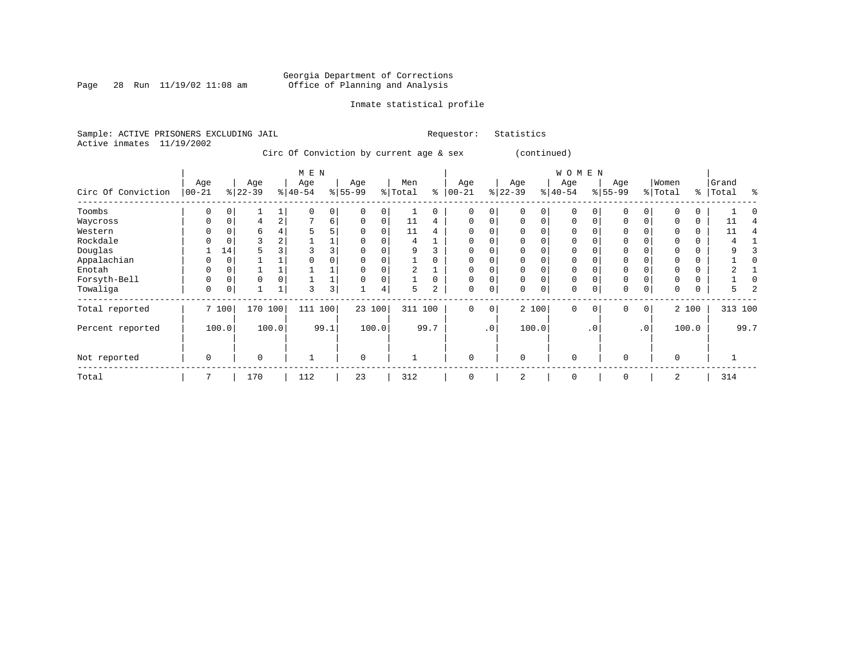### Georgia Department of Corrections<br>Page 28 Run 11/19/02 11:08 am 6ffice of Planning and Analysis Page 28 Run 11/19/02 11:08 am Office of Planning and Analysis

### Inmate statistical profile

Sample: ACTIVE PRISONERS EXCLUDING JAIL **Requestor:** Statistics Active inmates 11/19/2002

Circ Of Conviction by current age & sex (continued)

|                    |            |          |          |                | M E N        |                |             |       |         |          |           |           |           |          | W O M E N   |           |             |                 |          |       |         |      |
|--------------------|------------|----------|----------|----------------|--------------|----------------|-------------|-------|---------|----------|-----------|-----------|-----------|----------|-------------|-----------|-------------|-----------------|----------|-------|---------|------|
|                    | Age        |          | Age      |                | Age          |                | Age         |       | Men     |          | Age       |           | Age       |          | Age         |           | Age         |                 | Women    |       | Grand   |      |
| Circ Of Conviction | $ 00 - 21$ |          | $ 22-39$ |                | $ 40-54 $    |                | $ 55-99$    |       | % Total | နွ       | $00 - 21$ |           | $ 22-39 $ |          | $ 40-54 $   |           | $8 55-99$   |                 | % Total  | ွေ    | Total   | ႜ    |
| Toombs             | 0          |          |          |                |              | $\overline{0}$ |             |       |         | 0        | $\Omega$  | 0         |           | 0        | $\mathbf 0$ |           |             | 0               |          |       |         |      |
| Waycross           | 0          | 0        | 4        | $\overline{a}$ | $\mathbf{r}$ | 6              | $\Omega$    | 0     | 11      | 4        | $\Omega$  | $\Omega$  | $\Omega$  | $\Omega$ | $\Omega$    |           | $\Omega$    |                 |          | 0     | 11      |      |
| Western            |            |          | b        |                | 5            | 5              |             |       | 11      | 4        | $\Omega$  |           |           |          | $\Omega$    |           |             |                 |          |       | 11      |      |
| Rockdale           |            |          | 3        | 2              |              |                |             |       | 4       |          | 0         | 0         |           |          | 0           |           |             |                 |          | 0     |         |      |
| Douglas            |            | 14       | 5        |                |              | 3              |             |       | 9       |          | $\Omega$  |           |           |          | $\Omega$    |           |             |                 |          |       |         |      |
| Appalachian        |            |          |          |                |              |                |             |       |         |          | $\Omega$  |           |           |          | $\Omega$    |           |             |                 |          |       |         |      |
| Enotah             | 0          |          |          |                |              |                |             |       | 2       |          | $\Omega$  | 0         |           |          | 0           |           |             |                 |          | 0     |         |      |
| Forsyth-Bell       | 0          | $\Omega$ | $\Omega$ |                |              |                |             |       |         | $\Omega$ | $\Omega$  | $\Omega$  | $\Omega$  | $\Omega$ | $\Omega$    |           | $\mathbf 0$ |                 |          | 0     |         |      |
| Towaliga           | 0          | 0        |          |                | 3            | 3              |             | 4     | 5       | 2        | 0         | 0         | $\Omega$  | 0        | 0           |           | 0           | 0               | 0        | 0     | 5.      |      |
| Total reported     |            | 7 100    | 170      | 100            | 111          | 100            | 23 100      |       | 311 100 |          | $\Omega$  | 0         |           | 2 100    | $\Omega$    | $\Omega$  | $\Omega$    | 0 <sup>1</sup>  |          | 2 100 | 313 100 |      |
| Percent reported   |            | 100.0    |          | 100.0          |              | 99.1           |             | 100.0 |         | 99.7     |           | $\cdot$ 0 |           | 100.0    |             | $\cdot$ 0 |             | .0 <sup>1</sup> |          | 100.0 |         | 99.7 |
| Not reported       | 0          |          | $\Omega$ |                |              |                | $\mathbf 0$ |       |         |          | 0         |           | $\Omega$  |          | $\mathbf 0$ |           | $\Omega$    |                 | $\Omega$ |       |         |      |
| Total              | 7          |          | 170      |                | 112          |                | 23          |       | 312     |          | $\Omega$  |           | 2         |          | $\Omega$    |           | $\Omega$    |                 | 2        |       | 314     |      |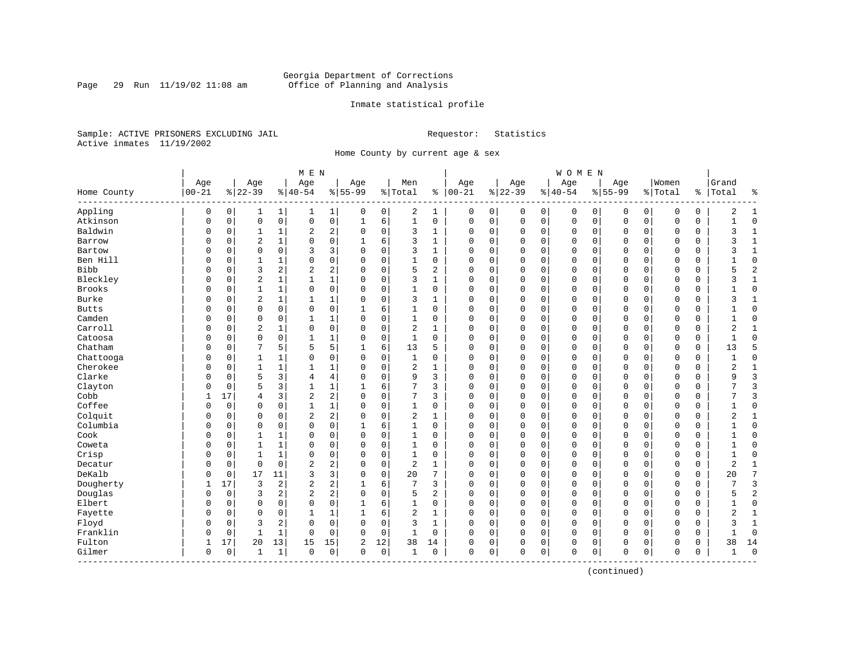### Georgia Department of Corrections<br>Page 29 Run 11/19/02 11:08 am 6ffice of Planning and Analysis Page 29 Run 11/19/02 11:08 am Office of Planning and Analysis

### Inmate statistical profile

Sample: ACTIVE PRISONERS EXCLUDING JAIL **Requestor:** Statistics Active inmates 11/19/2002

Home County by current age & sex

|              |             |             |                |                | M E N          |                |             |             |                |              |             |             |          |             | WOMEN       |             |             |             |             |          |                |                |
|--------------|-------------|-------------|----------------|----------------|----------------|----------------|-------------|-------------|----------------|--------------|-------------|-------------|----------|-------------|-------------|-------------|-------------|-------------|-------------|----------|----------------|----------------|
|              | Age         |             | Age            |                | Age            |                | Age         |             | Men            |              | Age         |             | Age      |             | Age         |             | Age         |             | Women       |          | Grand          |                |
| Home County  | $00 - 21$   |             | $8 22-39$      |                | $8 40-54$      |                | $8 55-99$   |             | %   Total      | နွ           | $ 00-21$    |             | $ 22-39$ |             | $ 40-54$    |             | $8 55-99$   |             | %   Total   |          | %   Total      | နွ             |
| Appling      | 0           | 0           | 1              | 1              | 1              | 1              | 0           | 0           | 2              | 1            | 0           | 0           | 0        | 0           | 0           | 0           | 0           | 0           | 0           | 0        | 2              | 1              |
| Atkinson     | $\mathsf 0$ | $\mathsf 0$ | $\mathbf 0$    | $\mathsf 0$    | $\mathsf 0$    | $\mathsf 0$    | 1           | 6           | $\mathbf{1}$   | 0            | 0           | $\mathsf 0$ | 0        | $\mathbf 0$ | $\mathbf 0$ | $\mathbf 0$ | $\mathbf 0$ | $\mathbf 0$ | $\circ$     | 0        |                | $\mathbf 0$    |
| Baldwin      | $\mathbf 0$ | $\mathbf 0$ | $\mathbf{1}$   | $\mathbf 1$    | $\overline{2}$ | 2              | $\mathbf 0$ | $\mathbf 0$ | 3              | $\mathbf{1}$ | 0           | 0           | 0        | 0           | 0           | $\mathbf 0$ | $\mathbf 0$ | 0           | $\mathbf 0$ | 0        | 3              | $\mathbf{1}$   |
| Barrow       | $\Omega$    | $\mathbf 0$ | 2              | $\mathbf{1}$   | $\Omega$       | $\mathbf 0$    | 1           | 6           | 3              | $\mathbf{1}$ | $\Omega$    | 0           | $\Omega$ | $\Omega$    | 0           | $\mathbf 0$ | $\Omega$    | $\Omega$    | $\Omega$    | 0        | ζ              | $\mathbf{1}$   |
| Bartow       | $\Omega$    | 0           | $\mathbf 0$    | $\mathbf 0$    | 3              | 3              | $\Omega$    | $\mathbf 0$ | 3              | $\mathbf{1}$ | 0           | 0           | $\Omega$ | 0           | 0           | $\mathbf 0$ | $\Omega$    | $\Omega$    | $\Omega$    | 0        | 3              | $\mathbf{1}$   |
| Ben Hill     | $\Omega$    | $\Omega$    | $\mathbf{1}$   | $\mathbf{1}$   | $\Omega$       | $\mathbf 0$    | $\Omega$    | $\mathbf 0$ | $\mathbf{1}$   | $\Omega$     | $\Omega$    | 0           | $\Omega$ | $\Omega$    | $\Omega$    | $\Omega$    | $\Omega$    | $\Omega$    | $\mathbf 0$ | 0        |                | $\Omega$       |
| Bibb         | $\Omega$    | 0           | 3              | $\overline{a}$ | $\overline{2}$ | $\sqrt{2}$     | $\Omega$    | $\mathbf 0$ | 5              | 2            | $\Omega$    | 0           | $\Omega$ | 0           | 0           | $\mathbf 0$ | $\Omega$    | $\Omega$    | $\Omega$    | 0        | 5              | $\overline{2}$ |
| Bleckley     | $\Omega$    | 0           | $\overline{2}$ | $\mathbf{1}$   | $\mathbf{1}$   | $\mathbf 1$    | $\Omega$    | $\mathbf 0$ | 3              | 1            | 0           | 0           | $\Omega$ | 0           | 0           | 0           | 0           | 0           | 0           | 0        | 3              | 1              |
| Brooks       | $\Omega$    | 0           | $\mathbf{1}$   | $\mathbf 1$    | $\mathsf 0$    | 0              | $\Omega$    | $\mathbf 0$ | $\mathbf{1}$   | 0            | $\Omega$    | 0           | $\Omega$ | 0           | 0           | 0           | $\Omega$    | 0           | $\mathbf 0$ | 0        |                | $\Omega$       |
| Burke        | $\Omega$    | 0           | 2              | 1              | $\mathbf{1}$   | $\mathbf 1$    | $\Omega$    | $\mathbf 0$ | 3              | 1            | $\Omega$    | 0           | $\Omega$ | 0           | 0           | $\mathbf 0$ | $\Omega$    | 0           | 0           | 0        | 3              | 1              |
| <b>Butts</b> | $\Omega$    | 0           | $\mathbf 0$    | $\mathbf 0$    | $\mathbf 0$    | 0              |             | 6           | 1              | 0            | 0           | 0           | $\Omega$ | 0           | 0           | $\mathbf 0$ | 0           | 0           | 0           | 0        |                | $\Omega$       |
| Camden       | $\Omega$    | $\Omega$    | $\mathbf 0$    | $\Omega$       | $\mathbf{1}$   | 1              | $\Omega$    | $\mathbf 0$ | $\mathbf{1}$   | $\Omega$     | $\mathbf 0$ | 0           | $\Omega$ | 0           | $\Omega$    | $\Omega$    | $\Omega$    | $\Omega$    | $\mathbf 0$ | $\Omega$ |                | $\Omega$       |
| Carroll      | $\Omega$    | 0           | $\overline{c}$ | $\mathbf{1}$   | $\mathbf 0$    | $\mathbf 0$    | $\Omega$    | $\mathbf 0$ | $\overline{2}$ | $\mathbf{1}$ | $\Omega$    | 0           | $\Omega$ | 0           | 0           | $\mathbf 0$ | $\Omega$    | $\Omega$    | $\Omega$    | 0        | $\overline{2}$ | $\mathbf{1}$   |
| Catoosa      | $\Omega$    | $\mathbf 0$ | $\mathbf 0$    | 0              | $\mathbf{1}$   | $\mathbf 1$    | $\Omega$    | $\mathsf 0$ | $\mathbf{1}$   | 0            | $\Omega$    | 0           | $\Omega$ | 0           | 0           | $\mathbf 0$ | $\Omega$    | 0           | $\mathbf 0$ | 0        |                | $\Omega$       |
| Chatham      | $\Omega$    | 0           | $\overline{7}$ | 5              | 5              | 5              | 1           | 6           | 13             | 5            | $\Omega$    | 0           | $\Omega$ | 0           | 0           | 0           | $\Omega$    | 0           | $\mathbf 0$ | 0        | 13             | 5              |
| Chattooga    | $\Omega$    | 0           | 1              | 1              | 0              | 0              | $\Omega$    | 0           | $\mathbf{1}$   | 0            | $\Omega$    | 0           | $\Omega$ | 0           | 0           | $\mathbf 0$ | $\Omega$    | 0           | 0           | 0        | -1             | $\mathbf 0$    |
| Cherokee     | $\Omega$    | $\Omega$    | 1              | 1              | 1              | 1              | $\Omega$    | 0           | $\overline{2}$ | 1            | $\Omega$    | 0           | $\Omega$ | 0           | 0           | 0           | 0           | 0           | 0           | 0        | $\overline{2}$ | 1              |
| Clarke       | $\Omega$    | 0           | 5              | 3              | 4              | $\overline{4}$ | 0           | 0           | 9              | 3            | 0           | 0           | $\Omega$ | 0           | 0           | $\Omega$    | $\Omega$    | $\Omega$    | $\mathbf 0$ | 0        | 9              | $\overline{3}$ |
| Clayton      | $\Omega$    | 0           | 5              | 3              | $\mathbf{1}$   | 1              | 1           | 6           | 7              | 3            | 0           | 0           | $\Omega$ | 0           | 0           | $\mathbf 0$ | $\Omega$    | $\Omega$    | 0           | 0        | 7              | 3              |
| Cobb         | 1           | 17          | $\overline{4}$ | 3              | $\sqrt{2}$     | $\sqrt{2}$     | 0           | $\mathbf 0$ | 7              | 3            | 0           | 0           | 0        | 0           | 0           | $\mathbf 0$ | 0           | 0           | 0           | 0        |                | 3              |
| Coffee       | $\Omega$    | $\mathbf 0$ | $\mathbf 0$    | $\mathbf 0$    | $\mathbf{1}$   | $\mathbf 1$    | $\Omega$    | $\mathbf 0$ | $\mathbf{1}$   | $\Omega$     | $\Omega$    | 0           | $\Omega$ | $\Omega$    | $\Omega$    | $\mathbf 0$ | $\Omega$    | $\Omega$    | $\Omega$    | 0        | $\mathbf{1}$   | $\Omega$       |
| Colquit      | $\Omega$    | 0           | $\mathbf 0$    | $\mathbf 0$    | $\overline{2}$ | $\overline{2}$ | $\Omega$    | $\mathbf 0$ | $\overline{2}$ | 1            | $\Omega$    | 0           | $\Omega$ | 0           | 0           | $\mathbf 0$ | $\Omega$    | 0           | $\Omega$    | 0        | $\overline{2}$ | $\mathbf{1}$   |
| Columbia     | $\Omega$    | 0           | $\mathbf 0$    | 0              | $\mathbf 0$    | $\mathsf 0$    |             | 6           | $\mathbf{1}$   | 0            | $\Omega$    | 0           | $\Omega$ | 0           | 0           | 0           | $\Omega$    | 0           | $\Omega$    | 0        |                | $\Omega$       |
| Cook         | $\Omega$    | $\Omega$    | 1              | 1              | 0              | $\mathsf 0$    | 0           | 0           | $\mathbf{1}$   | $\Omega$     | 0           | 0           | $\Omega$ | 0           | 0           | $\Omega$    | $\Omega$    | $\Omega$    | $\mathbf 0$ | 0        |                | $\Omega$       |
| Coweta       | 0           | 0           | 1              | 1              | 0              | 0              | $\Omega$    | $\mathbf 0$ | 1              | 0            | 0           | 0           | $\Omega$ | 0           | 0           | $\mathbf 0$ | $\Omega$    | $\Omega$    | 0           | 0        | 1              | $\Omega$       |
| Crisp        | $\Omega$    | 0           | 1              | $\mathbf{1}$   | 0              | 0              | 0           | $\mathbf 0$ | $\mathbf{1}$   | 0            | 0           | 0           | $\Omega$ | 0           | 0           | 0           | 0           | 0           | $\mathbf 0$ | 0        | $\mathbf{1}$   | $\Omega$       |
| Decatur      | $\Omega$    | 0           | $\mathbf 0$    | $\mathbf 0$    | $\overline{2}$ | $\overline{2}$ | $\Omega$    | $\mathbf 0$ | $\overline{2}$ | 1            | $\Omega$    | 0           | $\Omega$ | 0           | 0           | $\mathbf 0$ | $\Omega$    | 0           | $\mathbf 0$ | 0        | 2              | 1              |
| DeKalb       | $\Omega$    | $\mathbf 0$ | 17             | 11             | 3              | 3              | $\Omega$    | $\mathbf 0$ | 20             | 7            | $\Omega$    | 0           | $\Omega$ | 0           | $\Omega$    | $\mathbf 0$ | $\Omega$    | $\Omega$    | $\Omega$    | 0        | 20             | 7              |
| Dougherty    | 1           | 17          | 3              | $\sqrt{2}$     | $\overline{a}$ | $\sqrt{2}$     |             | 6           | 7              | 3            | $\Omega$    | 0           | $\Omega$ | 0           | $\Omega$    | $\mathbf 0$ | $\Omega$    | $\Omega$    | $\Omega$    | 0        |                | 3              |
| Douglas      | $\Omega$    | $\Omega$    | 3              | 2              | $\overline{2}$ | $\sqrt{2}$     | $\Omega$    | $\mathbf 0$ | 5              | 2            | $\Omega$    | 0           | $\Omega$ | $\Omega$    | 0           | $\Omega$    | $\Omega$    | $\Omega$    | $\mathbf 0$ | 0        | 5              | $\overline{2}$ |
| Elbert       | $\Omega$    | 0           | 0              | $\mathbf 0$    | $\mathbf 0$    | $\mathsf 0$    | 1           | 6           | $\mathbf{1}$   | 0            | $\Omega$    | 0           | $\Omega$ | 0           | 0           | $\mathbf 0$ | $\Omega$    | $\Omega$    | $\Omega$    | 0        | 1              | $\mathbf{0}$   |
| Fayette      | $\Omega$    | 0           | $\mathbf 0$    | $\mathbf 0$    | $\mathbf{1}$   | 1              | 1           | 6           | $\overline{2}$ | $\mathbf{1}$ | $\Omega$    | 0           | $\Omega$ | 0           | 0           | 0           | $\Omega$    | 0           | $\mathbf 0$ | 0        | $\overline{2}$ | $\mathbf{1}$   |
| Floyd        | $\Omega$    | 0           | 3              | 2              | 0              | $\mathsf 0$    | 0           | $\mathbf 0$ | 3              | $\mathbf{1}$ | 0           | 0           | $\Omega$ | 0           | 0           | 0           | 0           | 0           | 0           | 0        | 3              | $\mathbf{1}$   |
| Franklin     | $\Omega$    | 0           | 1              | 1              | 0              | 0              | $\Omega$    | 0           | 1              | 0            | $\Omega$    | 0           | $\Omega$ | 0           | 0           | $\mathbf 0$ | $\mathbf 0$ | 0           | $\mathbf 0$ | 0        |                | $\Omega$       |
| Fulton       | 1           | 17          | 20             | 13             | 15             | 15             | 2           | 12          | 38             | 14           | 0           | 0           | $\Omega$ | 0           | 0           | $\mathbf 0$ | 0           | 0           | 0           | 0        | 38             | 14             |
| Gilmer       | $\mathbf 0$ | $\mathbf 0$ | 1              | $\mathbf{1}$   | $\Omega$       | 0              | $\Omega$    | $\mathbf 0$ | $\mathbf{1}$   | 0            | $\Omega$    | 0           | $\Omega$ | $\mathbf 0$ | $\Omega$    | $\mathbf 0$ | $\Omega$    | $\mathbf 0$ | $\Omega$    | 0        | -1             | $\Omega$       |

(continued)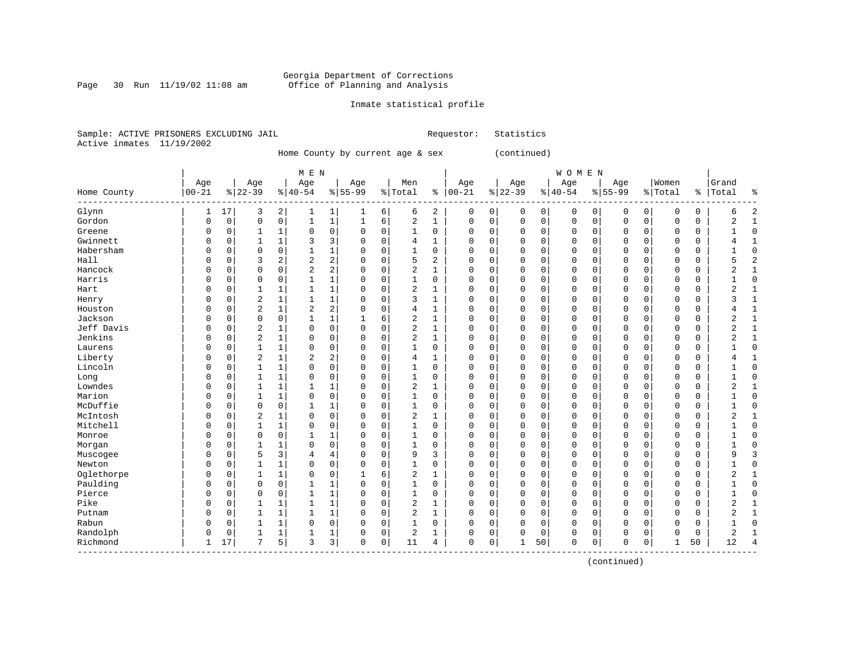### Georgia Department of Corrections Page 30 Run 11/19/02 11:08 am Office of Planning and Analysis

### Inmate statistical profile

Sample: ACTIVE PRISONERS EXCLUDING JAIL **Requestor:** Statistics Active inmates 11/19/2002

Home County by current age & sex (continued)

| M E N | W O M E N | Age | Age | Age | Age | Men | Age | Age | Age | Age |Women |Grand Home County |00-21 %|22-39 %|40-54 %|55-99 %|Total % |00-21 %|22-39 %|40-54 %|55-99 %|Total % |Total % ------------------------------------------------------------------------------------------------------------------------------------Glynn | 1 17| 3 2| 1 1| 1 6| 6 2 | 0 0| 0 0| 0 0| 0 0| 0 0 | 6 2 Gordon | 0 0| 0 0| 1 1| 1 6| 2 1 | 0 0| 0 0| 0 0| 0 0| 0 0 | 2 1 Greene | 0 0| 1 1| 0 0| 0 0| 1 0 | 0 0| 0 0| 0 0| 0 0| 0 0 | 1 0 Gwinnett | 0 0| 1 1| 3 3| 0 0| 4 1 | 0 0| 0 0| 0 0| 0 0| 0 0 | 4 1 Habersham | 0 0| 0 0| 1 1| 0 0| 1 0 | 0 0| 0 0| 0 0| 0 0| 0 0 | 1 0 Hall | 0 0| 3 2| 2 2| 0 0| 5 2 | 0 0| 0 0| 0 0| 0 0| 0 0 | 5 2 Hancock | 0 0| 0 0| 2 2| 0 0| 2 1 | 0 0| 0 0| 0 0| 0 0| 0 0 | 2 1 Harris | 0 0| 0 0| 1 1| 0 0| 1 0 | 0 0| 0 0| 0 0| 0 0| 0 0 | 1 0 Hart | 0 0| 1 1| 1 1| 0 0| 2 1 | 0 0| 0 0| 0 0| 0 0| 0 0 | 2 1 Henry | 0 0| 2 1| 1 1| 0 0| 3 1 | 0 0| 0 0| 0 0| 0 0| 0 0 | 3 1 Houston | 0 0| 2 1| 2 2| 0 0| 4 1 | 0 0| 0 0| 0 0| 0 0| 0 0 | 4 1 Jackson | 0 0| 0 0| 1 1| 1 6| 2 1 | 0 0| 0 0| 0 0| 0 0| 0 0 | 2 1 Jeff Davis | 0 0| 2 1| 0 0| 0 0| 2 1 | 0 0| 0 0| 0 0| 0 0| 0 0 | 2 1 Jenkins | 0 0| 2 1| 0 0| 0 0| 2 1 | 0 0| 0 0| 0 0| 0 0| 0 0 | 2 1 Laurens | 0 0| 1 1| 0 0| 0 0| 1 0 | 0 0| 0 0| 0 0| 0 0| 0 0 | 1 0 Liberty | 0 0| 2 1| 2 2| 0 0| 4 1 | 0 0| 0 0| 0 0| 0 0| 0 0 | 4 1 Lincoln | 0 0| 1 1| 0 0| 0 0| 1 0 | 0 0| 0 0| 0 0| 0 0| 0 0 | 1 0 Long | 0 0| 1 1| 0 0| 0 0| 1 0 | 0 0| 0 0| 0 0| 0 0| 0 0 | 1 0 Lowndes | 0 0| 1 1| 1 1| 0 0| 2 1 | 0 0| 0 0| 0 0| 0 0| 0 0 | 2 1 Marion | 0 0| 1 1| 0 0| 0 0| 1 0 | 0 0| 0 0| 0 0| 0 0| 0 0 | 1 0 McDuffie | 0 0| 0 0| 1 1| 0 0| 1 0 | 0 0| 0 0| 0 0| 0 0| 0 0 | 1 0 McIntosh | 0 0| 2 1| 0 0| 0 0| 2 1 | 0 0| 0 0| 0 0| 0 0| 0 0 | 2 1 Mitchell | 0 0| 1 1| 0 0| 0 0| 1 0 | 0 0| 0 0| 0 0| 0 0| 0 0 | 1 0 Monroe | 0 0| 0 0| 1 1| 0 0| 1 0 | 0 0| 0 0| 0 0| 0 0| 0 0 | 1 0 Morgan | 0 0| 1 1| 0 0| 0 0| 1 0 | 0 0| 0 0| 0 0| 0 0| 0 0 | 1 0 Muscogee | 0 0| 5 3| 4 4| 0 0| 9 3 | 0 0| 0 0| 0 0| 0 0| 0 0 | 9 3 Newton | 0 0| 1 1| 0 0| 0 0| 1 0 | 0 0| 0 0| 0 0| 0 0| 0 0 | 1 0 Oglethorpe | 0 0| 1 1| 0 0| 1 6| 2 1 | 0 0| 0 0| 0 0| 0 0| 0 0 | 2 1 Paulding | 0 0| 0 0| 1 1| 0 0| 1 0 | 0 0| 0 0| 0 0| 0 0| 0 0 | 1 0 Pierce | 0 0| 0 0| 1 1| 0 0| 1 0 | 0 0| 0 0| 0 0| 0 0| 0 0 | 1 0 Pike | 0 0| 1 1| 1 1| 0 0| 2 1 | 0 0| 0 0| 0 0| 0 0| 0 0 | 2 1 Putnam | 0 0| 1 1| 1 1| 0 0| 2 1 | 0 0| 0 0| 0 0| 0 0| 0 0 | 2 1 Rabun | 0 0| 1 1| 0 0| 0 0| 1 0 | 0 0| 0 0| 0 0| 0 0| 0 0 | 1 0 Randolph | 0 0| 1 1| 1 1| 0 0| 2 1 | 0 0| 0 0| 0 0| 0 0| 0 0 | 2 1 Richmond | 1 17| 7 5| 3 3| 0 0| 11 4 | 0 0| 1 50| 0 0| 0 0| 1 50 | 12 4 ------------------------------------------------------------------------------------------------------------------------------------

(continued)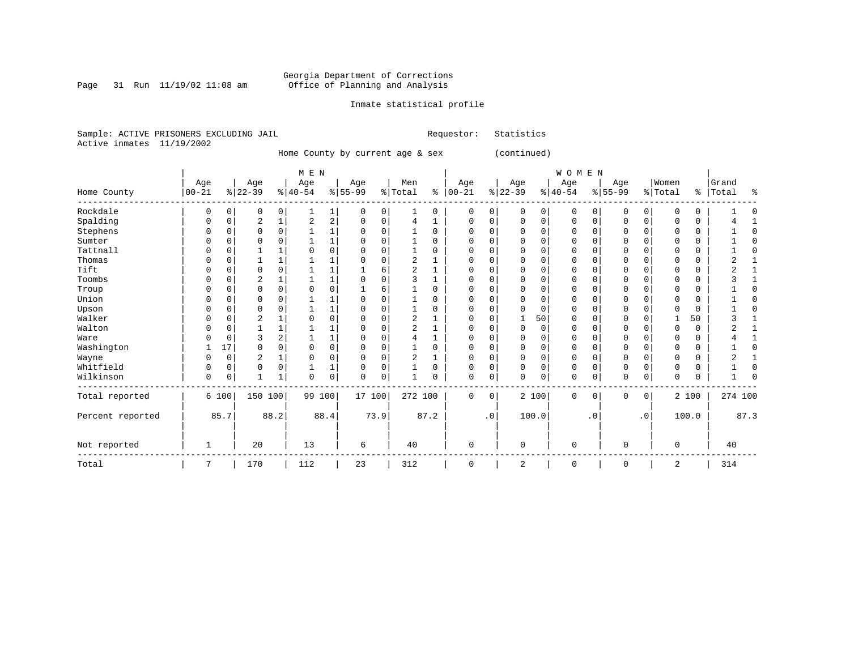Page 31 Run  $11/19/02$  11:08 am

### Inmate statistical profile

Requestor: Statistics

|  | Sample: ACTIVE PRISONERS EXCLUDING JAIL |  |  |  |  |
|--|-----------------------------------------|--|--|--|--|
|  | Active inmates 11/19/2002               |  |  |  |  |

Home County by current age & sex (continued)

|                  |            |             |                |          | M E N     |      |           |             |                |          |              |           |          |             | WOMEN       |           |             |                |          |       |         |              |
|------------------|------------|-------------|----------------|----------|-----------|------|-----------|-------------|----------------|----------|--------------|-----------|----------|-------------|-------------|-----------|-------------|----------------|----------|-------|---------|--------------|
|                  | Age        |             | Age            |          | Age       |      | Age       |             | Men            |          | Age          |           | Age      |             | Age         |           | Age         |                | Women    |       | Grand   |              |
| Home County      | $ 00 - 21$ |             | $ 22-39$       |          | $8 40-54$ |      | $8 55-99$ |             | % Total        | နွ       | $ 00-21$     |           | $ 22-39$ |             | $ 40-54$    |           | $8 55-99$   |                | % Total  | နွ    | Total   | ႜ            |
| Rockdale         | 0          | 0           | 0              | 0        |           | 1    | 0         | 0           |                | 0        | 0            | 0         | $\Omega$ | 0           | 0           | $\Omega$  | 0           | 0              | U        | 0     |         |              |
| Spalding         | 0          | $\Omega$    | $\overline{2}$ |          | 2         | 2    |           | $\Omega$    | 4              |          | 0            | 0         | $\Omega$ | $\Omega$    | 0           | O         | $\Omega$    | $\Omega$       |          | 0     |         |              |
| Stephens         | U          | 0           | $\Omega$       | O        |           |      |           | $\Omega$    |                | $\Omega$ | $\Omega$     | 0         |          | $\Omega$    | 0           | O         | O           | $\Omega$       |          | 0     |         | <sup>0</sup> |
| Sumter           |            | 0           |                |          |           |      |           |             |                | O        | Ω            | U         |          | $\Omega$    | 0           |           |             |                |          | 0     |         | ſ            |
| Tattnall         | U          | 0           |                |          |           | 0    |           |             |                | U        | $\Omega$     | O         |          | $\Omega$    | 0           | O         | O           |                | U        | 0     |         | <sup>0</sup> |
| Thomas           |            |             |                |          |           |      |           |             | 2              |          |              | U         |          | $\Omega$    | 0           |           |             |                |          | 0     |         |              |
| Tift             | U          | O           | $\Omega$       |          |           |      |           | 6           | $\overline{2}$ |          | 0            | 0         | ∩        | $\Omega$    | 0           | U         | $\Omega$    |                | U        | 0     |         |              |
| Toombs           | U          | 0           | 2              |          |           |      |           | 0           | ς              |          | $\Omega$     | 0         |          | $\Omega$    | 0           |           | $\Omega$    |                | ∩        | 0     |         |              |
| Troup            |            | 0           | $\Omega$       | $\Omega$ |           | 0    |           | 6           |                | U        | O            | U         |          | $\Omega$    | 0           | O         | $\Omega$    | U              |          | 0     |         |              |
| Union            |            | O           | $\Omega$       |          |           |      |           |             |                | U        | O            | 0         |          | $\Omega$    | 0           |           | O           |                |          | 0     |         | ſ            |
| Upson            |            | 0           |                |          |           |      |           |             |                |          |              | 0         |          | $\Omega$    | 0           |           |             |                |          | 0     |         |              |
| Walker           | U          | $\Omega$    | 2              |          |           | 0    |           | $\Omega$    | 2              |          | $\Omega$     | O         |          | 50          | 0           | U         | $\mathbf 0$ |                |          | 50    |         |              |
| Walton           | U          | 0           |                |          |           |      |           |             | $\overline{2}$ |          | <sup>0</sup> | U         | $\Omega$ | $\Omega$    | 0           |           | $\Omega$    |                | U        | 0     |         |              |
| Ware             |            | $\Omega$    | 3              |          |           |      |           | $\Omega$    |                |          | O            | 0         |          | $\Omega$    | 0           | O         |             |                |          | 0     |         |              |
| Washington       |            | 17          | $\Omega$       | O        |           | 0    |           | $\Omega$    |                | U        | <sup>0</sup> | 0         |          | $\Omega$    | $\Omega$    | O         | $\Omega$    |                | U        | 0     |         | $\Omega$     |
| Wayne            |            | 0           | $\overline{2}$ |          |           | 0    |           | $\Omega$    | 2              |          | 0            | 0         |          | 0           | 0           | O         | $\Omega$    |                |          | 0     |         |              |
| Whitfield        | 0          | $\Omega$    | $\mathbf 0$    | $\Omega$ |           | 1    | $\Omega$  | 0           |                | $\Omega$ | $\Omega$     | 0         | $\Omega$ | $\mathbf 0$ | 0           | $\Omega$  | $\mathbf 0$ | $\Omega$       | $\Omega$ | 0     |         | $\Omega$     |
| Wilkinson        | 0          | $\mathbf 0$ |                |          | 0         | 0    | $\Omega$  | $\mathbf 0$ |                | $\Omega$ | $\Omega$     | 0         | $\Omega$ | $\mathbf 0$ | 0           | 0         | $\mathbf 0$ | $\mathbf 0$    | 0        | 0     |         | ſ            |
| Total reported   |            | 6 100       | 150            | 100      | 99 100    |      | 17 100    |             | 272 100        |          | $\Omega$     | 0         |          | 2 100       | 0           | $\Omega$  | $\Omega$    | $\overline{0}$ |          | 2 100 | 274 100 |              |
| Percent reported |            | 85.7        |                | 88.2     |           | 88.4 |           | 73.9        |                | 87.2     |              | $\cdot$ 0 |          | 100.0       |             | $\cdot$ 0 |             | $\cdot$ 0      |          | 100.0 |         | 87.3         |
| Not reported     |            |             | 20             |          | 13        |      | 6         |             | 40             |          | $\mathbf 0$  |           | $\Omega$ |             | $\mathbf 0$ |           | $\Omega$    |                | $\Omega$ |       | 40      |              |
| Total            | 7          |             | 170            |          | 112       |      | 23        |             | 312            |          | 0            |           | 2        |             | 0           |           | $\Omega$    |                | 2        |       | 314     |              |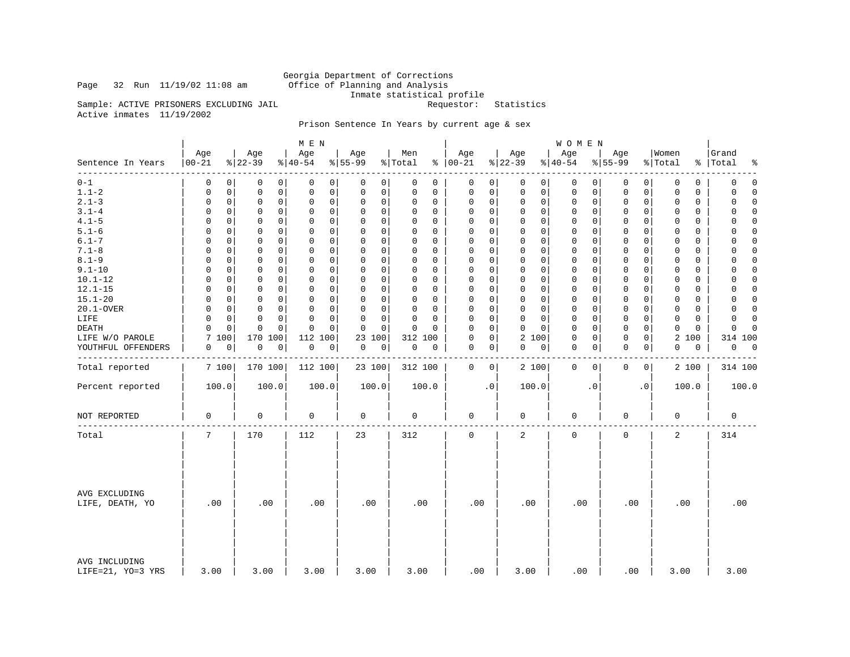### Page 32 Run  $11/19/02$  11:08 am

Georgia Department of Corrections<br>Office of Planning and Analysis Inmate statistical profile<br>Requestor: Statistics

Sample: ACTIVE PRISONERS EXCLUDING JAIL Active inmates 11/19/2002

### Prison Sentence In Years by current age & sex

|                                    |                     |                 | M E N               |                  |                |                         |                 | <b>WOMEN</b>               |                  |                  |                          |
|------------------------------------|---------------------|-----------------|---------------------|------------------|----------------|-------------------------|-----------------|----------------------------|------------------|------------------|--------------------------|
| Sentence In Years                  | Age<br>$ 00 - 21$   | Age<br>$ 22-39$ | Age<br>$ 40-54 $    | Age<br>$8 55-99$ | Men<br>% Total | Age<br>$% 100-21$       | Age<br>$ 22-39$ | Age<br>$8 40-54$           | Age<br>$8 55-99$ | Women<br>% Total | Grand<br>%   Total<br>နွ |
| -----                              | 0                   | 0               | 0                   | 0                | 0              | 0                       | 0               | $\mathbf 0$                | 0                | 0                | $\mathbf 0$              |
| $0 - 1$                            | 0                   | 0               | 0                   | 0                | 0              | 0                       | $\overline{0}$  | 0                          | 0                | 0                | 0                        |
| $1.1 - 2$                          | 0                   | $\mathbf 0$     | $\mathbf 0$         | 0                | 0              | $\mathsf 0$             | 0               | 0                          | 0                | 0                | 0                        |
|                                    | 0                   | 0               | 0                   | 0                | 0              | $\mathbf 0$             | 0               | 0                          | 0                | 0                | $\Omega$                 |
| $2.1 - 3$                          | 0                   | $\mathbf 0$     | $\mathbf 0$         | 0                | $\Omega$       | 0                       | 0               | $\mathbf 0$                | $\mathbf 0$      | $\mathbf 0$      | $\mathbf 0$              |
|                                    | 0                   | 0               | $\mathbf 0$         | 0                | 0              | $\mathbf 0$             | 0               | 0                          | $\mathbf 0$      | 0                | $\Omega$                 |
| $3.1 - 4$                          | $\Omega$            | 0               | 0                   | $\Omega$         | $\Omega$       | 0                       | $\Omega$        | 0                          | 0                | $\Omega$         | 0                        |
|                                    | $\Omega$            | 0               | 0                   | 0                | 0              | $\Omega$                | 0               | 0                          | 0                | $\Omega$         | $\Omega$                 |
| $4.1 - 5$                          | 0                   | $\mathbf 0$     | $\mathbf 0$         | 0                | $\Omega$       | $\mathbf 0$             | 0               | 0                          | $\mathbf 0$      | 0                | $\Omega$                 |
|                                    | 0                   | 0               | 0                   | 0                | 0              | $\Omega$                | 0               | 0                          | 0                | 0                | 0                        |
| $5.1 - 6$                          | $\Omega$            | $\Omega$        | $\mathbf 0$         | 0                | $\Omega$       | $\Omega$                | 0               | $\mathbf 0$                | $\Omega$         | 0                | $\mathbf 0$              |
|                                    | 0                   | 0               | 0                   | $\mathbf 0$      | 0              | $\mathbf 0$             | 0               | 0                          | 0                | 0                | $\Omega$                 |
| $6.1 - 7$                          | $\Omega$            | 0               | $\Omega$            | $\Omega$         | $\Omega$       | $\Omega$                | $\Omega$        | $\Omega$                   | $\Omega$         | $\Omega$         | $\Omega$                 |
|                                    | $\Omega$            | $\Omega$        | $\Omega$            | $\Omega$         | $\Omega$       | $\Omega$                | $\Omega$        | $\Omega$                   | $\Omega$         | $\Omega$         | $\Omega$                 |
| $7.1 - 8$                          | $\Omega$            | $\mathbf 0$     | $\mathbf 0$         | 0                | $\mathbf 0$    | $\mathbf 0$             | $\Omega$        | $\mathbf 0$                | $\mathbf 0$      | $\Omega$         | $\mathbf 0$              |
|                                    | 0                   | 0               | $\mathbf 0$         | $\mathbf 0$      | 0              | $\mathbf{0}$            | 0               | 0                          | $\mathbf 0$      | 0                | $\Omega$                 |
| $8.1 - 9$                          | $\Omega$            | $\Omega$        | $\Omega$            | 0                | $\Omega$       | $\Omega$                | $\Omega$        | $\mathbf 0$                | $\mathbf 0$      | $\Omega$         | $\Omega$                 |
|                                    | $\Omega$            | 0               | $\mathbf 0$         | 0                | $\Omega$       | $\mathbf 0$             | 0               | $\Omega$                   | 0                | $\Omega$         | 0                        |
| $9.1 - 10$                         | $\Omega$            | $\mathbf 0$     | $\Omega$            | $\Omega$         | $\Omega$       | $\mathbf 0$             | $\Omega$        | $\mathbf 0$                | $\mathbf 0$      | $\Omega$         | $\mathbf 0$              |
|                                    | $\Omega$            | 0               | $\mathbf 0$         | $\mathbf 0$      | 0              | $\Omega$                | $\mathbf 0$     | $\Omega$                   | $\mathbf 0$      | $\Omega$         | $\Omega$                 |
| $10.1 - 12$                        | $\Omega$            | $\mathbf 0$     | $\mathbf 0$         | 0                | 0              | $\mathbf 0$             | $\Omega$        | $\mathbf 0$                | $\mathbf 0$      | 0                | $\Omega$                 |
|                                    | $\Omega$            | 0               | 0                   | 0                | $\Omega$       | $\Omega$                | 0               | $\Omega$                   | $\Omega$         | $\Omega$         | 0                        |
| $12.1 - 15$                        | 0                   | $\mathbf 0$     | $\mathbf 0$         | 0                | $\mathbf 0$    | $\Omega$                | 0               | $\mathbf 0$                | $\mathbf 0$      | $\mathbf 0$      | $\mathbf 0$              |
|                                    | 0                   | 0               | $\mathbf 0$         | 0                | $\Omega$       | $\mathbf 0$             | $\mathbf 0$     | 0                          | 0                | 0                | $\mathbf 0$              |
| $15.1 - 20$                        | $\Omega$            | 0               | $\Omega$            | $\Omega$         | $\Omega$       | $\Omega$                | $\Omega$        | $\mathbf{0}$               | $\mathbf 0$      | $\Omega$         | $\Omega$                 |
|                                    | $\Omega$            | $\Omega$        | $\Omega$            | 0                | $\Omega$       | $\Omega$                | $\Omega$        | $\Omega$                   | $\Omega$         | $\Omega$         | $\Omega$                 |
| 20.1-OVER                          | $\mathbf 0$         | $\mathbf 0$     | $\mathbf 0$         | 0                | $\mathbf 0$    | $\mathsf 0$             | $\Omega$        | $\mathbf 0$                | $\mathbf 0$      | $\mathbf 0$      | $\Omega$                 |
|                                    | 0                   | 0               | $\mathbf 0$         | $\mathbf 0$      | 0              | $\mathbf 0$             | $\mathbf 0$     | 0                          | $\mathbf 0$      | $\mathbf 0$      | $\mathbf 0$              |
| LIFE                               | $\Omega$            | $\Omega$        | $\Omega$            | 0                | $\Omega$       | $\mathbf 0$             | 0               | $\mathbf 0$                | $\mathbf 0$      | $\Omega$         | $\Omega$                 |
|                                    | $\Omega$            | 0               | $\Omega$            | 0                | $\Omega$       | $\Omega$                | 0               | $\Omega$                   | 0                | $\Omega$         | $\Omega$                 |
| DEATH                              | $\Omega$            | $\mathbf 0$     | $\Omega$            | 0                | $\Omega$       | $\mathbf 0$             | $\Omega$        | $\mathbf 0$                | $\mathbf 0$      | $\mathbf 0$      | $\mathbf 0$              |
|                                    | $\Omega$            | $\mathbf 0$     | $\Omega$            | $\Omega$         | $\Omega$       | $\Omega$                | $\mathbf 0$     | $\Omega$                   | $\mathbf 0$      | $\Omega$         | $\cap$                   |
| LIFE W/O PAROLE                    | 7<br>100            | 170 100         | 112<br>100          | 23<br>100        | 312 100        | $\mathsf 0$<br>$\Omega$ | 2 100           | $\mathbf 0$<br>0           | $\mathbf 0$<br>0 | 2<br>100         | 314 100                  |
|                                    |                     | $\mathsf 0$     | $\mathsf{O}\xspace$ | $\mathsf 0$      | $\mathsf 0$    | $\mathbf 0$             | 0               | $\mathbf 0$<br>0           | $\mathbf 0$<br>0 | $\mathbf 0$<br>0 | $\overline{0}$<br>0      |
| YOUTHFUL OFFENDERS                 | 0<br>0              | $\pmb{0}$       | $\mathsf 0$         | 0                | 0              | 0                       | 0               |                            |                  |                  |                          |
| Total reported                     | 7 100               | 170 100         | 112 100             | 23 100           | 312 100        | $\mathbf 0$<br>$\circ$  | 2 100           | $\mathbf 0$<br>$\mathbf 0$ | $\mathbf 0$<br>0 | 2 100            | 314 100                  |
| Percent reported                   | 100.0               | 100.0           | 100.0               | 100.0            | 100.0          | $\cdot$ 0               | 100.0           | $\cdot$ 0                  | . 0              | 100.0            | 100.0                    |
| NOT REPORTED                       | $\mathsf{O}\xspace$ | 0               | 0                   | 0                | 0              | $\mathbf 0$             | 0               | 0                          | 0                | $\mathbf 0$      | $\mathbf 0$              |
| Total                              | 7                   | 170             | 112                 | 23               | 312            | $\mathbf 0$             | $\overline{a}$  | $\mathbf 0$                | 0                | $\overline{2}$   | 314                      |
| AVG EXCLUDING<br>LIFE, DEATH, YO   | .00                 | .00             | .00                 | .00              | .00            | .00                     | .00             | .00                        | .00              | .00              | .00                      |
| AVG INCLUDING<br>LIFE=21, YO=3 YRS | 3.00                | 3.00            | 3.00                | 3.00             | 3.00           | .00                     | 3.00            | .00                        | .00              | 3.00             | 3.00                     |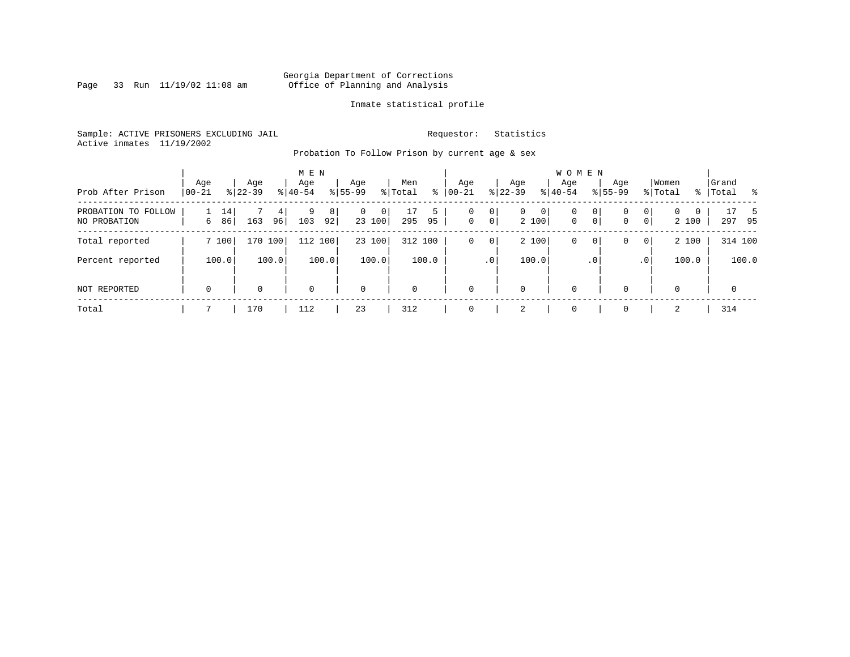Page 33 Run  $11/19/02$  11:08 am

### Inmate statistical profile

Sample: ACTIVE PRISONERS EXCLUDING JAIL **Requestor:** Statistics Active inmates 11/19/2002

Probation To Follow Prison by current age & sex

| Prob After Prison                   | Age<br>$00 - 21$ |          | Age<br>$8122 - 39$ |         | M E N<br>Age<br>$8 40-54$ |         | Age<br>$8155 - 99$ |             | Men<br>% Total | ⊱       | Age<br>$00 - 21$ |                     | Age<br>$ 22-39 $ |            | <b>WOMEN</b><br>Aqe<br>$8 40-54$ |              | Age<br>$8155 - 99$ |                     | Women<br>% Total  |             | Grand<br>%   Total |             | း  |
|-------------------------------------|------------------|----------|--------------------|---------|---------------------------|---------|--------------------|-------------|----------------|---------|------------------|---------------------|------------------|------------|----------------------------------|--------------|--------------------|---------------------|-------------------|-------------|--------------------|-------------|----|
| PROBATION TO FOLLOW<br>NO PROBATION | 6                | 14<br>86 | 163                | 4<br>96 | 9<br>103                  | 8<br>92 | $\mathbf{0}$       | 0<br>23 100 | 17<br>295      | 5<br>95 | 0<br>$\mathbf 0$ | 0<br>0 <sup>1</sup> | $\mathbf{0}$     | 0<br>2 100 | 0<br>$\mathbf{0}$                | 0<br>$\circ$ | 0<br>0             | 0<br>$\overline{0}$ | $\Omega$<br>2 100 | $\mathbf 0$ | 297                | 17<br>95    | -5 |
| Total reported                      |                  | 7 100    | 170 100            |         | 112 100                   |         |                    | 23 100      | 312 100        |         | 0                | 0                   |                  | 2 100      | 0                                | 0            | 0                  | $\overline{0}$      | 2 100             |             |                    | 314 100     |    |
| Percent reported                    |                  | 100.0    |                    | 100.0   |                           | 100.0   |                    | 100.0       |                | 100.0   |                  | .0 <sup>1</sup>     |                  | 100.0      |                                  | $\cdot$ 0    |                    | .0'                 | 100.0             |             |                    | 100.0       |    |
| NOT REPORTED                        | $\mathbf 0$      |          | 0                  |         | $\mathbf 0$               |         | $\mathbf 0$        |             | $\mathbf 0$    |         | $\mathbf 0$      |                     | 0                |            | $\mathbf 0$                      |              | $\Omega$           |                     | $\Omega$          |             |                    | $\mathbf 0$ |    |
| Total                               |                  |          | 170                |         | 112                       |         | 23                 |             | 312            |         | 0                |                     | 2                |            | $\mathbf 0$                      |              |                    |                     | 2                 |             | 314                |             |    |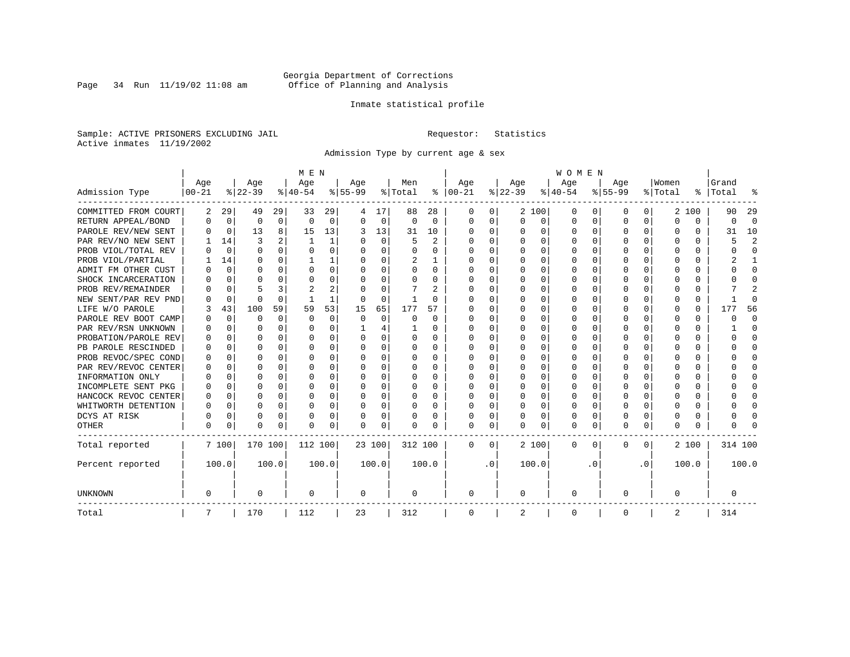Page 34 Run  $11/19/02$  11:08 am

### Inmate statistical profile

Sample: ACTIVE PRISONERS EXCLUDING JAIL **Requestor:** Statistics Active inmates 11/19/2002

Admission Type by current age & sex

|                      |           |             |          |              | M E N        |       |           |                |          |                |          |           |          |          | <b>WOMEN</b> |                  |              |              |         |          |         |                |
|----------------------|-----------|-------------|----------|--------------|--------------|-------|-----------|----------------|----------|----------------|----------|-----------|----------|----------|--------------|------------------|--------------|--------------|---------|----------|---------|----------------|
|                      | Age       |             | Age      |              | Age          |       | Age       |                | Men      |                | Age      |           | Age      |          | Age          |                  | Age          |              | Women   |          | Grand   |                |
| Admission Type       | $00 - 21$ |             | $ 22-39$ |              | $ 40-54 $    |       | $8 55-99$ |                | % Total  | ႜ              | $ 00-21$ |           | $ 22-39$ |          | $ 40-54$     |                  | $8 55-99$    |              | % Total | ွေ       | Total   |                |
| COMMITTED FROM COURT | 2         | 29          | 49       | 29           | 33           | 29    |           | 17             | 88       | 28             | 0        | 0         |          | 2 100    | 0            | $\left( \right)$ | 0            | 0            | 2       | 100      | 90      | 29             |
| RETURN APPEAL/BOND   | 0         | $\mathbf 0$ | 0        | 0            | $\Omega$     | 0     | ∩         | 0              | $\Omega$ | $\Omega$       | $\Omega$ | 0         | $\Omega$ | 0        | 0            | $\Omega$         | <sup>0</sup> | $\Omega$     | U       | $\Omega$ | 0       | $\Omega$       |
| PAROLE REV/NEW SENT  | 0         | $\mathbf 0$ | 13       | 8            | 15           | 13    | 3         | 13             | 31       | 10             | $\Omega$ | 0         | $\Omega$ | $\Omega$ | 0            | C                | $\Omega$     | $\Omega$     | O       | $\Omega$ | 31      | 10             |
| PAR REV/NO NEW SENT  |           | 14          | 3        |              | $\mathbf{1}$ | 1     |           | $\Omega$       | 5        | $\mathfrak{D}$ | n        | 0         | $\Omega$ | $\Omega$ | U            | C                | <sup>0</sup> | 0            | Ω       | O        | 5       | $\overline{c}$ |
| PROB VIOL/TOTAL REV  | U         | $\Omega$    | O        | 0            | $\Omega$     | 0     |           | $\Omega$       | 0        | 0              | n        | 0         | O        | $\Omega$ | 0            | C                |              |              |         | 0        |         | $\Omega$       |
| PROB VIOL/PARTIAL    |           | 14          | O        | 0            |              |       |           | $\Omega$       | 2        |                | $\Omega$ | 0         | O        | $\Omega$ | O            | O                | O            |              | O       | U        |         |                |
| ADMIT FM OTHER CUST  | O         | 0           | O        | 0            | O            | 0     | ∩         | $\Omega$       | O        | 0              | $\Omega$ | 0         | O        | $\Omega$ | O            | O                | O            | 0            | O       | U        |         | $\Omega$       |
| SHOCK INCARCERATION  |           | $\Omega$    | U        | <sup>n</sup> | O            | 0     |           | $\Omega$       | O        | 0              | $\Omega$ | 0         | $\Omega$ | $\Omega$ | 0            | $\Omega$         | ∩            | 0            | U       | 0        |         | ∩              |
| PROB REV/REMAINDER   |           | 0           |          | 3            |              | 2     |           | $\Omega$       |          | 2              | $\Omega$ | 0         | $\Omega$ | $\Omega$ | 0            | C                | ∩            | <sup>n</sup> |         | 0        |         |                |
| NEW SENT/PAR REV PND |           | 0           | U        | O            |              | 1     |           | $\Omega$       | -1       | U              |          | 0         |          | 0        | U            | C                |              | 0            | Ω       | 0        |         | ſ              |
| LIFE W/O PAROLE      | 3         | 43          | 100      | 59           | 59           | 53    | 15        | 65             | 177      | 57             |          | O         |          | 0        | O            | $\Omega$         |              | $\Omega$     |         | 0        | 17      | 56             |
| PAROLE REV BOOT CAMP |           | $\mathbf 0$ | O        | 0            | $\Omega$     | 0     | $\Omega$  | $\mathbf 0$    | 0        | $\Omega$       | O        | U         |          | $\Omega$ | 0            | $\Omega$         |              | $\Omega$     | O       | 0        |         | $\Omega$       |
| PAR REV/RSN UNKNOWN  |           | $\Omega$    | U        | $\cap$       | O            | 0     |           | $\overline{4}$ |          | 0              | O        | 0         | ∩        | $\Omega$ | O            | ∩                |              | $\cap$       | O       | 0        |         | ∩              |
| PROBATION/PAROLE REV |           | $\Omega$    | U        | $\cap$       | O            | 0     |           | $\Omega$       | 0        | 0              | O        | 0         | O        | $\Omega$ | O            | ∩                | n            | <sup>n</sup> | U       | U        |         | ∩              |
| PB PAROLE RESCINDED  |           | $\Omega$    | U        | $\cap$       | O            | 0     | ∩         | $\Omega$       | 0        | 0              | n        | 0         | ∩        | $\Omega$ | O            | C                | ∩            | $\Omega$     | n       | U        |         | n              |
| PROB REVOC/SPEC COND | O         | 0           | n        | 0            | O            | U     |           | $\Omega$       | O        | O              | n        | U         | O        | $\Omega$ | O            | C                | n            | 0            | O       | U        |         | n              |
| PAR REV/REVOC CENTER |           | 0           | U        | 0            | O            | 0     |           | $\Omega$       | N        | O              | n        | U         |          | $\Omega$ | O            | C                |              | 0            |         | U        |         | n              |
| INFORMATION ONLY     |           | 0           | O        | 0            | O            | 0     |           | $\Omega$       | 0        | U              | n        | U         |          | $\Omega$ | O            | O                |              |              |         | 0        |         | O              |
| INCOMPLETE SENT PKG  | O         | 0           | O        | 0            | O            | 0     |           | $\Omega$       | 0        | 0              | n        | 0         | O        | $\Omega$ | 0            | O                |              |              |         | 0        |         | O              |
| HANCOCK REVOC CENTER | 0         | 0           | U        | $\Omega$     | O            | 0     |           | $\Omega$       | 0        | 0              | $\Omega$ | 0         | $\Omega$ | $\Omega$ | O            | $\Omega$         | <sup>0</sup> | 0            | O       | 0        |         | ∩              |
| WHITWORTH DETENTION  | O         | 0           | O        | $\Omega$     | O            | 0     |           | $\Omega$       | O        | 0              | $\Omega$ | 0         | $\Omega$ | $\Omega$ | O            | $\Omega$         | <sup>0</sup> | $\Omega$     | O       | 0        |         | ∩              |
| DCYS AT RISK         | O         | $\mathbf 0$ | $\Omega$ | $\Omega$     | O            | 0     |           | 0              | 0        | O              | $\Omega$ | 0         | $\Omega$ | 0        | 0            | 0                | $\Omega$     | $\Omega$     |         | 0        |         | ſ              |
| OTHER                | $\Omega$  | 0           | $\Omega$ | 0            | O            | 0     | ∩         | 0              | N        | O              | $\Omega$ | 0         | $\Omega$ | 0        | $\Omega$     | 0                | $\Omega$     | 0            | O       | 0        |         |                |
| Total reported       |           | 7 100       | 170 100  |              | 112 100      |       | 23 100    |                | 312 100  |                | $\Omega$ | 0         |          | 2 100    | 0            | $\Omega$         | $\Omega$     | $\Omega$     |         | 2 100    | 314 100 |                |
| Percent reported     |           | 100.0       |          | 100.0        |              | 100.0 |           | 100.0          |          | 100.0          |          | $\cdot$ 0 |          | 100.0    |              | . 0              |              | $\cdot$ 0    |         | 100.0    |         | 100.0          |
| <b>UNKNOWN</b>       | 0         |             | 0        |              | 0            |       | 0         |                | 0        |                | 0        |           | 0        |          | 0            |                  | 0            |              | O       |          | 0       |                |
| Total                | 7         |             | 170      |              | 112          |       | 23        |                | 312      |                | 0        |           | 2        |          | 0            |                  | 0            |              | 2       |          | 314     |                |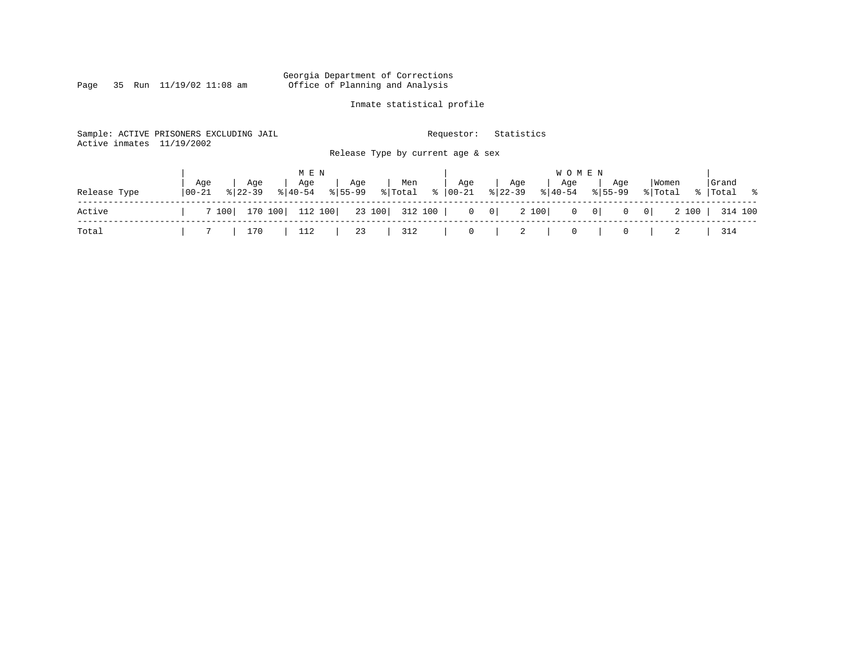### Georgia Department of Corrections<br>Page 35 Run 11/19/02 11:08 am 6ffice of Planning and Analysis Page 35 Run 11/19/02 11:08 am Office of Planning and Analysis

### Inmate statistical profile

| Active inmates | Sample: ACTIVE PRISONERS EXCLUDING JAIL<br>11/19/2002 |                                                          | Requestor:       | Statistics                         |                                                  |                      |
|----------------|-------------------------------------------------------|----------------------------------------------------------|------------------|------------------------------------|--------------------------------------------------|----------------------|
|                |                                                       | Release Type by current age & sex                        |                  |                                    |                                                  |                      |
|                |                                                       | M E N                                                    |                  | <b>WOMEN</b>                       |                                                  |                      |
| Release Type   | Aqe<br>Aqe<br>$100 - 21$<br>$8122 - 39$               | Age<br>Men<br>Age<br>% Total<br>$8155 - 99$<br>$ 40-54 $ | Age<br>%   00-21 | Aqe<br>Age<br>% 22-39<br>$8 40-54$ | Women<br>Age<br>$8155 - 99$<br>% Total           | Grand<br>%   Total % |
| Active         | 170 100<br>7 100                                      | 112 100<br>23 100 312 100                                | $0 \qquad 0$     | 2 100                              | $0 \qquad 0$<br>$\overline{0}$<br>0 <sup>1</sup> | 2 100<br>314 100     |
| Total          | 170                                                   | 23<br>112<br>312                                         | $\circ$          | 2<br>0                             | 0                                                | 314                  |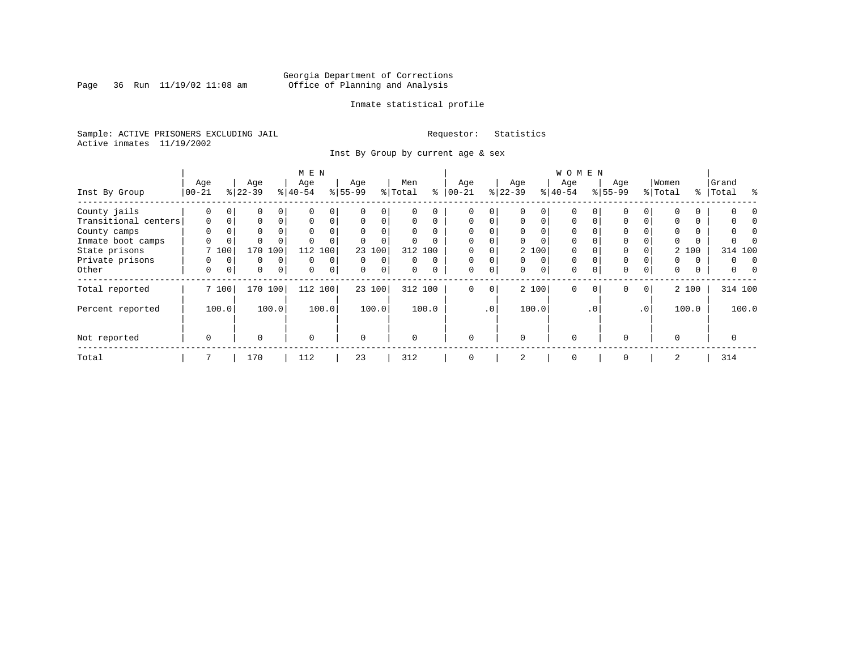Page 36 Run  $11/19/02$  11:08 am

### Inmate statistical profile

Sample: ACTIVE PRISONERS EXCLUDING JAIL **Requestor:** Statistics Active inmates 11/19/2002

Inst By Group by current age & sex

|                      |             |             |           |             | M E N       |             |           |          |         |         |             |             |           |          | W O M E N   |          |             |                 |          |          |            |  |
|----------------------|-------------|-------------|-----------|-------------|-------------|-------------|-----------|----------|---------|---------|-------------|-------------|-----------|----------|-------------|----------|-------------|-----------------|----------|----------|------------|--|
|                      | Age         |             | Age       |             | Age         |             | Age       |          | Men     |         | Age         |             | Age       |          | Age         |          | Age         |                 | Women    |          | Grand      |  |
| Inst By Group        | $ 00-21 $   |             | $8 22-39$ |             | $ 40-54 $   |             | $8 55-99$ |          | % Total | ి       | $ 00-21$    |             | $ 22-39 $ |          | $ 40-54$    |          | $8155 - 99$ |                 | % Total  | %        | ႜ<br>Total |  |
| County jails         | 0           |             | 0         |             |             | 0           |           |          |         | 0       | 0           | 0           |           |          | $\Omega$    |          |             |                 | $\Omega$ | 0        |            |  |
| Transitional centers | $\mathbf 0$ | $\mathbf 0$ | $\Omega$  | $\Omega$    | $\Omega$    | 0           | $\Omega$  | $\Omega$ | 0       | 0       | $\Omega$    | $\Omega$    | $\Omega$  | $\Omega$ | $\mathbf 0$ |          | 0           | 0               | 0        | 0        |            |  |
| County camps         | $\Omega$    | 0           | 0         |             | $\Omega$    | 0           | $\Omega$  |          |         |         | $\Omega$    |             | $\Omega$  |          | $\Omega$    |          |             |                 | $\Omega$ | 0        |            |  |
| Inmate boot camps    | 0           | 0           | $\Omega$  |             |             |             |           |          |         |         | $\Omega$    | 0           |           |          | $\Omega$    |          |             |                 | 0        | $\Omega$ |            |  |
| State prisons        |             | 7 100       | 170       | 100         | 112         | 100         | 23        | 100      |         | 312 100 |             |             |           | 2 100    | $\Omega$    |          |             |                 |          | 2 100    | 314 100    |  |
| Private prisons      | 0           | $\Omega$    | 0         | $\Omega$    | $\Omega$    | $\Omega$    | $\Omega$  | $\Omega$ | U       | 0       | $\Omega$    | 0           | $\Omega$  | $\Omega$ | $\Omega$    |          |             |                 | $\Omega$ | $\Omega$ | 0          |  |
| Other                | 0           | 0           | 0         | $\mathbf 0$ | $\Omega$    | $\mathbf 0$ | $\Omega$  | 0        | 0       |         | 0           | $\mathbf 0$ | $\Omega$  | $\Omega$ | 0           |          | 0           | 0               | 0        | 0        | 0          |  |
| Total reported       |             | 7 100       |           | 170 100     | 112 100     |             |           | 23 100   |         | 312 100 | $\mathbf 0$ | 0           |           | 2 100    | $\Omega$    | $\Omega$ | 0           | $\mathbf{0}$    |          | 2 100    | 314 100    |  |
| Percent reported     |             | 100.0       |           | 100.0       |             | 100.0       |           | 100.0    |         | 100.0   |             | $\cdot$ 0   |           | 100.0    |             | .0'      |             | .0 <sup>1</sup> |          | 100.0    | 100.0      |  |
| Not reported         | $\mathbf 0$ |             | $\Omega$  |             | $\mathbf 0$ |             | $\Omega$  |          | O       |         | $\Omega$    |             | $\Omega$  |          | $\Omega$    |          | $\Omega$    |                 | $\Omega$ |          |            |  |
| Total                |             |             | 170       |             | 112         |             | 23        |          | 312     |         | 0           |             | 2         |          | 0           |          | 0           |                 | 2        |          | 314        |  |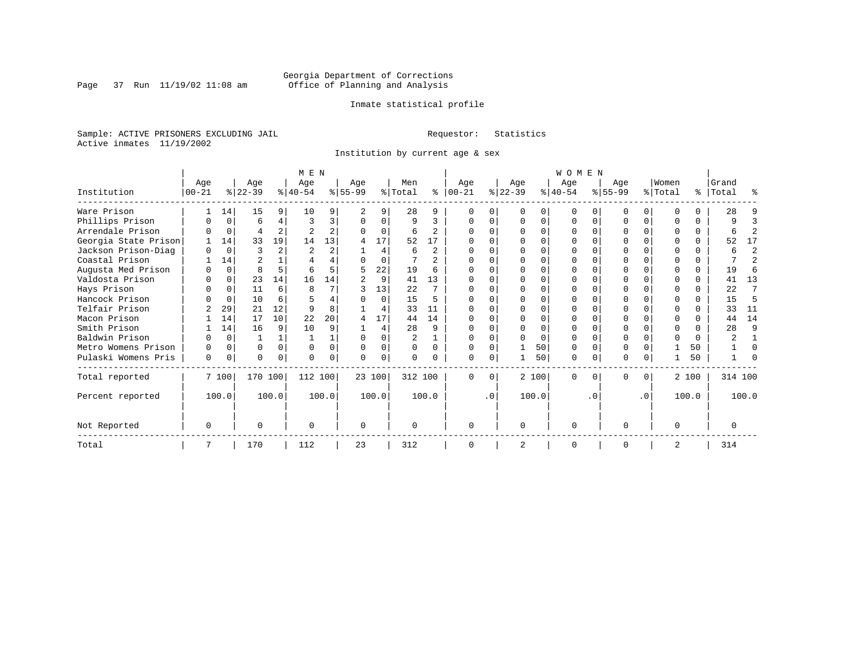Page 37 Run  $11/19/02$  11:08 am

### Inmate statistical profile

Sample: ACTIVE PRISONERS EXCLUDING JAIL **Requestor:** Statistics Active inmates 11/19/2002

Institution by current age & sex

|                      | M E N     |          |           |                |           |                |           |          |          |                |             | WOMEN     |              |          |           |           |           |           |                |          |           |                |  |  |
|----------------------|-----------|----------|-----------|----------------|-----------|----------------|-----------|----------|----------|----------------|-------------|-----------|--------------|----------|-----------|-----------|-----------|-----------|----------------|----------|-----------|----------------|--|--|
|                      | Age       |          | Age       |                | Age       |                | Age       |          | Men      |                | Age         |           | Age          |          | Age       |           | Age       |           | Women          |          | Grand     |                |  |  |
| Institution          | $00 - 21$ |          | $ 22-39 $ |                | $ 40-54 $ |                | $8 55-99$ |          | % Total  | ∻              | $ 00 - 21 $ |           | $ 22-39 $    |          | $ 40-54 $ |           | $ 55-99 $ |           | % Total        |          | %   Total | ႜ              |  |  |
| Ware Prison          |           | 14       | 15        | 9              | 10        |                |           | 9        | 28       | 9              |             |           | $\Omega$     |          |           |           |           | U         | ∩              |          | 28        |                |  |  |
| Phillips Prison      |           | 0        | 6         | 4              | 3         | 3              | O         | $\Omega$ | 9        | 3              |             |           | 0            | 0        | $\Omega$  | $\Omega$  |           | $\Omega$  |                | $\Omega$ | 9         | 3              |  |  |
| Arrendale Prison     |           | 0        | 4         | $\overline{a}$ |           | $\overline{a}$ |           | 0        | 6        | $\mathfrak{D}$ |             |           |              | U        |           |           |           | U         |                | 0        | 6         | 2              |  |  |
| Georgia State Prison |           | 14       | 33        | 19             | 14        | 13             |           | 17       | 52       | 17             |             |           |              |          |           |           |           | U         |                | 0        | 52        | 17             |  |  |
| Jackson Prison-Diag  |           | $\Omega$ |           | 2              |           | $\overline{a}$ |           | 4        | 6        | 2              |             |           |              | U        | ∩         |           |           |           |                | $\Omega$ | б         | $\overline{a}$ |  |  |
| Coastal Prison       |           | 14       |           |                |           |                |           | $\Omega$ |          | $\overline{a}$ |             |           | ∩            | U        | ∩         |           |           | U         |                | $\Omega$ |           | $\overline{a}$ |  |  |
| Augusta Med Prison   |           | $\Omega$ | 8         | 5.             | 6         |                | 5         | 22       | 19       | 6              |             |           |              |          |           |           |           | U         |                | $\Omega$ | 19        | 6              |  |  |
| Valdosta Prison      | O         | $\Omega$ | 23        | 14             | 16        | 14             |           | 9        | 41       | 13             | $\Omega$    |           | ∩            |          |           |           | N         | U         | ∩              | $\Omega$ | 41        | 13             |  |  |
| Hays Prison          |           | 0        | 11        | 6              | 8         |                |           | 13       | 22       | 7              |             |           | <sup>0</sup> | O        | $\Omega$  | $\Omega$  |           | $\Omega$  | ∩              | $\Omega$ | 22        | 7              |  |  |
| Hancock Prison       |           | $\Omega$ | 10        | 6              |           |                |           | $\Omega$ | 15       | 5              |             |           | ∩            | U        |           | $\Omega$  |           | U         |                | 0        | 15        | 5              |  |  |
| Telfair Prison       |           | 29       | 21        | 12             |           | 8              |           | 4        | 33       | 11             |             |           |              | U        |           |           |           |           |                |          | 33        | 11             |  |  |
| Macon Prison         |           | 14       | 17        | 10             | 22        | 20             | 4         | 17       | 44       | 14             |             |           | $\cap$       | O        |           |           |           | U         | $\Omega$       | $\Omega$ | 44        | 14             |  |  |
| Smith Prison         |           | 14       | 16        | 9              | 10        | 9              |           | 4        | 28       | 9              |             |           |              | O        | $\Omega$  | $\Omega$  |           | O         | $\Omega$       |          | 28        | 9              |  |  |
| Baldwin Prison       |           | $\Omega$ |           |                |           |                | $\Omega$  | U        | 2        |                |             |           |              | $\Omega$ | ∩         | $\Omega$  |           |           | $\Omega$       | $\Omega$ |           |                |  |  |
| Metro Womens Prison  |           | $\Omega$ | 0         | $\Omega$       | $\Omega$  | 0              | $\Omega$  | 0        | $\Omega$ | $\Omega$       |             |           |              | 50       | $\Omega$  | $\Omega$  |           | O         |                | 50       |           | $\Omega$       |  |  |
| Pulaski Womens Pris  | 0         | 0        | U         | 0              |           |                | O         | 0        |          |                | $\Omega$    | 0         |              | 50       | $\Omega$  | $\Omega$  | ი         | 0         |                | 50       |           |                |  |  |
| Total reported       |           | 7 100    | 170 100   |                | 112 100   |                |           | 23 100   | 312 100  |                | $\Omega$    | $\Omega$  |              | 2 100    | $\Omega$  | $\Omega$  | 0         | $\Omega$  |                | 2 100    | 314 100   |                |  |  |
| Percent reported     |           | 100.0    |           | 100.0          |           | 100.0          |           | 100.0    |          | 100.0          |             | $\cdot$ 0 |              | 100.0    |           | $\cdot$ 0 |           | $\cdot$ 0 |                | 100.0    |           | 100.0          |  |  |
| Not Reported         | 0         |          | U         |                | $\cap$    |                | $\Omega$  |          |          |                | $\Omega$    |           | $\Omega$     |          | $\Omega$  |           | O         |           | $\Omega$       |          | O         |                |  |  |
| Total                |           |          | 170       |                | 112       |                | 23        |          | 312      |                | $\Omega$    |           | 2            |          | $\Omega$  |           | $\Omega$  |           | $\overline{2}$ |          | 314       |                |  |  |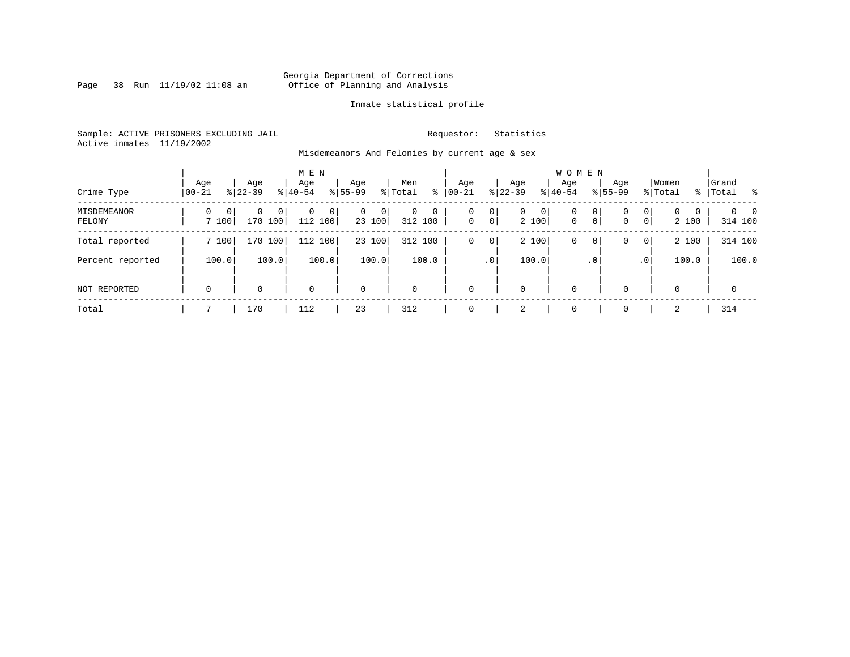Page 38 Run  $11/19/02$  11:08 am

### Inmate statistical profile

Sample: ACTIVE PRISONERS EXCLUDING JAIL **Requestor:** Statistics Active inmates 11/19/2002

Misdemeanors And Felonies by current age & sex

| Crime Type            | Age<br>$00 - 21$                  | Age<br>$8 22-39$               | M E N<br>Age<br>$8 40-54$ | Age<br>$8155 - 99$          | Men<br>ွေ<br>% Total              | Age<br>$00 - 21$ | Age<br>$ 22 - 39 $                                | <b>WOMEN</b><br>Aqe<br>$8 40-54$ | Age<br>$8155 - 99$ | Women<br>% Total                                                | Grand<br>%   Total<br>- 왕       |
|-----------------------|-----------------------------------|--------------------------------|---------------------------|-----------------------------|-----------------------------------|------------------|---------------------------------------------------|----------------------------------|--------------------|-----------------------------------------------------------------|---------------------------------|
| MISDEMEANOR<br>FELONY | $\Omega$<br>$\mathbf{0}$<br>7 100 | 0<br>0 <sup>1</sup><br>170 100 | 0<br>$\Omega$<br>112 100  | $\mathbf{0}$<br>0<br>23 100 | $\mathbf 0$<br>$\circ$<br>312 100 | 0<br>$\mathbf 0$ | 0<br>0<br>$\mathbf{0}$<br>$\overline{0}$<br>2 100 | $\mathbf 0$<br>$\mathbf{0}$      | 0<br>0<br> 0 <br>0 | $\mathbf{0}$<br>$\Omega$<br>$\Omega$<br>$\overline{0}$<br>2 100 | $\Omega$<br>$\Omega$<br>314 100 |
| Total reported        | 7 100                             | 170 100                        | 112 100                   | 23 100                      | 312 100                           | 0                | 2 100<br>0                                        | 0                                | 0<br>0             | 2 100<br>$\overline{0}$                                         | 314 100                         |
| Percent reported      | 100.0                             | 100.0                          | 100.0                     | 100.0                       | 100.0                             | .0 <sup>1</sup>  | 100.0                                             |                                  | $\cdot$ 0          | 100.0<br>.0 <sup>1</sup>                                        | 100.0                           |
| NOT REPORTED          | $\mathbf 0$                       | 0                              | $\mathbf 0$               | $\mathbf 0$                 | $\mathbf 0$                       | $\mathbf 0$      | 0                                                 | $\mathbf 0$                      | $\Omega$           | $\Omega$                                                        | $\mathbf 0$                     |
| Total                 |                                   | 170                            | 112                       | 23                          | 312                               | $\Omega$         | 2                                                 | $\mathbf 0$                      | $\Omega$           | 2                                                               | 314                             |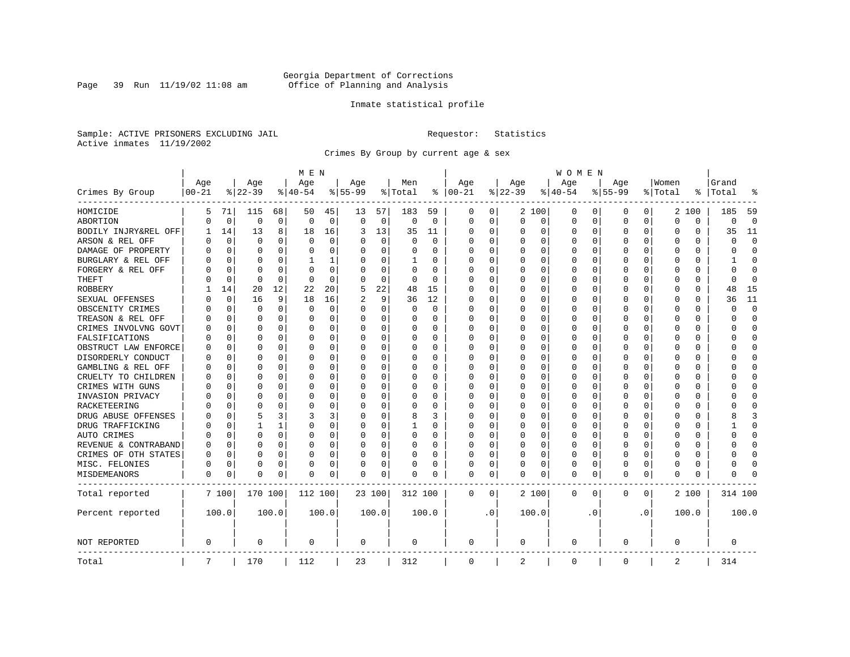Page 39 Run  $11/19/02$  11:08 am

### Inmate statistical profile

Sample: ACTIVE PRISONERS EXCLUDING JAIL **Requestor:** Statistics Active inmates 11/19/2002

Crimes By Group by current age & sex

|                      | M E N     |             |             |             |          |          |           |             |          |          |               | W O M E N |          |             |             |           |             |           |          |          |         |              |  |
|----------------------|-----------|-------------|-------------|-------------|----------|----------|-----------|-------------|----------|----------|---------------|-----------|----------|-------------|-------------|-----------|-------------|-----------|----------|----------|---------|--------------|--|
|                      | Age       |             | Age         |             | Age      |          | Age       |             | Men      |          | Age           |           | Age      |             | Age         |           | Age         |           | Women    |          | Grand   |              |  |
| Crimes By Group      | $00 - 21$ |             | $ 22-39$    |             | $ 40-54$ |          | $8 55-99$ |             | % Total  |          | $8   00 - 21$ |           | $ 22-39$ |             | $8 40-54$   |           | $8 55-99$   |           | % Total  | ႜ        | Total   |              |  |
| HOMICIDE             | 5         | 71          | 115         | 68          | 50       | 45       | 13        | 57          | 183      | 59       | 0             | 0         |          | 2 100       | 0           | 0         | 0           | 0         |          | 2 100    | 185     | 59           |  |
| ABORTION             | U         | 0           | $\mathbf 0$ | $\mathbf 0$ | 0        | 0        | 0         | $\mathbf 0$ | 0        | 0        | $\mathbf 0$   | 0         | $\Omega$ | 0           | 0           | $\Omega$  | $\mathbf 0$ | 0         | 0        | 0        | 0       | $\mathbf 0$  |  |
| BODILY INJRY&REL OFF |           | 14          | 13          | 8           | 18       | 16       | 3         | 13          | 35       | 11       | 0             | 0         | 0        | 0           | 0           | 0         | $\Omega$    | 0         | 0        | 0        | 35      | 11           |  |
| ARSON & REL OFF      | N         | $\Omega$    | $\Omega$    | $\Omega$    | $\Omega$ | $\Omega$ |           | $\Omega$    | $\Omega$ | $\Omega$ | 0             | 0         | O        | $\Omega$    | 0           | O         |             | $\Omega$  | $\Omega$ | $\Omega$ | C       | $\Omega$     |  |
| DAMAGE OF PROPERTY   | U         | $\Omega$    | $\Omega$    | $\Omega$    | $\Omega$ | $\Omega$ |           | $\Omega$    | 0        | 0        | 0             | 0         | $\Omega$ | $\Omega$    | 0           | O         | $\Omega$    | 0         | U        | 0        | U       | $\Omega$     |  |
| BURGLARY & REL OFF   |           | $\Omega$    | $\Omega$    | $\Omega$    |          | 1        |           | $\Omega$    | 1        | 0        | 0             | 0         | 0        | $\Omega$    | 0           | 0         | $\Omega$    | $\Omega$  | 0        | $\Omega$ |         | <sup>0</sup> |  |
| FORGERY & REL OFF    |           | $\Omega$    | $\Omega$    | $\Omega$    | O        | $\Omega$ |           | $\Omega$    | $\Omega$ | $\Omega$ | 0             | 0         |          | $\Omega$    | 0           | 0         | $\Omega$    | $\Omega$  | $\Omega$ | $\Omega$ | U       | $\Omega$     |  |
| THEFT                |           | 0           | $\Omega$    | $\Omega$    | $\Omega$ | $\Omega$ |           | $\Omega$    | 0        | 0        | <sup>0</sup>  | 0         | O        | $\Omega$    | 0           | O         | ∩           | 0         | ∩        | 0        | U       | $\Omega$     |  |
| ROBBERY              |           | 14          | 20          | 12          | 22       | 20       |           | 22          | 48       | 15       | <sup>0</sup>  | 0         | $\Omega$ | $\Omega$    | 0           | O         | $\Omega$    | 0         | U        | 0        | 48      | 15           |  |
| SEXUAL OFFENSES      |           | $\Omega$    | 16          | 9           | 18       | 16       |           | 9           | 36       | 12       | <sup>0</sup>  | 0         | $\Omega$ | $\Omega$    | 0           | O         | ∩           | 0         | U        | O        | 36      | 11           |  |
| OBSCENITY CRIMES     | Λ         | 0           | $\Omega$    | $\Omega$    | $\Omega$ | 0        | n         | $\Omega$    | 0        | 0        | 0             | 0         | $\Omega$ | 0           | 0           | O         | ∩           | $\Omega$  | U        | 0        | U       | $\Omega$     |  |
| TREASON & REL OFF    |           | 0           | $\Omega$    | $\Omega$    | $\Omega$ | 0        |           | 0           | 0        | 0        | 0             | 0         | 0        | 0           | 0           | 0         | $\Omega$    | 0         | 0        | 0        | U       | <sup>0</sup> |  |
| CRIMES INVOLVNG GOVT |           | $\Omega$    | $\Omega$    | $\Omega$    | 0        | 0        |           | $\Omega$    | 0        | $\Omega$ | $\Omega$      | 0         |          | $\Omega$    | 0           | 0         | $\Omega$    | $\Omega$  | $\Omega$ | 0        | በ       | $\Omega$     |  |
| FALSIFICATIONS       | Ω         | $\Omega$    | $\Omega$    | $\Omega$    | $\Omega$ | 0        |           | 0           | 0        | 0        | $\Omega$      | 0         | O        | $\Omega$    | 0           | 0         | $\Omega$    | $\Omega$  | U        | 0        | U       | $\Omega$     |  |
| OBSTRUCT LAW ENFORCE | U         | 0           | $\Omega$    | $\Omega$    | O        | 0        |           | 0           | 0        | U        | 0             | 0         | O        | $\Omega$    | 0           | 0         |             | 0         | 0        | 0        |         | <sup>0</sup> |  |
| DISORDERLY CONDUCT   | O         | 0           | $\Omega$    | $\Omega$    | O        | $\Omega$ |           | $\Omega$    | 0        | O        | 0             | 0         | $\Omega$ | $\Omega$    | 0           | O         | $\Omega$    | $\Omega$  | O        | 0        |         | ∩            |  |
| GAMBLING & REL OFF   | U         | O           | $\Omega$    | $\Omega$    | O        | $\Omega$ |           | $\Omega$    | $\Omega$ | 0        | <sup>0</sup>  | 0         | O        | $\Omega$    | O           | O         | $\Omega$    | $\Omega$  | U        | $\Omega$ |         | ∩            |  |
| CRUELTY TO CHILDREN  | O         | 0           | $\Omega$    | $\Omega$    | O        | 0        |           | $\Omega$    | 0        | U        | 0             | 0         | O        | $\mathbf 0$ | 0           | O         | $\Omega$    | $\Omega$  | U        | $\Omega$ |         | Ω            |  |
| CRIMES WITH GUNS     | N         | $\Omega$    | $\Omega$    | $\Omega$    | C        | 0        |           | $\Omega$    | 0        | 0        | <sup>0</sup>  | 0         | $\Omega$ | $\Omega$    | 0           | O         | $\Omega$    | 0         | U        | $\Omega$ |         | $\Omega$     |  |
| INVASION PRIVACY     | U         | 0           | O           | $\Omega$    | O        | 0        |           | $\Omega$    | 0        | 0        | <sup>0</sup>  | 0         | O        | $\Omega$    | 0           | O         | ∩           | 0         | ∩        | 0        |         | ∩            |  |
| RACKETEERING         | Λ         | $\Omega$    | ∩           | $\Omega$    | U        | 0        |           | $\Omega$    | 0        | U        | O             | 0         | O        | $\Omega$    | 0           | O         |             | 0         | O        | 0        |         | ∩            |  |
| DRUG ABUSE OFFENSES  |           | $\Omega$    | 5           | 3           | 3        | 3        |           | $\Omega$    | 8        | 3        | 0             | 0         | $\Omega$ | $\Omega$    | 0           | O         | $\Omega$    | $\Omega$  | $\Omega$ | 0        |         | κ            |  |
| DRUG TRAFFICKING     | Ω         | $\Omega$    |             |             | $\Omega$ | 0        |           | $\Omega$    | 1        | 0        | 0             | 0         | 0        | 0           | 0           | O         | $\Omega$    | $\Omega$  | U        | 0        |         | $\Omega$     |  |
| AUTO CRIMES          |           | $\Omega$    | $\Omega$    | 0           | 0        | 0        |           | 0           | 0        | 0        | 0             | 0         | 0        | 0           | 0           | 0         | $\Omega$    | $\Omega$  | 0        | 0        | ი       | O            |  |
| REVENUE & CONTRABAND | 0         | $\Omega$    | $\Omega$    | $\Omega$    | O        | 0        |           | 0           | 0        | $\Omega$ | $\Omega$      | 0         | $\Omega$ | $\Omega$    | 0           | 0         | $\Omega$    | 0         | $\Omega$ | 0        | በ       | $\Omega$     |  |
| CRIMES OF OTH STATES | 0         | $\mathbf 0$ | $\Omega$    | $\Omega$    | 0        | 0        |           | $\Omega$    | 0        | 0        | $\Omega$      | 0         | 0        | $\Omega$    | 0           | 0         | $\Omega$    | $\Omega$  | U        | 0        | U       | 0            |  |
| MISC. FELONIES       | 0         | $\Omega$    | $\Omega$    | $\Omega$    | C        | 0        |           | $\mathbf 0$ | 0        | 0        | 0             | 0         |          | 0           | 0           | 0         | $\Omega$    | $\Omega$  | 0        | 0        |         | ſ            |  |
| MISDEMEANORS         | 0         | 0           | $\Omega$    | 0           | O        | 0        | O         | 0           | 0        | 0        | 0             | 0         | O        | 0           | 0           | 0         | $\Omega$    | 0         | U        | 0        | ი       |              |  |
| Total reported       |           | 7 100       | 170 100     |             | 112 100  |          |           | 23 100      | 312 100  |          | 0             | 0         |          | 2 100       | 0           | 0         | $\mathbf 0$ | 0         |          | 2 100    | 314 100 |              |  |
| Percent reported     |           | 100.0       |             | 100.0       |          | 100.0    |           | 100.0       |          | 100.0    |               | $\cdot$ 0 |          | 100.0       |             | $\cdot$ 0 |             | $\cdot$ 0 |          | 100.0    |         | 100.0        |  |
| NOT REPORTED         | 0         |             | 0           |             | 0        |          | 0         |             | 0        |          | $\mathbf 0$   |           | 0        |             | 0           |           | $\mathbf 0$ |           | $\Omega$ |          | 0       |              |  |
| Total                | 7         |             | 170         |             | 112      |          | 23        |             | 312      |          | $\mathbf 0$   |           | 2        |             | $\mathbf 0$ |           | $\Omega$    |           | 2        |          | 314     |              |  |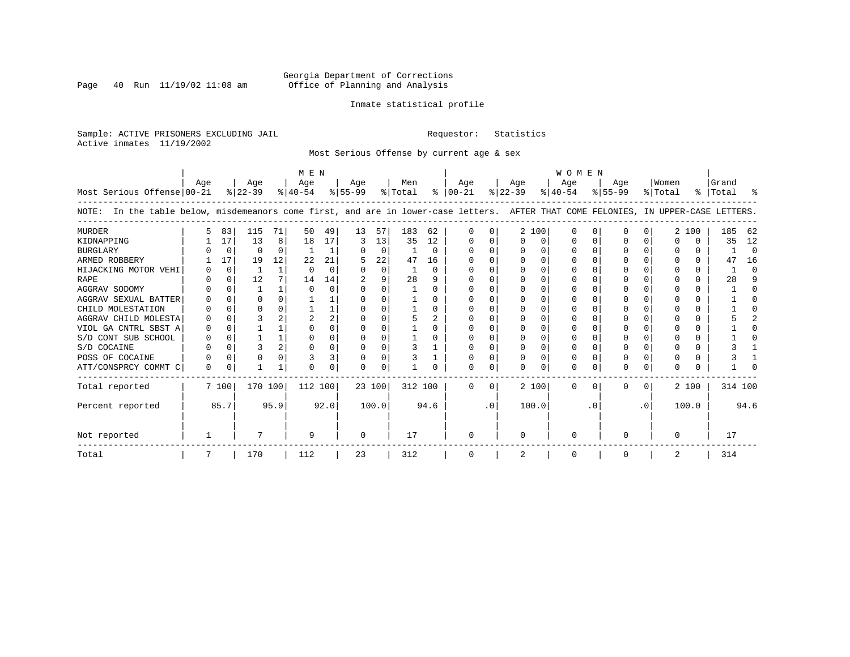Page 40 Run  $11/19/02$  11:08 am

### Inmate statistical profile

Sample: ACTIVE PRISONERS EXCLUDING JAIL **Requestor:** Statistics Active inmates 11/19/2002

Most Serious Offense by current age & sex

|                                                                                                                                       |          |          |           |      | M E N     |      |           |          |         |              | <b>WOMEN</b>  |           |              |          |              |              |              |           |         |       |           |          |
|---------------------------------------------------------------------------------------------------------------------------------------|----------|----------|-----------|------|-----------|------|-----------|----------|---------|--------------|---------------|-----------|--------------|----------|--------------|--------------|--------------|-----------|---------|-------|-----------|----------|
|                                                                                                                                       | Age      |          | Age       |      | Age       |      | Age       |          | Men     |              | Age           |           | Age          |          | Age          |              | Age          |           | Women   |       | Grand     |          |
| Most Serious Offense 00-21                                                                                                            |          |          | $ 22-39 $ |      | $ 40-54 $ |      | $ 55-99 $ |          | % Total |              | $8   00 - 21$ |           | $ 22-39 $    |          | $ 40-54 $    |              | $8 55-99$    |           | % Total |       | %   Total |          |
| In the table below, misdemeanors come first, and are in lower-case letters. AFTER THAT COME FELONIES, IN UPPER-CASE LETTERS.<br>NOTE: |          |          |           |      |           |      |           |          |         |              |               |           |              |          |              |              |              |           |         |       |           |          |
| <b>MURDER</b>                                                                                                                         | 5        | 83       | 115       | 71   | 50        | 49   | 13        | 57       | 183     | 62           | $\Omega$      | 0         |              | 2 100    | 0            |              | U            |           |         | 2 100 | 185       | 62       |
| KIDNAPPING                                                                                                                            |          | 17       | 13        | 8    | 18        | 17   | 3         | 13       | 35      | 12           | $\Omega$      |           |              | 0        | 0            |              |              |           |         | 0     | 35        | 12       |
| <b>BURGLARY</b>                                                                                                                       |          | $\Omega$ | $\Omega$  | 0    |           |      |           | $\Omega$ |         | $\Omega$     | $\Omega$      | 0         |              | $\Omega$ | O            |              | <sup>0</sup> |           |         | 0     |           | $\Omega$ |
| ARMED ROBBERY                                                                                                                         |          | 17       | 19        | 12   | 22        | 21   |           | 22       | 47      | 16           |               |           |              | $\Omega$ |              |              |              |           |         | 0     | 47        | 16       |
| HIJACKING MOTOR VEHI                                                                                                                  |          | 0        |           | 1    | $\cap$    | O    |           | $\Omega$ |         | $\Omega$     | $\Omega$      |           |              | $\Omega$ | O            |              |              |           |         | U     |           | $\Omega$ |
| <b>RAPE</b>                                                                                                                           |          | $\Omega$ | 12        |      | 14        | 14   |           | 9        | 28      | 9            |               |           |              |          |              |              |              |           |         | U     | 28        | 9        |
| AGGRAV SODOMY                                                                                                                         |          | ∩        |           |      | $\cap$    | O    |           | ∩        |         | 0            | n             |           |              | $\Omega$ |              |              | ∩            |           |         | U     |           | n        |
| AGGRAV SEXUAL BATTER                                                                                                                  |          | $\Omega$ | O         |      |           |      |           | $\Omega$ |         | 0            |               |           |              | $\Omega$ | O            |              |              |           |         | U     |           |          |
| CHILD MOLESTATION                                                                                                                     |          | $\Omega$ | $\Omega$  |      |           |      |           |          |         | 0            | n             |           |              | $\Omega$ | U            |              | n            |           |         | 0     |           |          |
| AGGRAV CHILD MOLESTA                                                                                                                  |          |          |           |      |           | 2    |           |          | 5       | 2            |               |           |              |          |              |              |              |           |         | 0     |           |          |
| VIOL GA CNTRL SBST A                                                                                                                  | 0        | ∩        |           |      | n         | U    |           | ∩        |         | <sup>n</sup> | n             |           |              | ∩        | U            |              | n            |           |         | 0     |           |          |
| S/D CONT SUB SCHOOL                                                                                                                   |          | $\Omega$ |           |      |           | U    |           | $\Omega$ |         | 0            | $\Omega$      |           |              | $\Omega$ | O            |              | <sup>0</sup> |           |         | U     |           |          |
| S/D COCAINE                                                                                                                           |          | $\Omega$ |           |      | $\cap$    | 0    |           | $\Omega$ |         |              | n             | U         | ∩            | $\Omega$ | O            | C            | O            |           |         | U     |           |          |
| POSS OF COCAINE                                                                                                                       |          | $\Omega$ | 0         |      |           | 3    |           | $\Omega$ |         |              | 0             |           |              | $\Omega$ | 0            |              |              |           |         | 0     |           |          |
| ATT/CONSPRCY COMMT C                                                                                                                  | $\Omega$ | 0        |           |      | O         | 0    | ∩         | $\Omega$ |         |              | O             | 0         | $\Omega$     | $\Omega$ | $\Omega$     |              | $\Omega$     | 0         | U       | U     |           |          |
| Total reported                                                                                                                        |          | 7 100    | 170 100   |      | 112 100   |      | 23 100    |          | 312 100 |              | $\Omega$      | $\Omega$  |              | 2 100    | $\Omega$     | <sup>0</sup> | $\Omega$     | $\Omega$  |         | 2 100 | 314 100   |          |
| Percent reported                                                                                                                      |          | 85.7     |           | 95.9 |           | 92.0 |           | 100.0    |         | 94.6         |               | $\cdot$ 0 | 100.0        |          |              | . 0          |              | $\cdot$ 0 |         | 100.0 |           | 94.6     |
| Not reported                                                                                                                          |          |          |           |      | 9         |      | $\Omega$  |          | 17      |              | $\Omega$      |           | <sup>0</sup> |          | <sup>0</sup> |              |              |           |         |       | 17        |          |
| Total                                                                                                                                 |          |          | 170       |      | 112       |      | 23        |          | 312     |              | 0             |           | 2            |          | 0            |              | 0            |           | 2       |       | 314       |          |